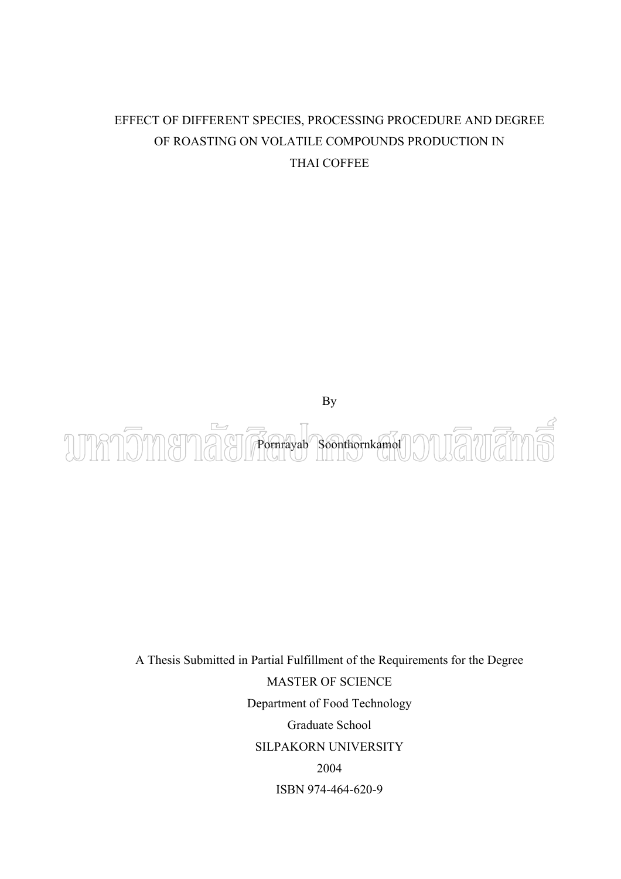# EFFECT OF DIFFERENT SPECIES, PROCESSING PROCEDURE AND DEGREE OF ROASTING ON VOLATILE COMPOUNDS PRODUCTION IN THAI COFFEE



A Thesis Submitted in Partial Fulfillment of the Requirements for the Degree MASTER OF SCIENCE Department of Food Technology Graduate School SILPAKORN UNIVERSITY 2004 ISBN 974-464-620-9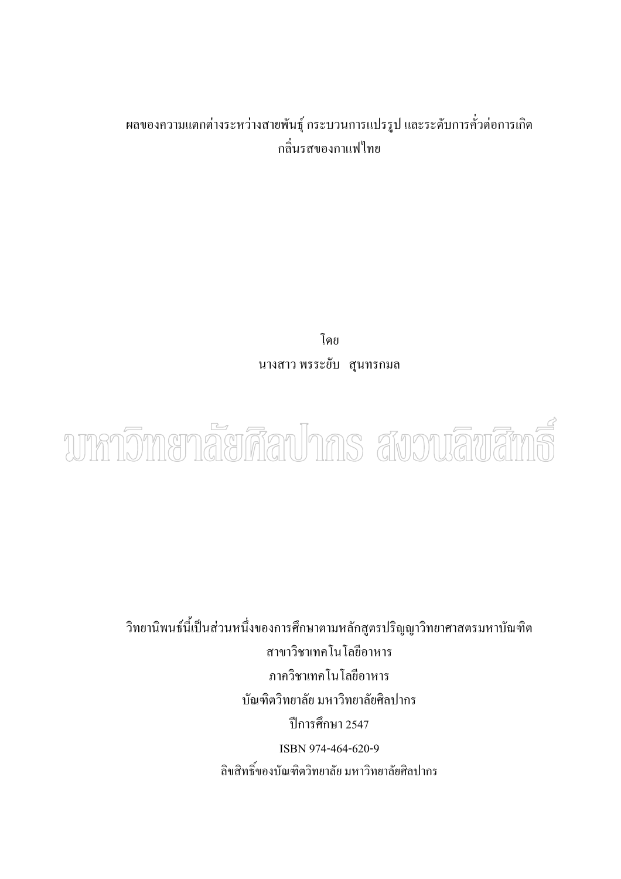# ผลของความแตกต่างระหว่างสายพันธุ์ กระบวนการแปรรูป และระดับการคั่วต่อการเกิด ั่ กล ิ่นรสของกาแฟไทย

โดย นางสาว พรระยับ สุนทรกมล



วิทยานิพนธ์นี้เป็นส่วนหนึ่งของการศึกษาตามหลักสูตรปริญญาวิทยาศาสตรมหาบัณฑิต ึ่ สาขาวิชาเทคโนโลยีอาหาร ภาควิชาเทคโนโลยีอาหาร บัณฑิตวิทยาลัย มหาวิทยาลัยศิลปากร ปการศึกษา 2547 ISBN 974-464-620-9 ลิขสิทธ ของบัณฑิตวิทยาลัย มหาวิทยาลัยศลปากร ิ์<br>เ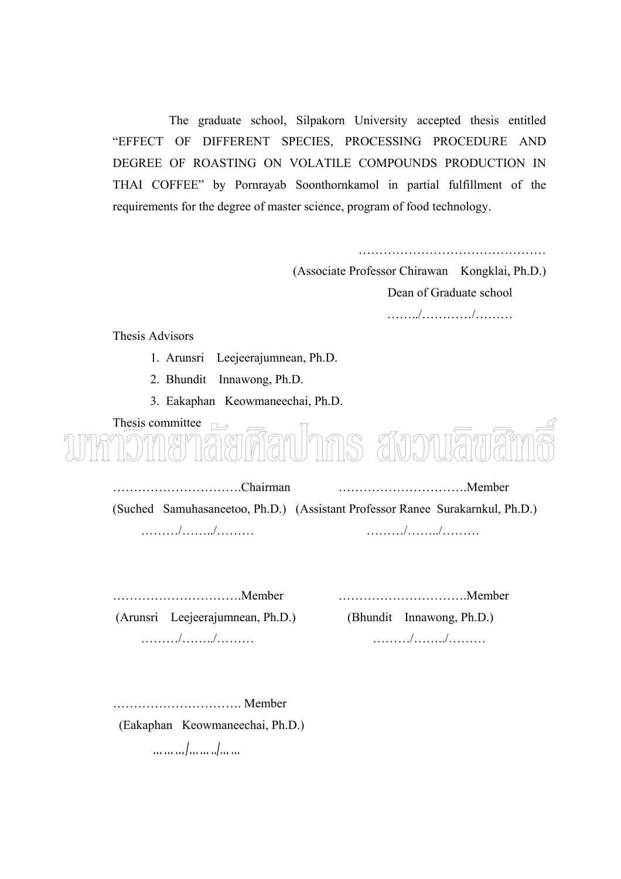The graduate school, Silpakorn University accepted thesis entitled "EFFECT OF DIFFERENT SPECIES, PROCESSING PROCEDURE AND DEGREE OF ROASTING ON VOLATILE COMPOUNDS PRODUCTION IN THAI COFFEE" by Pornrayab Soonthornkamol in partial fulfillment of the requirements for the degree of master science, program of food technology.

> ……………………………………… (Associate Professor Chirawan Kongklai, Ph.D.) Dean of Graduate school ……../…………/………

Thesis Advisors

- 1. Arunsri Leejeerajumnean, Ph.D.
- 2. Bhundit Innawong, Ph.D.
- 3. Eakaphan Keowmaneechai, Ph.D.

Thesis committee  $\Box$ ianlnms สังวงเลิขเลี

………………………….Chairman ………………………….Member (Suched Samuhasaneetoo, Ph.D.) (Assistant Professor Ranee Surakarnkul, Ph.D.) ………/……../……… ………/……../………

 (Arunsri Leejeerajumnean, Ph.D.) (Bhundit Innawong, Ph.D.) ………/……../……… ………/……../………

………………………….Member ………………………….Member

…………………………. Member

(Eakaphan Keowmaneechai, Ph.D.)

………/……../……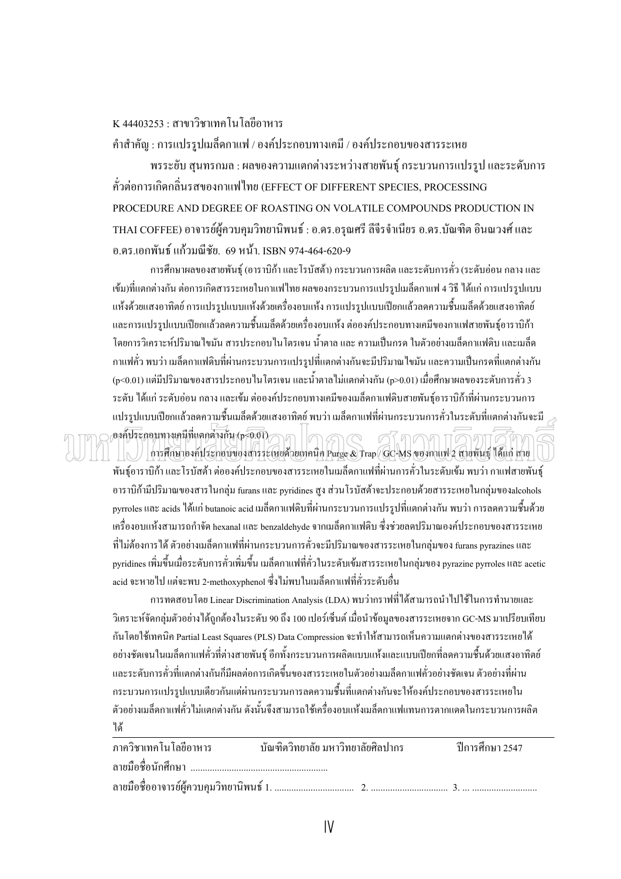$K$  44403253  $\cdot$  สาขาวิชาเทคโนโลยีอาหาร

คําสําคัญ : การแปรรูปเมล็ดกาแฟ / องคประกอบทางเคมี / องคประกอบของสารระเหย

พรระยับ สุนทรกมล : ผลของความแตกตางระหวางสายพันธุกระบวนการแปรรูป และระดับการ คั่วตอการเกิดกล ิ่นรสของกาแฟไทย (EFFECT OF DIFFERENT SPECIES, PROCESSING PROCEDURE AND DEGREE OF ROASTING ON VOLATILE COMPOUNDS PRODUCTION IN THAI COFFEE) อาจารย์ผู้ควบคุมวิทยานิพนธ์ : อ.ดร.อรุณศรี ลีจีรจำเนียร อ.ดร.บัณฑิต อินณวงศ์ และ อ.คร.เอกพันธ์ แก้วมณีชัย. 69 หน้า. ISBN 974-464-620-9

ึการศึกษาผลของสายพันธ์ (อาราบิก้า และโรบัสต้า) กระบวนการผลิต และระดับการคั่ว (ระดับอ่อน กลาง และ เข้ม)ที่แตกต่างกัน ต่อการเกิดสารระเหยในกาแฟไทย ผลของกระบวนการแปรรูปเมล็ดกาแฟ 4 วิธี ได้แก่ การแปรรูปแบบ แห้งด้วยแสงอาทิตย์ การแปรรูปแบบแห้งด้วยเครื่องอบแห้ง การแปรรูปแบบเปียกแล้วลดความชื้นเมล็ดด้วยแสงอาทิตย์ ื่ ื้ และการแปรรูปแบบเปียกแล้วลดความชื้นเมล็ดด้วยเครื่องอบแห้ง ต่อองค์ประกอบทางเคมีของกาแฟสายพันธุ์อาราบิก้า ื้ ื่ โดยการวิเคราะหปริมาณไขมัน สารประกอบไนโตรเจน น้ําตาลและความเปนกรดในตัวอยางเมล็ดกาแฟดิบ และเมล็ด กาแฟคั่ว พบว่า เมล็ดกาแฟดิบที่ผ่านกระบวนการแปรรูปที่แตกต่างกันจะมีปริมาณ ใขมัน และความเป็นกรดที่แตกต่างกัน (p<0.01) แต่มีปริมาณของสารประกอบ ในโตรเจน และน้ำตาล ใม่แตกต่างกัน (p>0.01) เมื่อศึกษาผลของระดับการคั่ว 3 ื่ ระดับ ได้แก่ ระดับอ่อน กลาง และเข้ม ต่อองค์ประกอบทางเคมีของเมล็ดกาแฟดิบสายพันธ์อาราบิก้าที่ผ่านกระบวนการ แปรรูปแบบเปียกแล้วลดความชื้นเมล็ดด้วยแสงอาทิตย์ พบว่า เมล็ดกาแฟที่ผ่านกระบวนการคั่วในระดับที่แตกต่างกันจะมี ี่ องคประกอบทางเคมีที่แตกตางกัน (p<0.01)  $In \subset$ ศ7ี คคค การศึกษาองค์ประกอบของสารระเหยด้วยเทคนิค Purge & Trap / GC-MS ของกาแฟ 2 สายพันธุ์ ได้แก่ สาย

พันธุ์อาราบิก้า และโรบัสต้า ต่อองค์ประกอบของสารระเหยในเมล็ดกาแฟที่ผ่านการคั่วในระดับเข้ม พบว่า กาแฟสายพันธุ์ อาราบิก้ามีปริมาณของสารในกลุ่ม furans และ pyridines สูง ส่วนโรบัสต้าจะประกอบด้วยสารระเหยในกลุ่มของalcohols pyrroles และ acids ได้แก่ butanoic acid เมล็ดกาแฟดิบที่ผ่านกระบวนการแปรรูปที่แตกต่างกัน พบว่า การลดความชื้นด้วย เคร องอบแหงสามารถกําจัด hexanal และ benzaldehyde จากเมล็ดกาแฟดิบ ซึ่งชวยลดปริมาณองคประกอบของสารระเหย ื่ ที่ไม่ต้องการได้ ตัวอย่างเมล็ดกาแฟที่ผ่านกระบวนการคั่วจะมีปริมาณของสารระเหยในกลุ่มของ furans pyrazines และ ั่ pyridines เพิ่มขึ้นเมื่อระดับการคั่วเพิ่มขึ้น เมล็ดกาแฟที่คั่วในระดับเข้มสารระเหยในกลุ่มของ pyrazine pyrroles และ acetic ิ่ ึ้ ื่ ิ่ acid จะหายไป แตจะพบ 2-methoxyphenol ซึ่งไมพบในเมล็ดกาแฟที่คั่วระดับอื่น

การทดสอบ โดย Linear Discrimination Analysis (LDA) พบว่ากราฟที่ได้สามารถนำไปใช้ในการทำนายและ วิเคราะห์จัดกลุ่มตัวอย่างได้ถูกต้องในระดับ 90 ถึง 100 เปอร์เซ็นต์ เมื่อนำข้อมูลของสารระเหยจาก GC-MS มาเปรียบเทียบ ื่ ึกันโดยใช้เทคนิค Partial Least Squares (PLS) Data Compression จะทำให้สามารถเห็นความแตกต่างของสารระเหยได้ อย่างชัดเจนในเมล็ดกาแฟคั่วที่ต่างสายพันธุ์ อีกทั้งกระบวนการผลิตแบบแห้งและแบบเปียกที่ลดความชื้นด้วยแสงอาทิตย์ ั้ ี่ และระดับการคั่วที่แตกต่างกันก็มีผลต่อการเกิดขึ้นของสารระเหยในตัวอย่างเมล็ดกาแฟคั่วอย่างชัดเจน ตัวอย่างที่ผ่าน ั่ ี่ กระบวนการแปรรูปแบบเดียวกันแต่ผ่านกระบวนการลดความชื้นที่แตกต่างกันจะให้องค์ประกอบของสารระเหยใน ี่ ตัวอย่างเมล็ดกาแฟคั่ว ไม่แตกต่างกัน ดังนั้นจึงสามารถใช้เครื่องอบแห้งเมล็ดกาแฟแทนการตากแดดในกระบวนการผลิต ั้ ื่ ได

| ภาควิชาเทคโนโลยีอาหาร | บัณฑิตวิทยาลัย มหาวิทยาลัยศิลปากร | ปีการศึกษา 2547 |
|-----------------------|-----------------------------------|-----------------|
|                       |                                   |                 |
|                       |                                   |                 |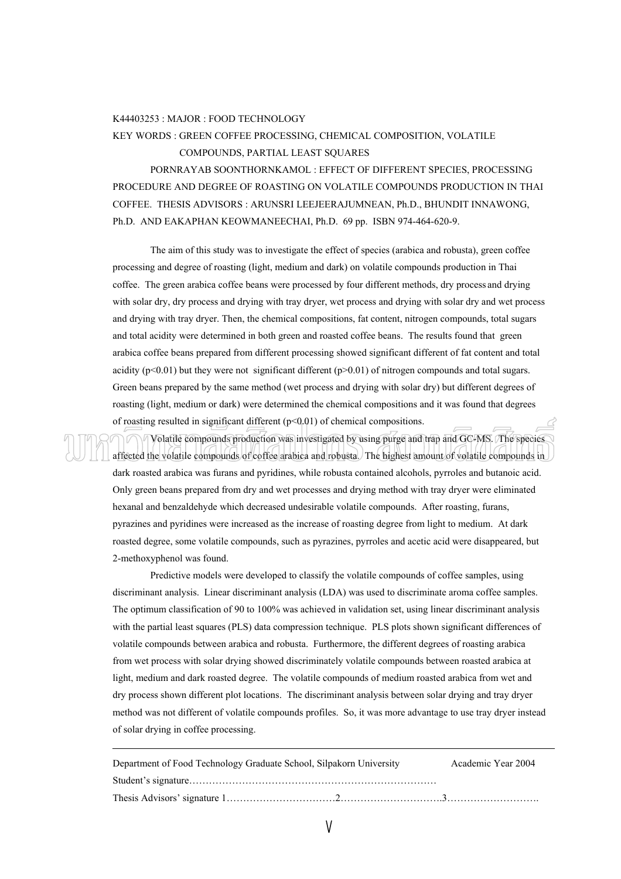#### K44403253 : MAJOR : FOOD TECHNOLOGY

# KEY WORDS : GREEN COFFEE PROCESSING, CHEMICAL COMPOSITION, VOLATILE COMPOUNDS, PARTIAL LEAST SOUARES

 PORNRAYAB SOONTHORNKAMOL : EFFECT OF DIFFERENT SPECIES, PROCESSING PROCEDURE AND DEGREE OF ROASTING ON VOLATILE COMPOUNDS PRODUCTION IN THAI COFFEE. THESIS ADVISORS : ARUNSRI LEEJEERAJUMNEAN, Ph.D., BHUNDIT INNAWONG, Ph.D. AND EAKAPHAN KEOWMANEECHAI, Ph.D. 69 pp. ISBN 974-464-620-9.

The aim of this study was to investigate the effect of species (arabica and robusta), green coffee processing and degree of roasting (light, medium and dark) on volatile compounds production in Thai coffee. The green arabica coffee beans were processed by four different methods, dry process and drying with solar dry, dry process and drying with tray dryer, wet process and drying with solar dry and wet process and drying with tray dryer. Then, the chemical compositions, fat content, nitrogen compounds, total sugars and total acidity were determined in both green and roasted coffee beans. The results found that green arabica coffee beans prepared from different processing showed significant different of fat content and total acidity ( $p<0.01$ ) but they were not significant different ( $p>0.01$ ) of nitrogen compounds and total sugars. Green beans prepared by the same method (wet process and drying with solar dry) but different degrees of roasting (light, medium or dark) were determined the chemical compositions and it was found that degrees of roasting resulted in significant different  $(p<0.01)$  of chemical compositions.

 Volatile compounds production was investigated by using purge and trap and GC-MS. The species affected the volatile compounds of coffee arabica and robusta. The highest amount of volatile compounds in dark roasted arabica was furans and pyridines, while robusta contained alcohols, pyrroles and butanoic acid. Only green beans prepared from dry and wet processes and drying method with tray dryer were eliminated hexanal and benzaldehyde which decreased undesirable volatile compounds. After roasting, furans, pyrazines and pyridines were increased as the increase of roasting degree from light to medium. At dark roasted degree, some volatile compounds, such as pyrazines, pyrroles and acetic acid were disappeared, but 2-methoxyphenol was found.

 Predictive models were developed to classify the volatile compounds of coffee samples, using discriminant analysis. Linear discriminant analysis (LDA) was used to discriminate aroma coffee samples. The optimum classification of 90 to 100% was achieved in validation set, using linear discriminant analysis with the partial least squares (PLS) data compression technique. PLS plots shown significant differences of volatile compounds between arabica and robusta. Furthermore, the different degrees of roasting arabica from wet process with solar drying showed discriminately volatile compounds between roasted arabica at light, medium and dark roasted degree. The volatile compounds of medium roasted arabica from wet and dry process shown different plot locations. The discriminant analysis between solar drying and tray dryer method was not different of volatile compounds profiles. So, it was more advantage to use tray dryer instead of solar drying in coffee processing.

| Department of Food Technology Graduate School, Silpakorn University | Academic Year 2004 |
|---------------------------------------------------------------------|--------------------|
|                                                                     |                    |
|                                                                     |                    |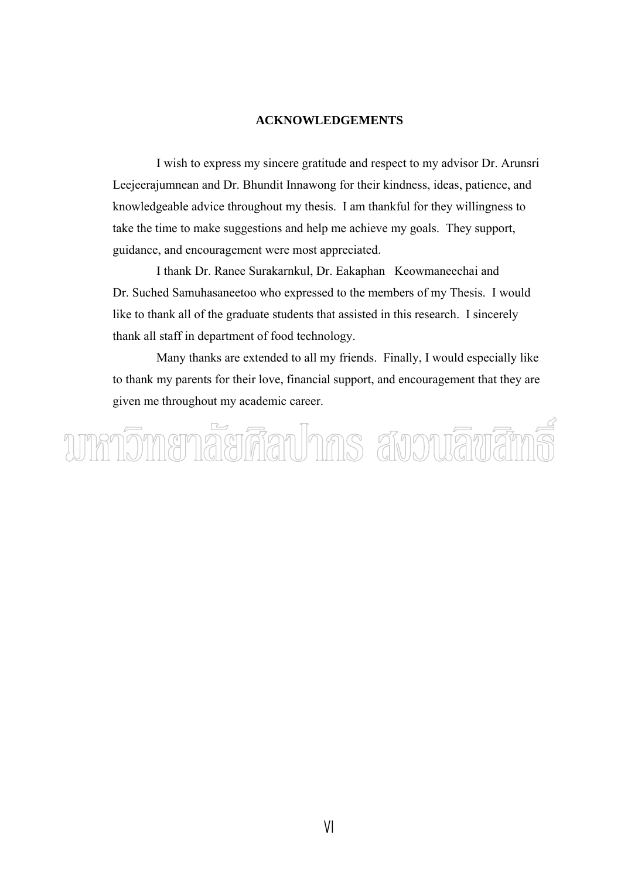# **ACKNOWLEDGEMENTS**

 I wish to express my sincere gratitude and respect to my advisor Dr. Arunsri Leejeerajumnean and Dr. Bhundit Innawong for their kindness, ideas, patience, and knowledgeable advice throughout my thesis. I am thankful for they willingness to take the time to make suggestions and help me achieve my goals. They support, guidance, and encouragement were most appreciated.

 I thank Dr. Ranee Surakarnkul, Dr. Eakaphan Keowmaneechai and Dr. Suched Samuhasaneetoo who expressed to the members of my Thesis. I would like to thank all of the graduate students that assisted in this research. I sincerely thank all staff in department of food technology.

 Many thanks are extended to all my friends. Finally, I would especially like to thank my parents for their love, financial support, and encouragement that they are given me throughout my academic career.

บทกวิทเยาลัยศึลปากร สังวนลิขสิท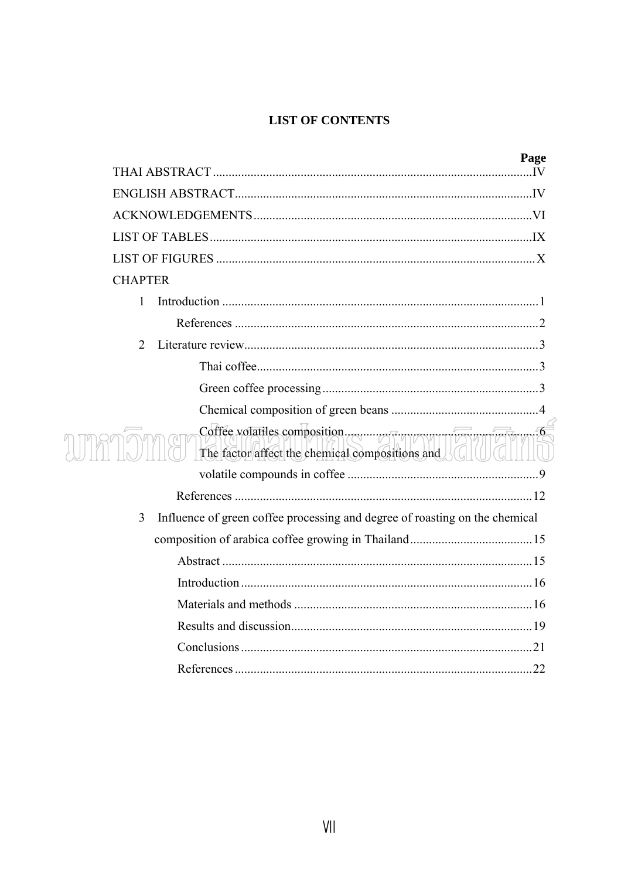# **LIST OF CONTENTS**

|                                                                                  | Page |
|----------------------------------------------------------------------------------|------|
|                                                                                  |      |
|                                                                                  |      |
|                                                                                  |      |
|                                                                                  |      |
|                                                                                  |      |
| <b>CHAPTER</b>                                                                   |      |
| 1                                                                                |      |
|                                                                                  |      |
| 2                                                                                |      |
|                                                                                  |      |
|                                                                                  |      |
|                                                                                  |      |
| Coffee volatiles composition.<br>The factor affect the chemical compositions and |      |
|                                                                                  |      |
|                                                                                  |      |
| Influence of green coffee processing and degree of roasting on the chemical<br>3 |      |
|                                                                                  |      |
|                                                                                  |      |
|                                                                                  |      |
|                                                                                  |      |
|                                                                                  |      |
|                                                                                  |      |
|                                                                                  |      |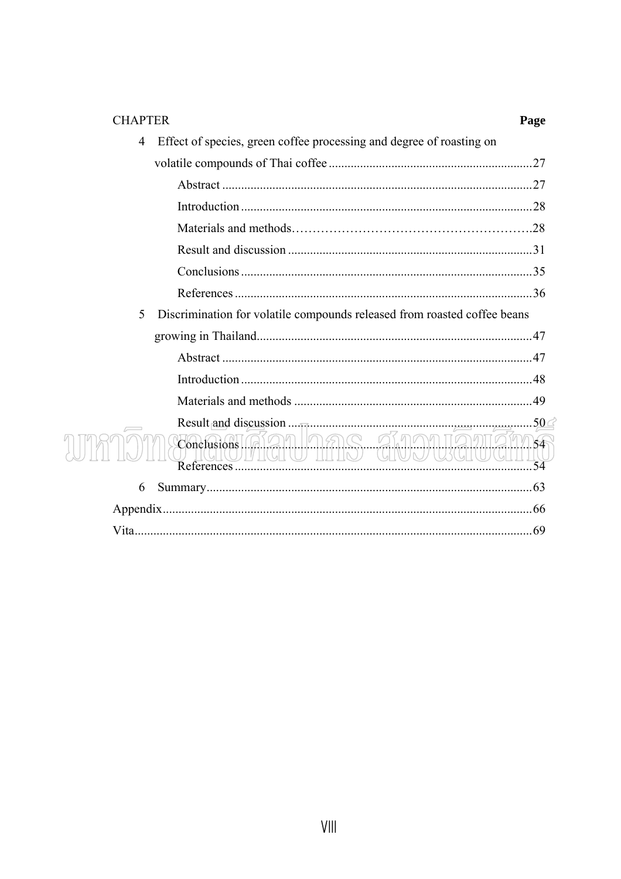| <b>CHAPTER</b> |                                                                          | Page       |
|----------------|--------------------------------------------------------------------------|------------|
| 4              | Effect of species, green coffee processing and degree of roasting on     |            |
|                |                                                                          |            |
|                |                                                                          |            |
|                |                                                                          |            |
|                |                                                                          |            |
|                |                                                                          |            |
|                |                                                                          |            |
|                |                                                                          |            |
| 5              | Discrimination for volatile compounds released from roasted coffee beans |            |
|                |                                                                          |            |
|                |                                                                          |            |
|                |                                                                          |            |
|                |                                                                          |            |
|                | Result and discussion                                                    | .50 $\leq$ |
|                | 1919398 01.99<br>Conclusions<br>ULUN<br>TIT TAN                          | 64         |
| 6              |                                                                          |            |
|                |                                                                          |            |
|                |                                                                          |            |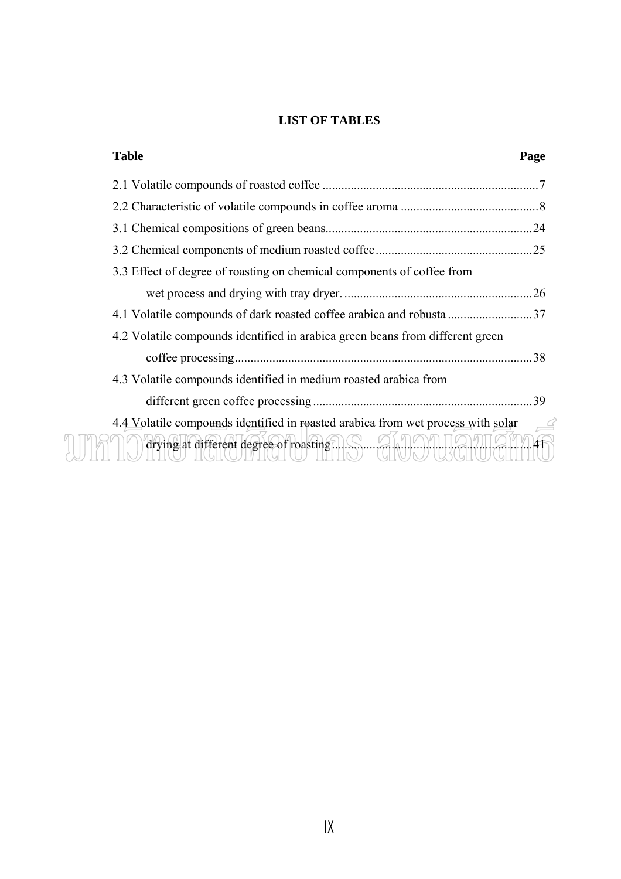# **LIST OF TABLES**

| <b>Table</b>                                                                                                               | Page |
|----------------------------------------------------------------------------------------------------------------------------|------|
|                                                                                                                            |      |
|                                                                                                                            |      |
|                                                                                                                            |      |
|                                                                                                                            |      |
| 3.3 Effect of degree of roasting on chemical components of coffee from                                                     |      |
|                                                                                                                            |      |
|                                                                                                                            |      |
| 4.2 Volatile compounds identified in arabica green beans from different green                                              |      |
|                                                                                                                            | 38   |
| 4.3 Volatile compounds identified in medium roasted arabica from                                                           |      |
|                                                                                                                            | .39  |
| 4.4 Volatile compounds identified in roasted arabica from wet process with solar<br>drying at different degree of roasting |      |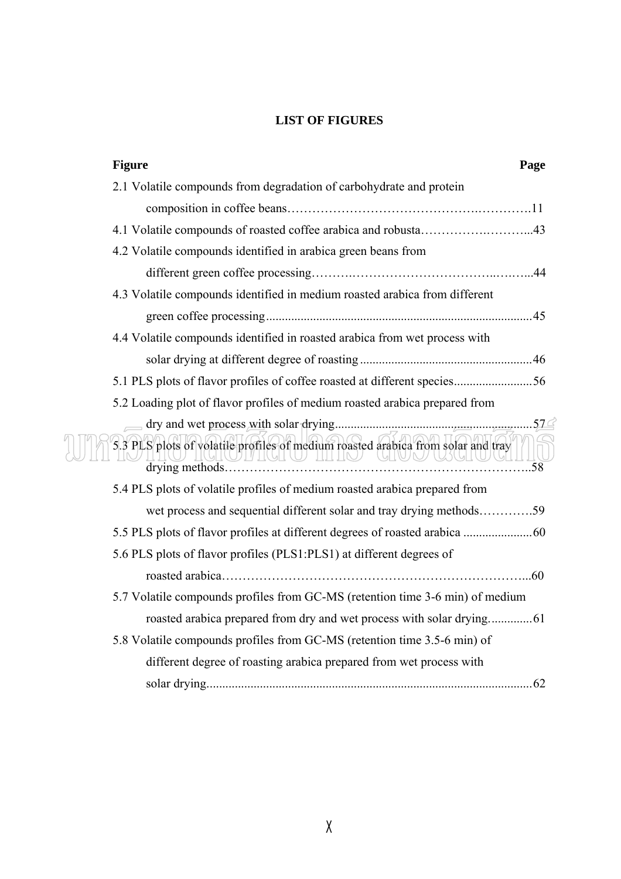# **LIST OF FIGURES**

| <b>Figure</b><br>Page                                                            |
|----------------------------------------------------------------------------------|
| 2.1 Volatile compounds from degradation of carbohydrate and protein              |
|                                                                                  |
| 4.1 Volatile compounds of roasted coffee arabica and robusta43                   |
| 4.2 Volatile compounds identified in arabica green beans from                    |
|                                                                                  |
| 4.3 Volatile compounds identified in medium roasted arabica from different       |
|                                                                                  |
| 4.4 Volatile compounds identified in roasted arabica from wet process with       |
|                                                                                  |
| 5.1 PLS plots of flavor profiles of coffee roasted at different species56        |
| 5.2 Loading plot of flavor profiles of medium roasted arabica prepared from      |
|                                                                                  |
| 5.3 PLS plots of volatile profiles of medium roasted arabica from solar and tray |
| 5.4 PLS plots of volatile profiles of medium roasted arabica prepared from       |
| wet process and sequential different solar and tray drying methods59             |
|                                                                                  |
| 5.6 PLS plots of flavor profiles (PLS1:PLS1) at different degrees of             |
|                                                                                  |
| 5.7 Volatile compounds profiles from GC-MS (retention time 3-6 min) of medium    |
|                                                                                  |
| 5.8 Volatile compounds profiles from GC-MS (retention time 3.5-6 min) of         |
| different degree of roasting arabica prepared from wet process with              |
|                                                                                  |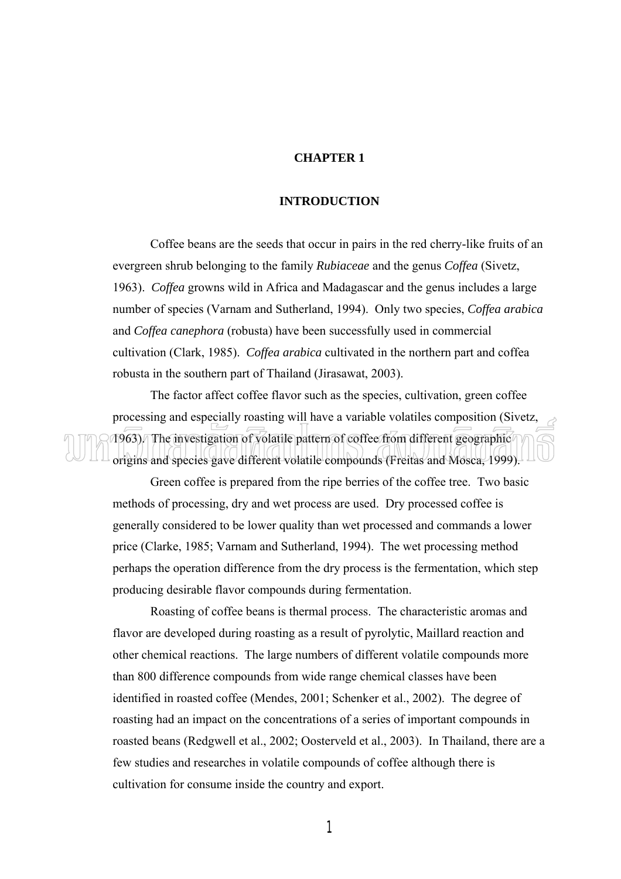# **CHAPTER 1**

# **INTRODUCTION**

 Coffee beans are the seeds that occur in pairs in the red cherry-like fruits of an evergreen shrub belonging to the family *Rubiaceae* and the genus *Coffea* (Sivetz, 1963). *Coffea* growns wild in Africa and Madagascar and the genus includes a large number of species (Varnam and Sutherland, 1994). Only two species, *Coffea arabica* and *Coffea canephora* (robusta) have been successfully used in commercial cultivation (Clark, 1985). *Coffea arabica* cultivated in the northern part and coffea robusta in the southern part of Thailand (Jirasawat, 2003).

 The factor affect coffee flavor such as the species, cultivation, green coffee processing and especially roasting will have a variable volatiles composition (Sivetz, 1963). The investigation of volatile pattern of coffee from different geographic origins and species gave different volatile compounds (Freitas and Mosca, 1999).

 Green coffee is prepared from the ripe berries of the coffee tree. Two basic methods of processing, dry and wet process are used. Dry processed coffee is generally considered to be lower quality than wet processed and commands a lower price (Clarke, 1985; Varnam and Sutherland, 1994). The wet processing method perhaps the operation difference from the dry process is the fermentation, which step producing desirable flavor compounds during fermentation.

 Roasting of coffee beans is thermal process. The characteristic aromas and flavor are developed during roasting as a result of pyrolytic, Maillard reaction and other chemical reactions. The large numbers of different volatile compounds more than 800 difference compounds from wide range chemical classes have been identified in roasted coffee (Mendes, 2001; Schenker et al., 2002). The degree of roasting had an impact on the concentrations of a series of important compounds in roasted beans (Redgwell et al., 2002; Oosterveld et al., 2003). In Thailand, there are a few studies and researches in volatile compounds of coffee although there is cultivation for consume inside the country and export.

1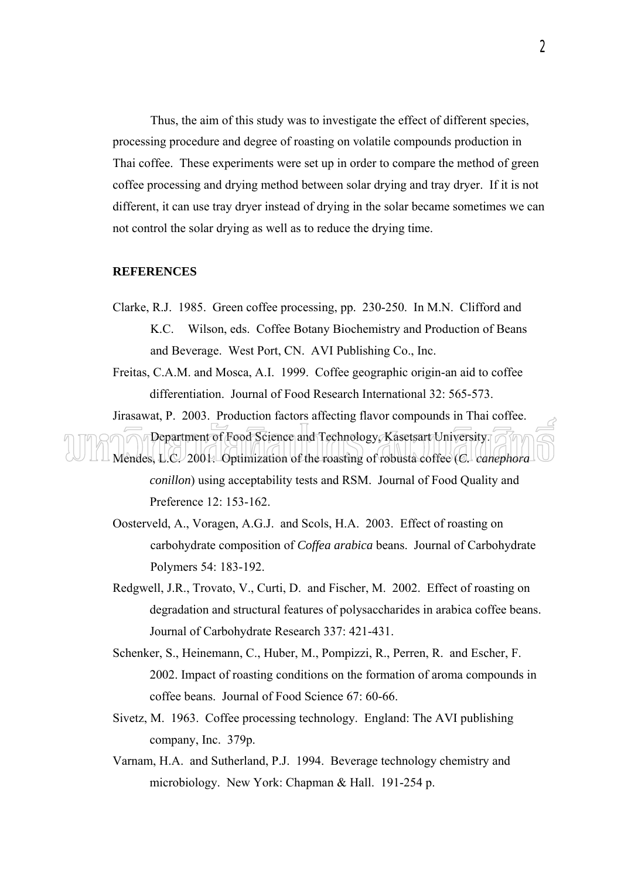Thus, the aim of this study was to investigate the effect of different species, processing procedure and degree of roasting on volatile compounds production in Thai coffee. These experiments were set up in order to compare the method of green coffee processing and drying method between solar drying and tray dryer. If it is not different, it can use tray dryer instead of drying in the solar became sometimes we can not control the solar drying as well as to reduce the drying time.

# **REFERENCES**

- Clarke, R.J. 1985. Green coffee processing, pp. 230-250. In M.N. Clifford and K.C. Wilson, eds. Coffee Botany Biochemistry and Production of Beans and Beverage. West Port, CN. AVI Publishing Co., Inc.
- Freitas, C.A.M. and Mosca, A.I. 1999. Coffee geographic origin-an aid to coffee differentiation. Journal of Food Research International 32: 565-573.

Jirasawat, P. 2003. Production factors affecting flavor compounds in Thai coffee.

Department of Food Science and Technology, Kasetsart University. Mendes, L.C. 2001. Optimization of the roasting of robusta coffee (*C. canephora conillon*) using acceptability tests and RSM. Journal of Food Quality and Preference 12: 153-162.

- Oosterveld, A., Voragen, A.G.J. and Scols, H.A. 2003. Effect of roasting on carbohydrate composition of *Coffea arabica* beans. Journal of Carbohydrate Polymers 54: 183-192.
- Redgwell, J.R., Trovato, V., Curti, D. and Fischer, M. 2002. Effect of roasting on degradation and structural features of polysaccharides in arabica coffee beans. Journal of Carbohydrate Research 337: 421-431.
- Schenker, S., Heinemann, C., Huber, M., Pompizzi, R., Perren, R. and Escher, F. 2002. Impact of roasting conditions on the formation of aroma compounds in coffee beans. Journal of Food Science 67: 60-66.
- Sivetz, M. 1963. Coffee processing technology. England: The AVI publishing company, Inc. 379p.
- Varnam, H.A. and Sutherland, P.J. 1994. Beverage technology chemistry and microbiology. New York: Chapman & Hall. 191-254 p.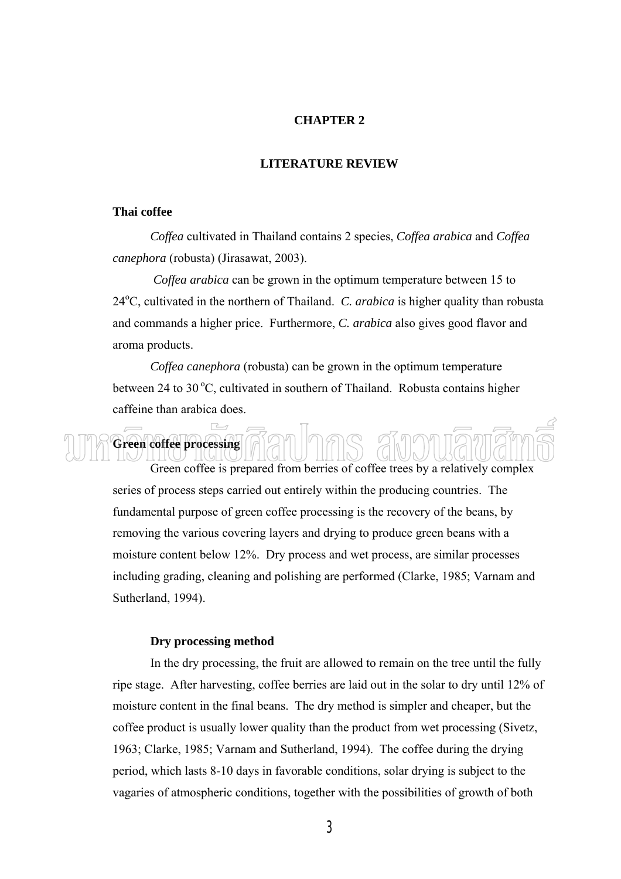# **CHAPTER 2**

# **LITERATURE REVIEW**

# **Thai coffee**

*Coffea* cultivated in Thailand contains 2 species, *Coffea arabica* and *Coffea canephora* (robusta) (Jirasawat, 2003).

*Coffea arabica* can be grown in the optimum temperature between 15 to 24<sup>o</sup>C, cultivated in the northern of Thailand. *C. arabica* is higher quality than robusta and commands a higher price. Furthermore, *C. arabica* also gives good flavor and aroma products.

*Coffea canephora* (robusta) can be grown in the optimum temperature between 24 to 30 $\degree$ C, cultivated in southern of Thailand. Robusta contains higher caffeine than arabica does.

 Green coffee is prepared from berries of coffee trees by a relatively complex series of process steps carried out entirely within the producing countries. The fundamental purpose of green coffee processing is the recovery of the beans, by removing the various covering layers and drying to produce green beans with a moisture content below 12%. Dry process and wet process, are similar processes including grading, cleaning and polishing are performed (Clarke, 1985; Varnam and Sutherland, 1994).

# **Dry processing method**

**Green coffee processing** 

 In the dry processing, the fruit are allowed to remain on the tree until the fully ripe stage. After harvesting, coffee berries are laid out in the solar to dry until 12% of moisture content in the final beans. The dry method is simpler and cheaper, but the coffee product is usually lower quality than the product from wet processing (Sivetz, 1963; Clarke, 1985; Varnam and Sutherland, 1994). The coffee during the drying period, which lasts 8-10 days in favorable conditions, solar drying is subject to the vagaries of atmospheric conditions, together with the possibilities of growth of both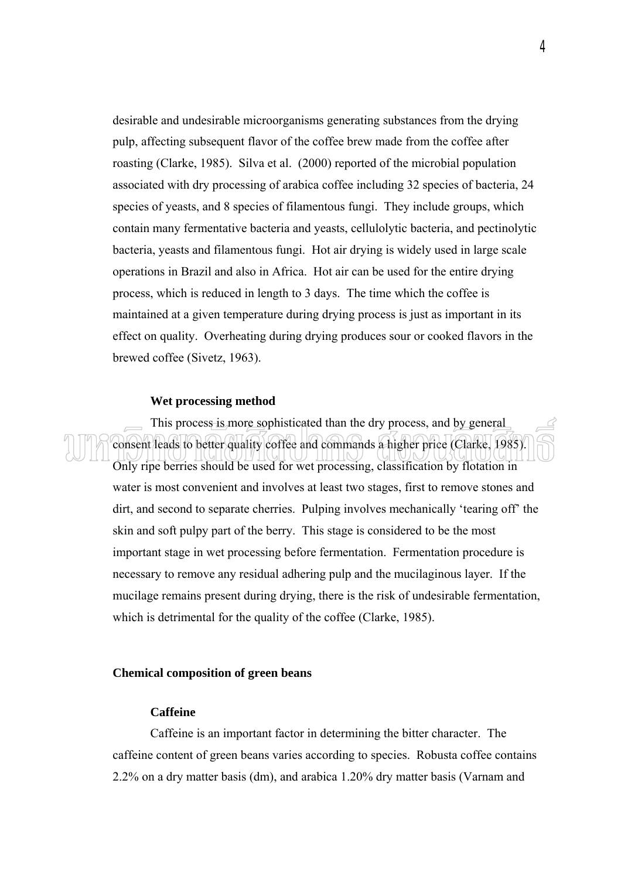desirable and undesirable microorganisms generating substances from the drying pulp, affecting subsequent flavor of the coffee brew made from the coffee after roasting (Clarke, 1985). Silva et al. (2000) reported of the microbial population associated with dry processing of arabica coffee including 32 species of bacteria, 24 species of yeasts, and 8 species of filamentous fungi. They include groups, which contain many fermentative bacteria and yeasts, cellulolytic bacteria, and pectinolytic bacteria, yeasts and filamentous fungi. Hot air drying is widely used in large scale operations in Brazil and also in Africa. Hot air can be used for the entire drying process, which is reduced in length to 3 days. The time which the coffee is maintained at a given temperature during drying process is just as important in its effect on quality. Overheating during drying produces sour or cooked flavors in the brewed coffee (Sivetz, 1963).

#### **Wet processing method**

 This process is more sophisticated than the dry process, and by general consent leads to better quality coffee and commands a higher price (Clarke, 1985). Only ripe berries should be used for wet processing, classification by flotation in water is most convenient and involves at least two stages, first to remove stones and dirt, and second to separate cherries. Pulping involves mechanically 'tearing off' the skin and soft pulpy part of the berry. This stage is considered to be the most important stage in wet processing before fermentation. Fermentation procedure is necessary to remove any residual adhering pulp and the mucilaginous layer. If the mucilage remains present during drying, there is the risk of undesirable fermentation, which is detrimental for the quality of the coffee (Clarke, 1985).

### **Chemical composition of green beans**

# **Caffeine**

 Caffeine is an important factor in determining the bitter character. The caffeine content of green beans varies according to species. Robusta coffee contains 2.2% on a dry matter basis (dm), and arabica 1.20% dry matter basis (Varnam and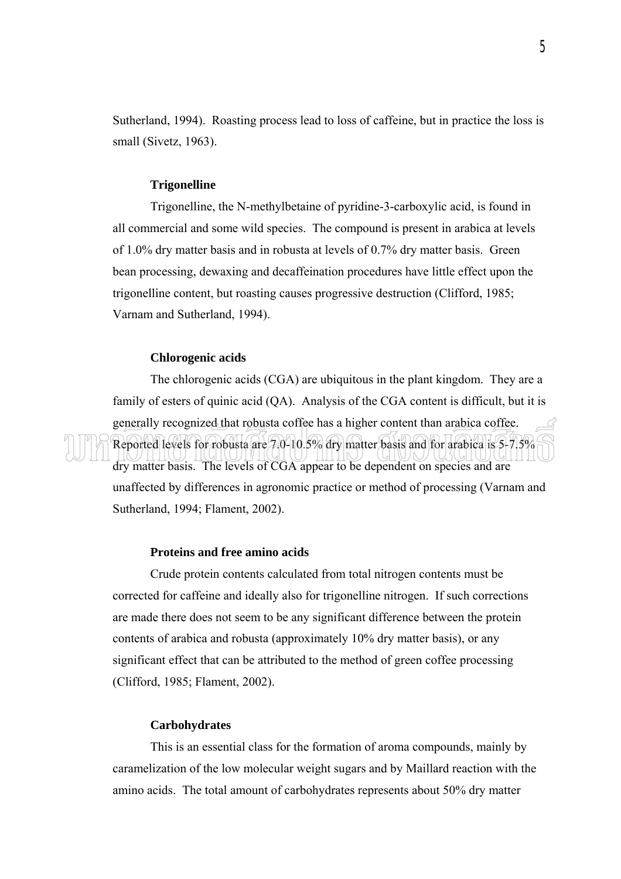Sutherland, 1994). Roasting process lead to loss of caffeine, but in practice the loss is small (Sivetz, 1963).

### **Trigonelline**

 Trigonelline, the N-methylbetaine of pyridine-3-carboxylic acid, is found in all commercial and some wild species. The compound is present in arabica at levels of 1.0% dry matter basis and in robusta at levels of 0.7% dry matter basis. Green bean processing, dewaxing and decaffeination procedures have little effect upon the trigonelline content, but roasting causes progressive destruction (Clifford, 1985; Varnam and Sutherland, 1994).

# **Chlorogenic acids**

 The chlorogenic acids (CGA) are ubiquitous in the plant kingdom. They are a family of esters of quinic acid (QA). Analysis of the CGA content is difficult, but it is generally recognized that robusta coffee has a higher content than arabica coffee. Reported levels for robusta are 7.0-10.5% dry matter basis and for arabica is 5-7.5% dry matter basis. The levels of CGA appear to be dependent on species and are unaffected by differences in agronomic practice or method of processing (Varnam and Sutherland, 1994; Flament, 2002).

#### **Proteins and free amino acids**

 Crude protein contents calculated from total nitrogen contents must be corrected for caffeine and ideally also for trigonelline nitrogen. If such corrections are made there does not seem to be any significant difference between the protein contents of arabica and robusta (approximately 10% dry matter basis), or any significant effect that can be attributed to the method of green coffee processing (Clifford, 1985; Flament, 2002).

# **Carbohydrates**

 This is an essential class for the formation of aroma compounds, mainly by caramelization of the low molecular weight sugars and by Maillard reaction with the amino acids. The total amount of carbohydrates represents about 50% dry matter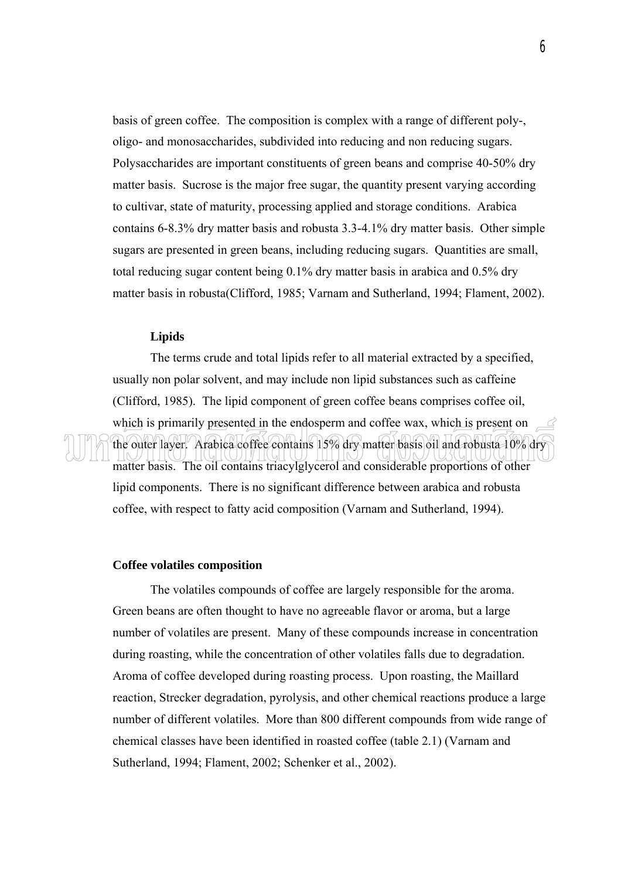basis of green coffee. The composition is complex with a range of different poly-, oligo- and monosaccharides, subdivided into reducing and non reducing sugars. Polysaccharides are important constituents of green beans and comprise 40-50% dry matter basis. Sucrose is the major free sugar, the quantity present varying according to cultivar, state of maturity, processing applied and storage conditions. Arabica contains 6-8.3% dry matter basis and robusta 3.3-4.1% dry matter basis. Other simple sugars are presented in green beans, including reducing sugars. Quantities are small, total reducing sugar content being 0.1% dry matter basis in arabica and 0.5% dry matter basis in robusta(Clifford, 1985; Varnam and Sutherland, 1994; Flament, 2002).

# **Lipids**

 The terms crude and total lipids refer to all material extracted by a specified, usually non polar solvent, and may include non lipid substances such as caffeine (Clifford, 1985). The lipid component of green coffee beans comprises coffee oil, which is primarily presented in the endosperm and coffee wax, which is present on the outer layer. Arabica coffee contains 15% dry matter basis oil and robusta 10% dry matter basis. The oil contains triacylglycerol and considerable proportions of other lipid components. There is no significant difference between arabica and robusta coffee, with respect to fatty acid composition (Varnam and Sutherland, 1994).

#### **Coffee volatiles composition**

 The volatiles compounds of coffee are largely responsible for the aroma. Green beans are often thought to have no agreeable flavor or aroma, but a large number of volatiles are present. Many of these compounds increase in concentration during roasting, while the concentration of other volatiles falls due to degradation. Aroma of coffee developed during roasting process. Upon roasting, the Maillard reaction, Strecker degradation, pyrolysis, and other chemical reactions produce a large number of different volatiles. More than 800 different compounds from wide range of chemical classes have been identified in roasted coffee (table 2.1) (Varnam and Sutherland, 1994; Flament, 2002; Schenker et al., 2002).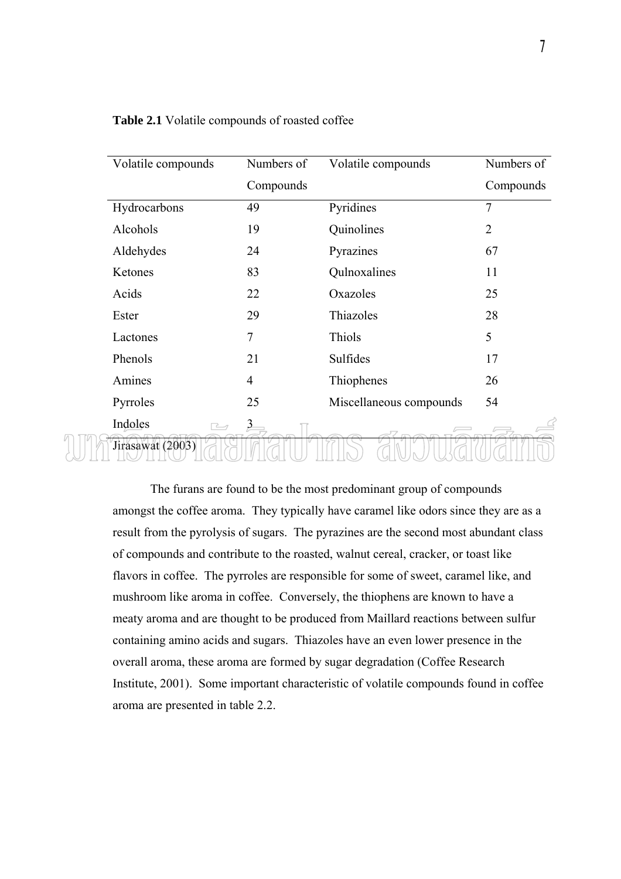| Volatile compounds | Numbers of              | Volatile compounds      | Numbers of     |
|--------------------|-------------------------|-------------------------|----------------|
|                    | Compounds               |                         | Compounds      |
| Hydrocarbons       | 49                      | Pyridines               | 7              |
| Alcohols           | 19                      | Quinolines              | $\overline{2}$ |
| Aldehydes          | 24                      | Pyrazines               | 67             |
| Ketones            | 83                      | Qulnoxalines            | 11             |
| Acids              | 22                      | Oxazoles                | 25             |
| Ester              | 29                      | Thiazoles               | 28             |
| Lactones           | $\overline{7}$          | Thiols                  | 5              |
| Phenols            | 21                      | Sulfides                | 17             |
| Amines             | $\overline{4}$          | Thiophenes              | 26             |
| Pyrroles           | 25                      | Miscellaneous compounds | 54             |
| Indoles            | $\overline{\mathbf{3}}$ |                         |                |
| Jirasawat (2003)   |                         |                         |                |

**Table 2.1** Volatile compounds of roasted coffee

 The furans are found to be the most predominant group of compounds amongst the coffee aroma. They typically have caramel like odors since they are as a result from the pyrolysis of sugars. The pyrazines are the second most abundant class of compounds and contribute to the roasted, walnut cereal, cracker, or toast like flavors in coffee. The pyrroles are responsible for some of sweet, caramel like, and mushroom like aroma in coffee. Conversely, the thiophens are known to have a meaty aroma and are thought to be produced from Maillard reactions between sulfur containing amino acids and sugars. Thiazoles have an even lower presence in the overall aroma, these aroma are formed by sugar degradation (Coffee Research Institute, 2001). Some important characteristic of volatile compounds found in coffee aroma are presented in table 2.2.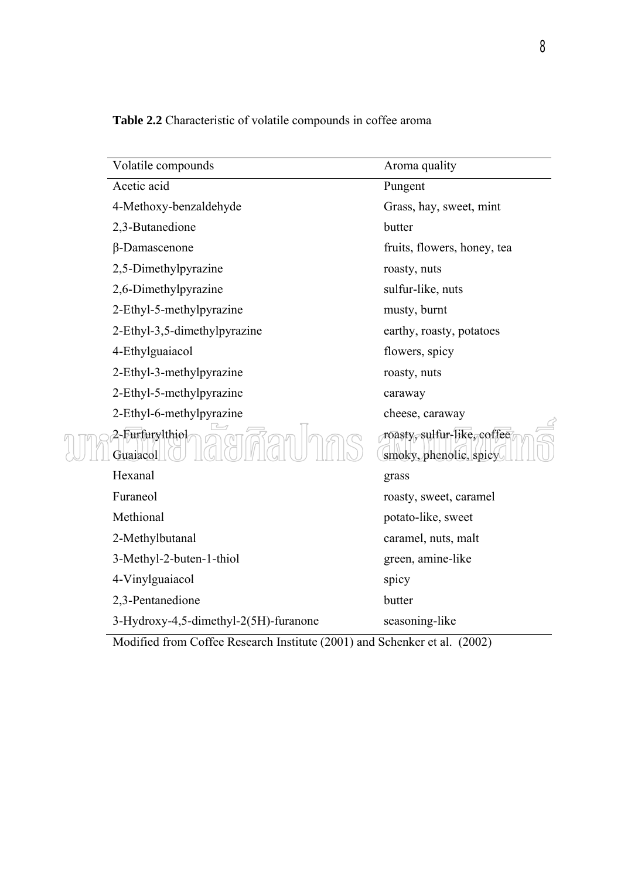| Volatile compounds                    | Aroma quality                                         |
|---------------------------------------|-------------------------------------------------------|
| Acetic acid                           | Pungent                                               |
| 4-Methoxy-benzaldehyde                | Grass, hay, sweet, mint                               |
| 2,3-Butanedione                       | butter                                                |
| β-Damascenone                         | fruits, flowers, honey, tea                           |
| 2,5-Dimethylpyrazine                  | roasty, nuts                                          |
| 2,6-Dimethylpyrazine                  | sulfur-like, nuts                                     |
| 2-Ethyl-5-methylpyrazine              | musty, burnt                                          |
| 2-Ethyl-3,5-dimethylpyrazine          | earthy, roasty, potatoes                              |
| 4-Ethylguaiacol                       | flowers, spicy                                        |
| 2-Ethyl-3-methylpyrazine              | roasty, nuts                                          |
| 2-Ethyl-5-methylpyrazine              | caraway                                               |
| 2-Ethyl-6-methylpyrazine              | cheese, caraway                                       |
| 2-Furfurylthiol<br>Guaiacol           | roasty, sulfur-like, coffee<br>smoky, phenolic, spicy |
| Hexanal                               | grass                                                 |
| Furaneol                              | roasty, sweet, caramel                                |
| Methional                             | potato-like, sweet                                    |
| 2-Methylbutanal                       | caramel, nuts, malt                                   |
| 3-Methyl-2-buten-1-thiol              | green, amine-like                                     |
| 4-Vinylguaiacol                       | spicy                                                 |
| 2,3-Pentanedione                      | butter                                                |
| 3-Hydroxy-4,5-dimethyl-2(5H)-furanone | seasoning-like                                        |

**Table 2.2** Characteristic of volatile compounds in coffee aroma

Modified from Coffee Research Institute (2001) and Schenker et al. (2002)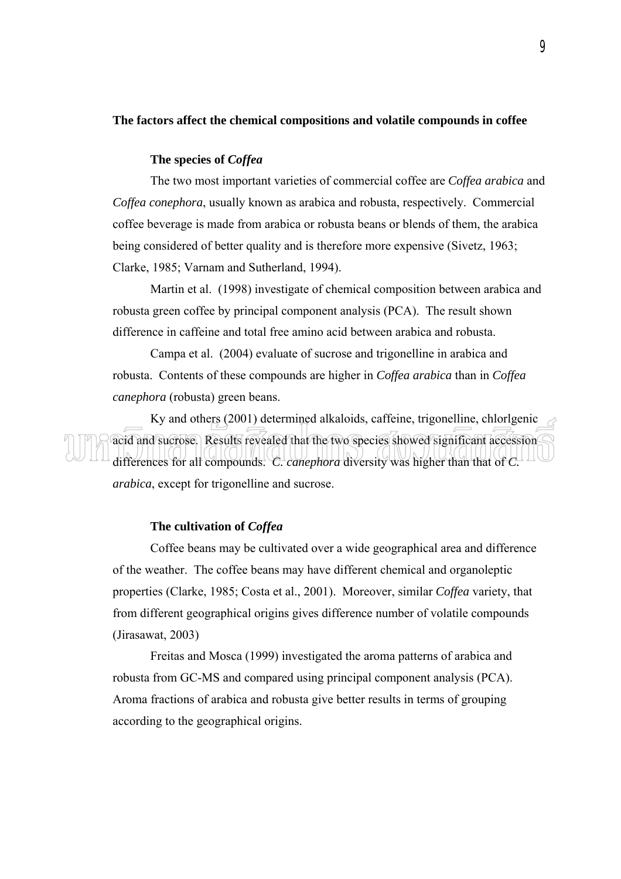# **The factors affect the chemical compositions and volatile compounds in coffee**

# **The species of** *Coffea*

 The two most important varieties of commercial coffee are *Coffea arabica* and *Coffea conephora*, usually known as arabica and robusta, respectively. Commercial coffee beverage is made from arabica or robusta beans or blends of them, the arabica being considered of better quality and is therefore more expensive (Sivetz, 1963; Clarke, 1985; Varnam and Sutherland, 1994).

 Martin et al. (1998) investigate of chemical composition between arabica and robusta green coffee by principal component analysis (PCA). The result shown difference in caffeine and total free amino acid between arabica and robusta.

 Campa et al. (2004) evaluate of sucrose and trigonelline in arabica and robusta. Contents of these compounds are higher in *Coffea arabica* than in *Coffea canephora* (robusta) green beans.

Ky and others (2001) determined alkaloids, caffeine, trigonelline, chlorlgenic  $\rightarrow$ acid and sucrose. Results revealed that the two species showed significant accession differences for all compounds. *C. canephora* diversity was higher than that of *C. arabica*, except for trigonelline and sucrose.

# **The cultivation of** *Coffea*

 Coffee beans may be cultivated over a wide geographical area and difference of the weather. The coffee beans may have different chemical and organoleptic properties (Clarke, 1985; Costa et al., 2001). Moreover, similar *Coffea* variety, that from different geographical origins gives difference number of volatile compounds (Jirasawat, 2003)

 Freitas and Mosca (1999) investigated the aroma patterns of arabica and robusta from GC-MS and compared using principal component analysis (PCA). Aroma fractions of arabica and robusta give better results in terms of grouping according to the geographical origins.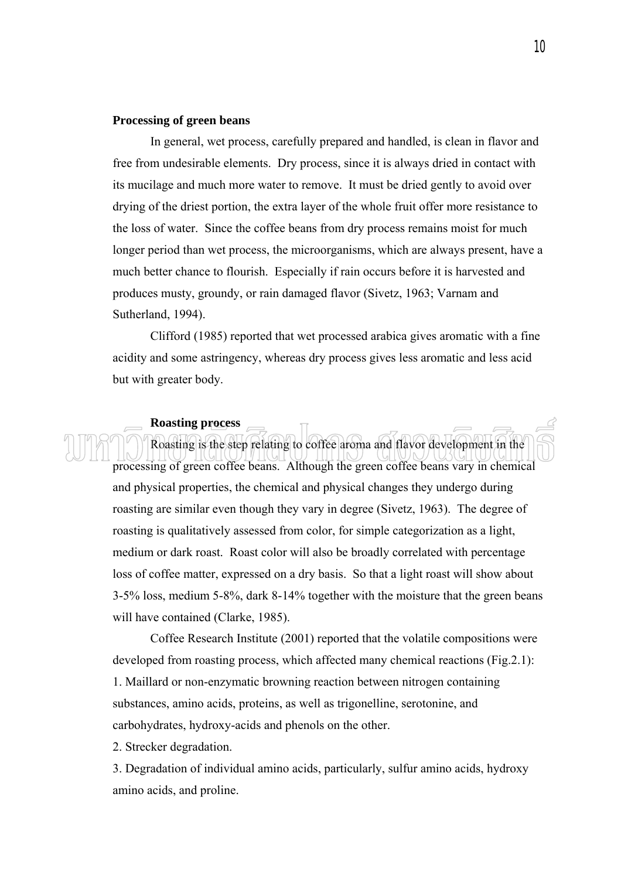# **Processing of green beans**

 In general, wet process, carefully prepared and handled, is clean in flavor and free from undesirable elements. Dry process, since it is always dried in contact with its mucilage and much more water to remove. It must be dried gently to avoid over drying of the driest portion, the extra layer of the whole fruit offer more resistance to the loss of water. Since the coffee beans from dry process remains moist for much longer period than wet process, the microorganisms, which are always present, have a much better chance to flourish. Especially if rain occurs before it is harvested and produces musty, groundy, or rain damaged flavor (Sivetz, 1963; Varnam and Sutherland, 1994).

 Clifford (1985) reported that wet processed arabica gives aromatic with a fine acidity and some astringency, whereas dry process gives less aromatic and less acid but with greater body.

# **Roasting process**

 Roasting is the step relating to coffee aroma and flavor development in the processing of green coffee beans. Although the green coffee beans vary in chemical and physical properties, the chemical and physical changes they undergo during roasting are similar even though they vary in degree (Sivetz, 1963). The degree of roasting is qualitatively assessed from color, for simple categorization as a light, medium or dark roast. Roast color will also be broadly correlated with percentage loss of coffee matter, expressed on a dry basis. So that a light roast will show about 3-5% loss, medium 5-8%, dark 8-14% together with the moisture that the green beans will have contained (Clarke, 1985).

 Coffee Research Institute (2001) reported that the volatile compositions were developed from roasting process, which affected many chemical reactions (Fig.2.1): 1. Maillard or non-enzymatic browning reaction between nitrogen containing substances, amino acids, proteins, as well as trigonelline, serotonine, and carbohydrates, hydroxy-acids and phenols on the other.

2. Strecker degradation.

3. Degradation of individual amino acids, particularly, sulfur amino acids, hydroxy amino acids, and proline.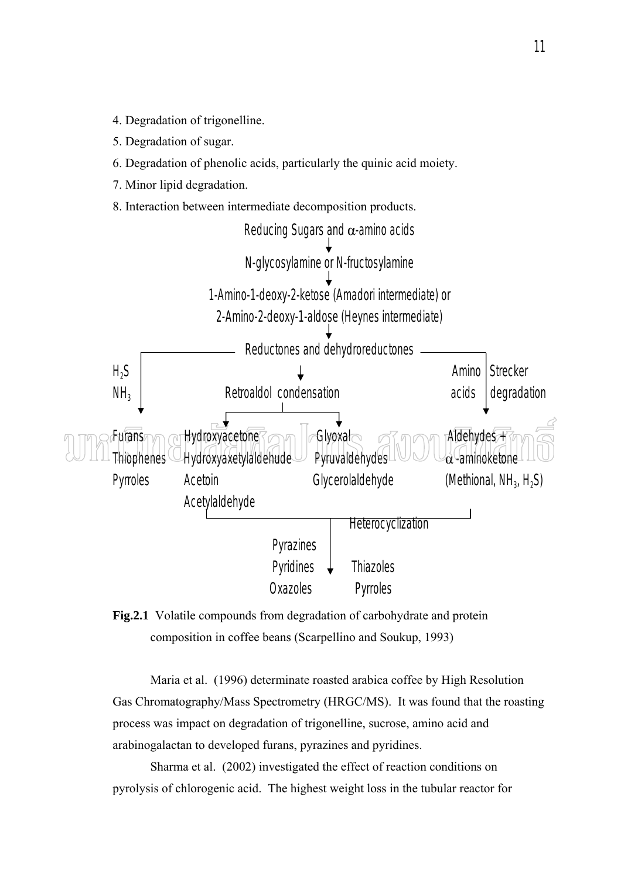- 4. Degradation of trigonelline.
- 5. Degradation of sugar.
- 6. Degradation of phenolic acids, particularly the quinic acid moiety.
- 7. Minor lipid degradation.
- 8. Interaction between intermediate decomposition products.





 Maria et al. (1996) determinate roasted arabica coffee by High Resolution Gas Chromatography/Mass Spectrometry (HRGC/MS). It was found that the roasting process was impact on degradation of trigonelline, sucrose, amino acid and arabinogalactan to developed furans, pyrazines and pyridines.

 Sharma et al. (2002) investigated the effect of reaction conditions on pyrolysis of chlorogenic acid. The highest weight loss in the tubular reactor for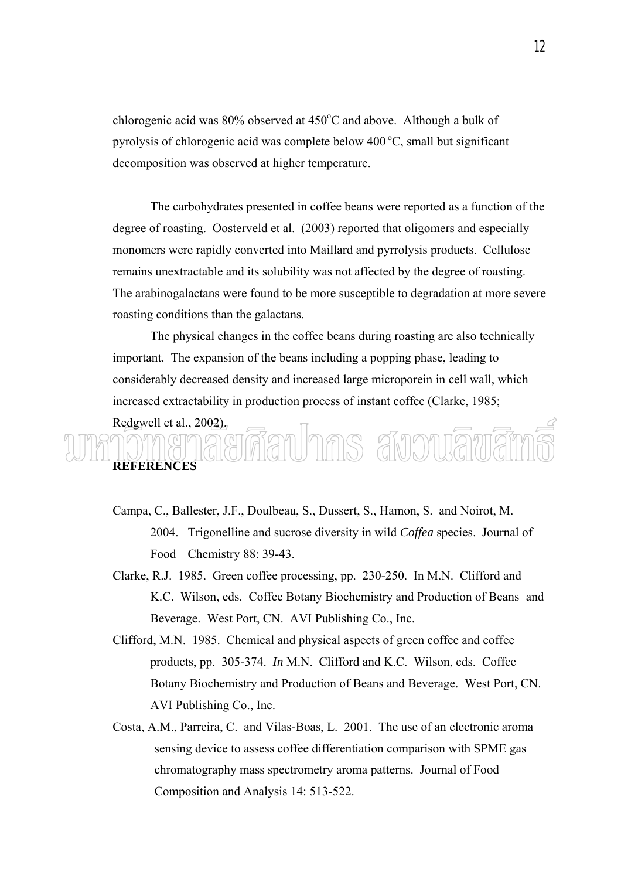chlorogenic acid was  $80\%$  observed at  $450\degree$ C and above. Although a bulk of pyrolysis of chlorogenic acid was complete below  $400^{\circ}$ C, small but significant decomposition was observed at higher temperature.

 The carbohydrates presented in coffee beans were reported as a function of the degree of roasting. Oosterveld et al. (2003) reported that oligomers and especially monomers were rapidly converted into Maillard and pyrrolysis products. Cellulose remains unextractable and its solubility was not affected by the degree of roasting. The arabinogalactans were found to be more susceptible to degradation at more severe roasting conditions than the galactans.

 The physical changes in the coffee beans during roasting are also technically important. The expansion of the beans including a popping phase, leading to considerably decreased density and increased large microporein in cell wall, which increased extractability in production process of instant coffee (Clarke, 1985;

# Redgwell et al., 2002). ruhnis awowawar **REFERENCES**

- Campa, C., Ballester, J.F., Doulbeau, S., Dussert, S., Hamon, S. and Noirot, M. 2004. Trigonelline and sucrose diversity in wild *Coffea* species. Journal of Food Chemistry 88: 39-43.
- Clarke, R.J. 1985. Green coffee processing, pp. 230-250. In M.N. Clifford and K.C. Wilson, eds. Coffee Botany Biochemistry and Production of Beans and Beverage. West Port, CN. AVI Publishing Co., Inc.
- Clifford, M.N. 1985. Chemical and physical aspects of green coffee and coffee products, pp. 305-374. *In* M.N. Clifford and K.C. Wilson, eds. Coffee Botany Biochemistry and Production of Beans and Beverage. West Port, CN. AVI Publishing Co., Inc.
- Costa, A.M., Parreira, C. and Vilas-Boas, L. 2001. The use of an electronic aroma sensing device to assess coffee differentiation comparison with SPME gas chromatography mass spectrometry aroma patterns. Journal of Food Composition and Analysis 14: 513-522.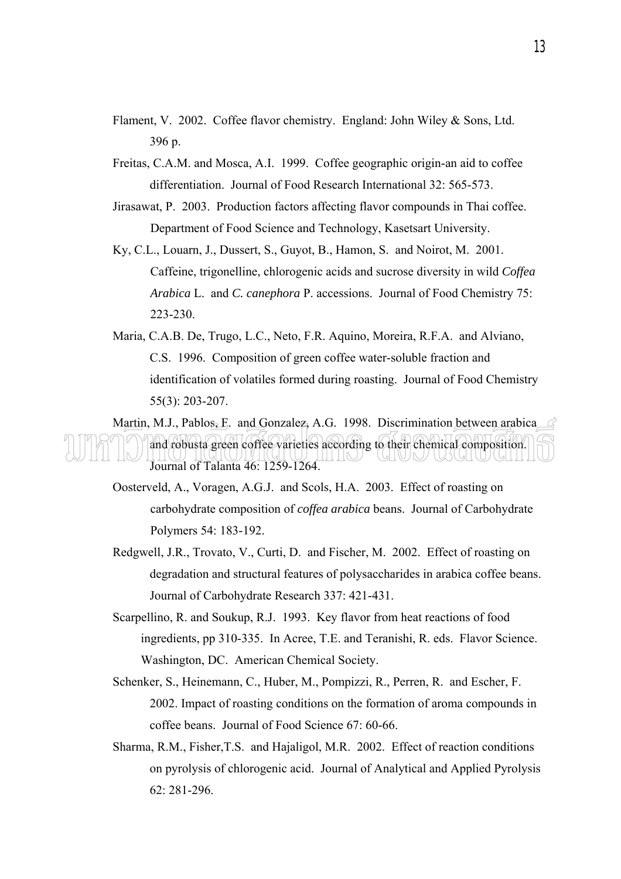- Flament, V. 2002. Coffee flavor chemistry. England: John Wiley & Sons, Ltd. 396 p.
- Freitas, C.A.M. and Mosca, A.I. 1999. Coffee geographic origin-an aid to coffee differentiation. Journal of Food Research International 32: 565-573.
- Jirasawat, P. 2003. Production factors affecting flavor compounds in Thai coffee. Department of Food Science and Technology, Kasetsart University.
- Ky, C.L., Louarn, J., Dussert, S., Guyot, B., Hamon, S. and Noirot, M. 2001. Caffeine, trigonelline, chlorogenic acids and sucrose diversity in wild *Coffea Arabica* L. and *C. canephora* P. accessions. Journal of Food Chemistry 75: 223-230.
- Maria, C.A.B. De, Trugo, L.C., Neto, F.R. Aquino, Moreira, R.F.A. and Alviano, C.S. 1996. Composition of green coffee water-soluble fraction and identification of volatiles formed during roasting. Journal of Food Chemistry 55(3): 203-207.

Martin, M.J., Pablos, E. and Gonzalez, A.G. 1998. Discrimination between arabica and robusta green coffee varieties according to their chemical composition. Journal of Talanta 46: 1259-1264.

- Oosterveld, A., Voragen, A.G.J. and Scols, H.A. 2003. Effect of roasting on carbohydrate composition of *coffea arabica* beans. Journal of Carbohydrate Polymers 54: 183-192.
- Redgwell, J.R., Trovato, V., Curti, D. and Fischer, M. 2002. Effect of roasting on degradation and structural features of polysaccharides in arabica coffee beans. Journal of Carbohydrate Research 337: 421-431.
- Scarpellino, R. and Soukup, R.J. 1993. Key flavor from heat reactions of food ingredients, pp 310-335. In Acree, T.E. and Teranishi, R. eds. Flavor Science. Washington, DC. American Chemical Society.
- Schenker, S., Heinemann, C., Huber, M., Pompizzi, R., Perren, R. and Escher, F. 2002. Impact of roasting conditions on the formation of aroma compounds in coffee beans. Journal of Food Science 67: 60-66.
- Sharma, R.M., Fisher,T.S. and Hajaligol, M.R. 2002. Effect of reaction conditions on pyrolysis of chlorogenic acid. Journal of Analytical and Applied Pyrolysis 62: 281-296.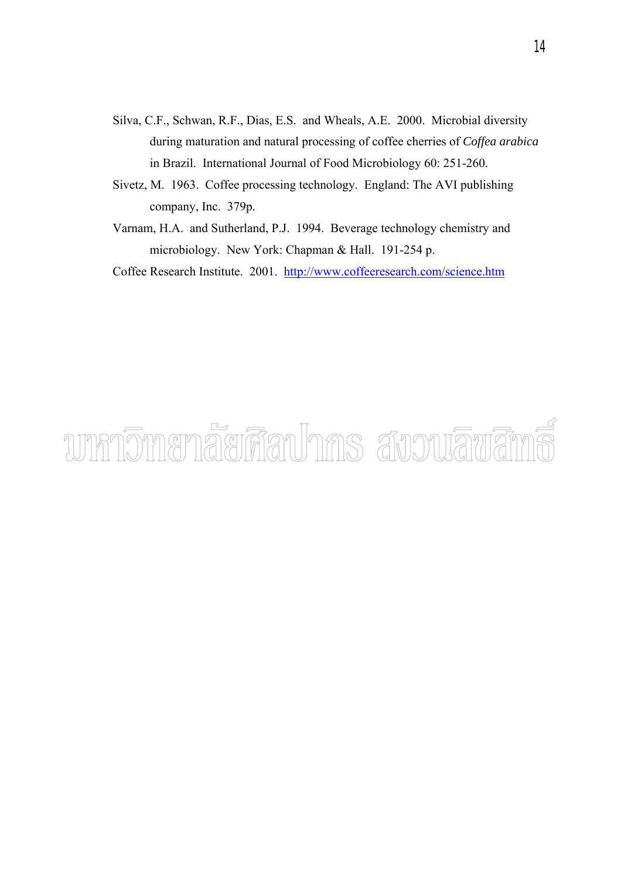- Silva, C.F., Schwan, R.F., Dias, E.S. and Wheals, A.E. 2000. Microbial diversity during maturation and natural processing of coffee cherries of *Coffea arabica* in Brazil. International Journal of Food Microbiology 60: 251-260.
- Sivetz, M. 1963. Coffee processing technology. England: The AVI publishing company, Inc. 379p.
- Varnam, H.A. and Sutherland, P.J. 1994. Beverage technology chemistry and microbiology. New York: Chapman & Hall. 191-254 p.

Coffee Research Institute. 2001. http://www.coffeeresearch.com/science.htm

# unnomenaerāauhns avouāvāms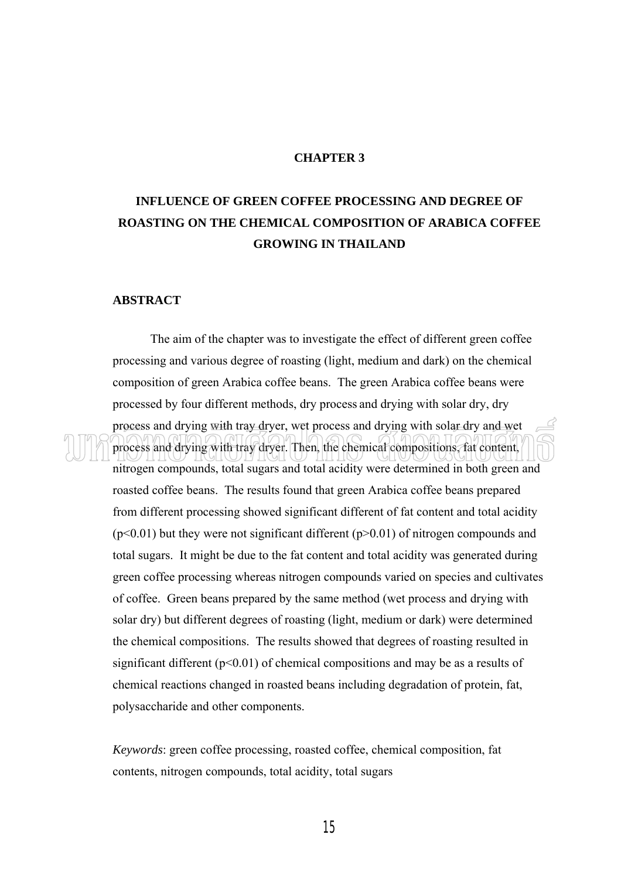# **CHAPTER 3**

# **INFLUENCE OF GREEN COFFEE PROCESSING AND DEGREE OF ROASTING ON THE CHEMICAL COMPOSITION OF ARABICA COFFEE GROWING IN THAILAND**

# **ABSTRACT**

 The aim of the chapter was to investigate the effect of different green coffee processing and various degree of roasting (light, medium and dark) on the chemical composition of green Arabica coffee beans. The green Arabica coffee beans were processed by four different methods, dry process and drying with solar dry, dry process and drying with tray dryer, wet process and drying with solar dry and wet process and drying with tray dryer. Then, the chemical compositions, fat content, nitrogen compounds, total sugars and total acidity were determined in both green and roasted coffee beans. The results found that green Arabica coffee beans prepared from different processing showed significant different of fat content and total acidity  $(p<0.01)$  but they were not significant different  $(p>0.01)$  of nitrogen compounds and total sugars. It might be due to the fat content and total acidity was generated during green coffee processing whereas nitrogen compounds varied on species and cultivates of coffee. Green beans prepared by the same method (wet process and drying with solar dry) but different degrees of roasting (light, medium or dark) were determined the chemical compositions. The results showed that degrees of roasting resulted in significant different  $(p<0.01)$  of chemical compositions and may be as a results of chemical reactions changed in roasted beans including degradation of protein, fat, polysaccharide and other components.

*Keywords*: green coffee processing, roasted coffee, chemical composition, fat contents, nitrogen compounds, total acidity, total sugars

15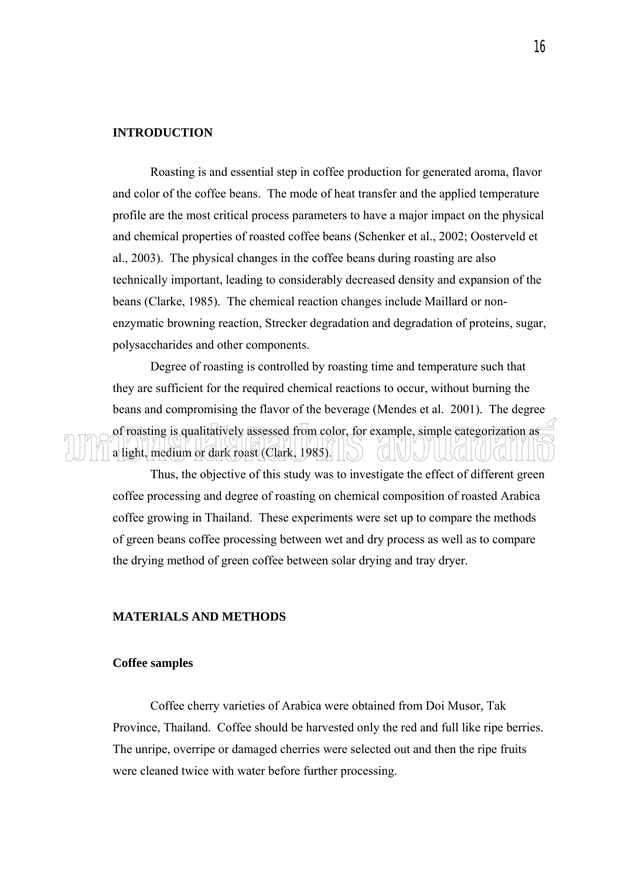# **INTRODUCTION**

 Roasting is and essential step in coffee production for generated aroma, flavor and color of the coffee beans. The mode of heat transfer and the applied temperature profile are the most critical process parameters to have a major impact on the physical and chemical properties of roasted coffee beans (Schenker et al., 2002; Oosterveld et al., 2003). The physical changes in the coffee beans during roasting are also technically important, leading to considerably decreased density and expansion of the beans (Clarke, 1985). The chemical reaction changes include Maillard or nonenzymatic browning reaction, Strecker degradation and degradation of proteins, sugar, polysaccharides and other components.

 Degree of roasting is controlled by roasting time and temperature such that they are sufficient for the required chemical reactions to occur, without burning the beans and compromising the flavor of the beverage (Mendes et al. 2001). The degree of roasting is qualitatively assessed from color, for example, simple categorization as a light, medium or dark roast (Clark, 1985).

 Thus, the objective of this study was to investigate the effect of different green coffee processing and degree of roasting on chemical composition of roasted Arabica coffee growing in Thailand. These experiments were set up to compare the methods of green beans coffee processing between wet and dry process as well as to compare the drying method of green coffee between solar drying and tray dryer.

# **MATERIALS AND METHODS**

# **Coffee samples**

 Coffee cherry varieties of Arabica were obtained from Doi Musor, Tak Province, Thailand. Coffee should be harvested only the red and full like ripe berries. The unripe, overripe or damaged cherries were selected out and then the ripe fruits were cleaned twice with water before further processing.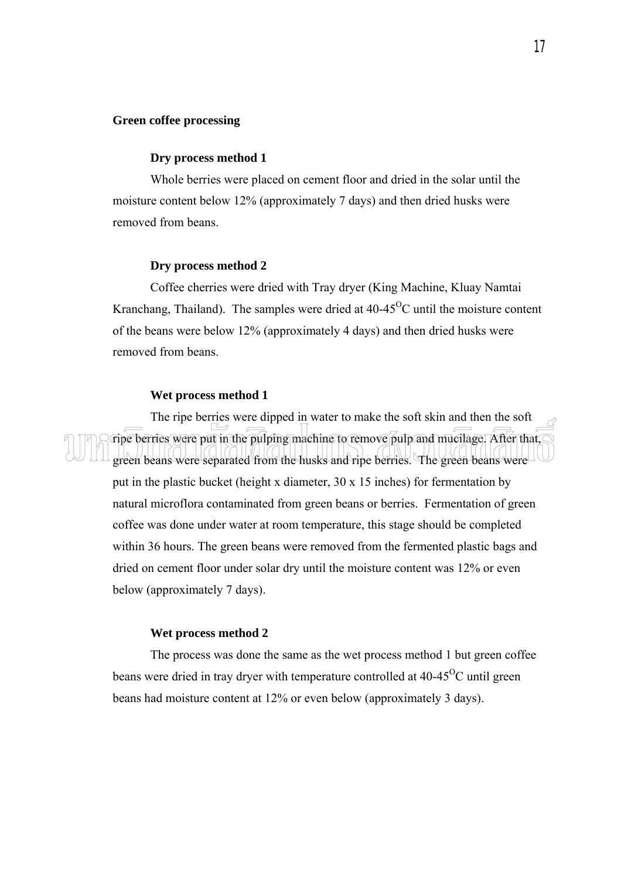# **Green coffee processing**

## **Dry process method 1**

 Whole berries were placed on cement floor and dried in the solar until the moisture content below 12% (approximately 7 days) and then dried husks were removed from beans.

#### **Dry process method 2**

 Coffee cherries were dried with Tray dryer (King Machine, Kluay Namtai Kranchang, Thailand). The samples were dried at  $40-45^{\circ}$ C until the moisture content of the beans were below 12% (approximately 4 days) and then dried husks were removed from beans.

#### **Wet process method 1**

 The ripe berries were dipped in water to make the soft skin and then the soft ripe berries were put in the pulping machine to remove pulp and mucilage. After that, green beans were separated from the husks and ripe berries. The green beans were put in the plastic bucket (height x diameter, 30 x 15 inches) for fermentation by natural microflora contaminated from green beans or berries. Fermentation of green coffee was done under water at room temperature, this stage should be completed within 36 hours. The green beans were removed from the fermented plastic bags and dried on cement floor under solar dry until the moisture content was 12% or even below (approximately 7 days).

### **Wet process method 2**

 The process was done the same as the wet process method 1 but green coffee beans were dried in tray dryer with temperature controlled at  $40-45^{\circ}$ C until green beans had moisture content at 12% or even below (approximately 3 days).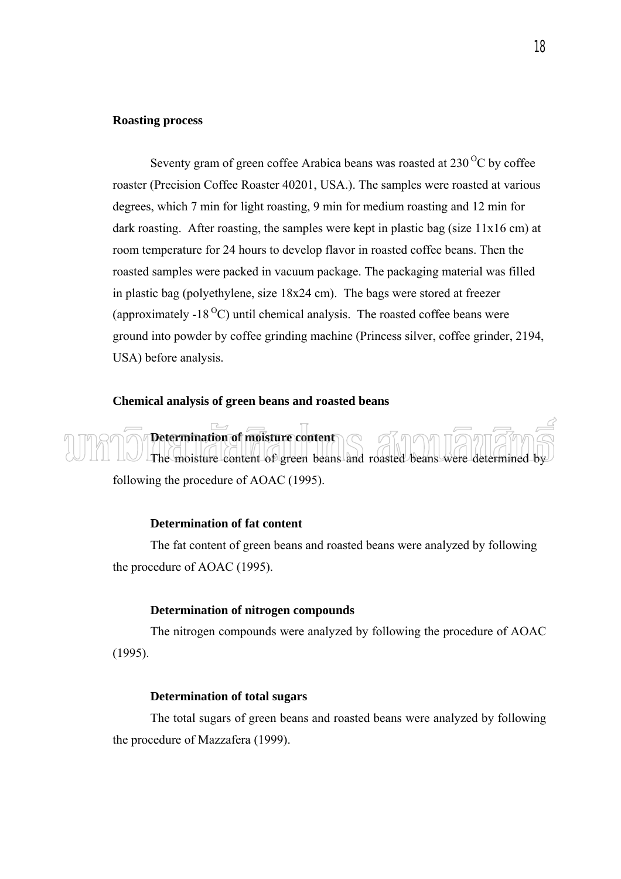# **Roasting process**

Seventy gram of green coffee Arabica beans was roasted at  $230^{\circ}$ C by coffee roaster (Precision Coffee Roaster 40201, USA.). The samples were roasted at various degrees, which 7 min for light roasting, 9 min for medium roasting and 12 min for dark roasting. After roasting, the samples were kept in plastic bag (size 11x16 cm) at room temperature for 24 hours to develop flavor in roasted coffee beans. Then the roasted samples were packed in vacuum package. The packaging material was filled in plastic bag (polyethylene, size 18x24 cm). The bags were stored at freezer (approximately -18<sup> $\degree$ </sup>C) until chemical analysis. The roasted coffee beans were ground into powder by coffee grinding machine (Princess silver, coffee grinder, 2194, USA) before analysis.

# **Chemical analysis of green beans and roasted beans**

 **Determination of moisture content**  The moisture content of green beans and roasted beans were determined by following the procedure of AOAC (1995).

# **Determination of fat content**

 The fat content of green beans and roasted beans were analyzed by following the procedure of AOAC (1995).

# **Determination of nitrogen compounds**

 The nitrogen compounds were analyzed by following the procedure of AOAC (1995).

# **Determination of total sugars**

The total sugars of green beans and roasted beans were analyzed by following the procedure of Mazzafera (1999).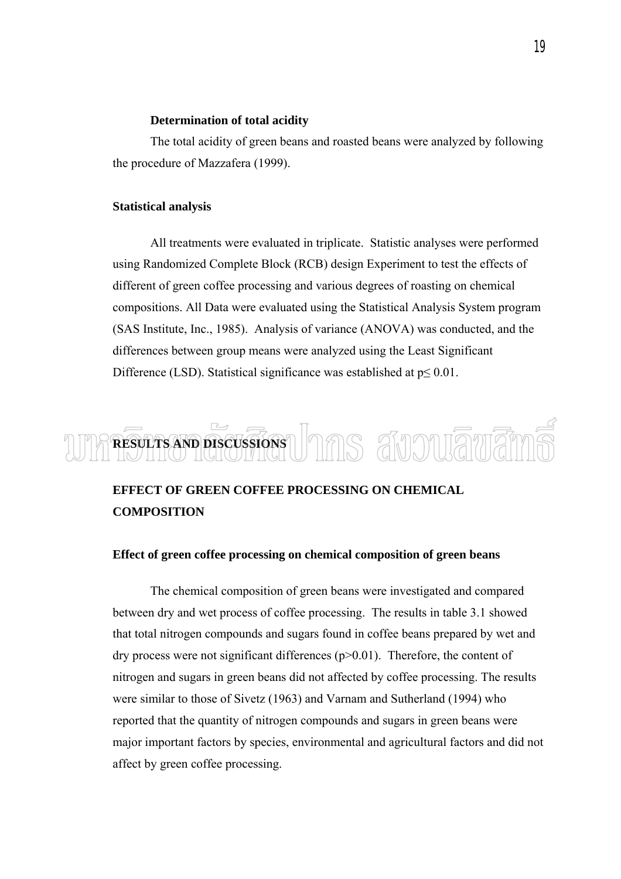### **Determination of total acidity**

The total acidity of green beans and roasted beans were analyzed by following the procedure of Mazzafera (1999).

#### **Statistical analysis**

 All treatments were evaluated in triplicate. Statistic analyses were performed using Randomized Complete Block (RCB) design Experiment to test the effects of different of green coffee processing and various degrees of roasting on chemical compositions. All Data were evaluated using the Statistical Analysis System program (SAS Institute, Inc., 1985). Analysis of variance (ANOVA) was conducted, and the differences between group means were analyzed using the Least Significant Difference (LSD). Statistical significance was established at  $p \le 0.01$ .

# **RESULTS AND DISCUSSIONS**  Jnns สังวงแล็พสิท

# **EFFECT OF GREEN COFFEE PROCESSING ON CHEMICAL COMPOSITION**

# **Effect of green coffee processing on chemical composition of green beans**

 The chemical composition of green beans were investigated and compared between dry and wet process of coffee processing. The results in table 3.1 showed that total nitrogen compounds and sugars found in coffee beans prepared by wet and dry process were not significant differences  $(p>0.01)$ . Therefore, the content of nitrogen and sugars in green beans did not affected by coffee processing. The results were similar to those of Sivetz (1963) and Varnam and Sutherland (1994) who reported that the quantity of nitrogen compounds and sugars in green beans were major important factors by species, environmental and agricultural factors and did not affect by green coffee processing.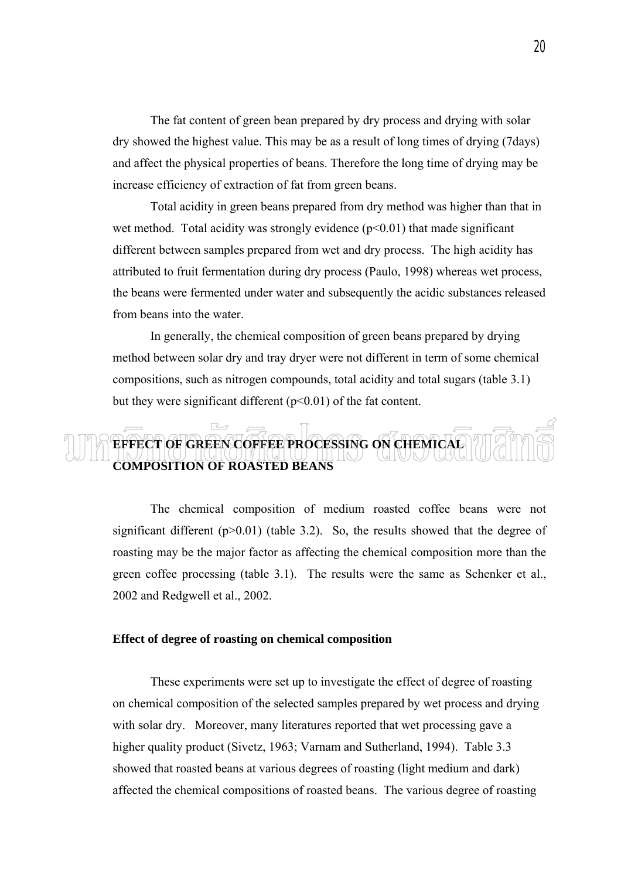The fat content of green bean prepared by dry process and drying with solar dry showed the highest value. This may be as a result of long times of drying (7days) and affect the physical properties of beans. Therefore the long time of drying may be increase efficiency of extraction of fat from green beans.

Total acidity in green beans prepared from dry method was higher than that in wet method. Total acidity was strongly evidence  $(p<0.01)$  that made significant different between samples prepared from wet and dry process. The high acidity has attributed to fruit fermentation during dry process (Paulo, 1998) whereas wet process, the beans were fermented under water and subsequently the acidic substances released from beans into the water.

 In generally, the chemical composition of green beans prepared by drying method between solar dry and tray dryer were not different in term of some chemical compositions, such as nitrogen compounds, total acidity and total sugars (table 3.1) but they were significant different  $(p<0.01)$  of the fat content.

# $\overline{\phantom{a}}$ **EFFECT OF GREEN COFFEE PROCESSING ON CHEMICAL COMPOSITION OF ROASTED BEANS**

 The chemical composition of medium roasted coffee beans were not significant different  $(p>0.01)$  (table 3.2). So, the results showed that the degree of roasting may be the major factor as affecting the chemical composition more than the green coffee processing (table 3.1). The results were the same as Schenker et al., 2002 and Redgwell et al., 2002.

## **Effect of degree of roasting on chemical composition**

 These experiments were set up to investigate the effect of degree of roasting on chemical composition of the selected samples prepared by wet process and drying with solar dry. Moreover, many literatures reported that wet processing gave a higher quality product (Sivetz, 1963; Varnam and Sutherland, 1994). Table 3.3 showed that roasted beans at various degrees of roasting (light medium and dark) affected the chemical compositions of roasted beans. The various degree of roasting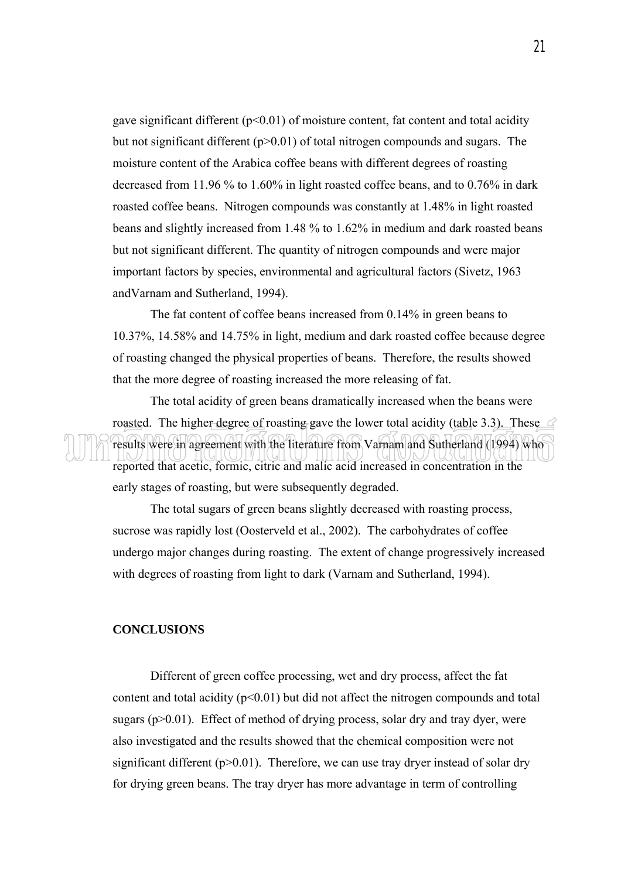gave significant different ( $p<0.01$ ) of moisture content, fat content and total acidity but not significant different (p>0.01) of total nitrogen compounds and sugars. The moisture content of the Arabica coffee beans with different degrees of roasting decreased from 11.96 % to 1.60% in light roasted coffee beans, and to 0.76% in dark roasted coffee beans. Nitrogen compounds was constantly at 1.48% in light roasted beans and slightly increased from 1.48 % to 1.62% in medium and dark roasted beans but not significant different. The quantity of nitrogen compounds and were major important factors by species, environmental and agricultural factors (Sivetz, 1963 andVarnam and Sutherland, 1994).

 The fat content of coffee beans increased from 0.14% in green beans to 10.37%, 14.58% and 14.75% in light, medium and dark roasted coffee because degree of roasting changed the physical properties of beans. Therefore, the results showed that the more degree of roasting increased the more releasing of fat.

The total acidity of green beans dramatically increased when the beans were roasted. The higher degree of roasting gave the lower total acidity (table 3.3). These  $\leq$ results were in agreement with the literature from Varnam and Sutherland (1994) who reported that acetic, formic, citric and malic acid increased in concentration in the early stages of roasting, but were subsequently degraded.

The total sugars of green beans slightly decreased with roasting process, sucrose was rapidly lost (Oosterveld et al., 2002). The carbohydrates of coffee undergo major changes during roasting. The extent of change progressively increased with degrees of roasting from light to dark (Varnam and Sutherland, 1994).

## **CONCLUSIONS**

 Different of green coffee processing, wet and dry process, affect the fat content and total acidity  $(p<0.01)$  but did not affect the nitrogen compounds and total sugars ( $p > 0.01$ ). Effect of method of drying process, solar dry and tray dyer, were also investigated and the results showed that the chemical composition were not significant different  $(p>0.01)$ . Therefore, we can use tray dryer instead of solar dry for drying green beans. The tray dryer has more advantage in term of controlling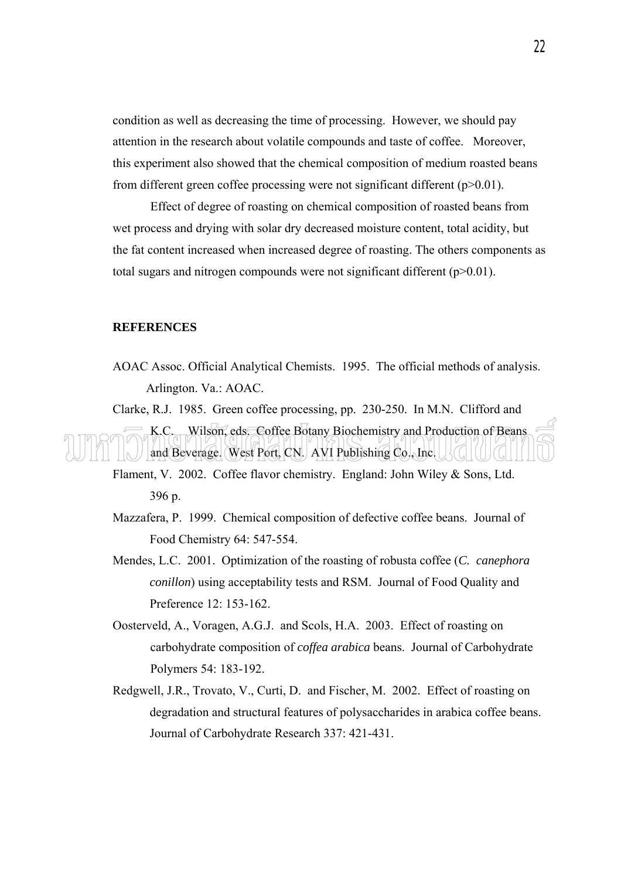condition as well as decreasing the time of processing. However, we should pay attention in the research about volatile compounds and taste of coffee. Moreover, this experiment also showed that the chemical composition of medium roasted beans from different green coffee processing were not significant different (p>0.01).

Effect of degree of roasting on chemical composition of roasted beans from wet process and drying with solar dry decreased moisture content, total acidity, but the fat content increased when increased degree of roasting. The others components as total sugars and nitrogen compounds were not significant different (p>0.01).

### **REFERENCES**

AOAC Assoc. Official Analytical Chemists. 1995. The official methods of analysis. Arlington. Va.: AOAC.

Clarke, R.J. 1985. Green coffee processing, pp. 230-250. In M.N. Clifford and K.C. Wilson, eds. Coffee Botany Biochemistry and Production of Beans and Beverage. West Port, CN. AVI Publishing Co., Inc.

Flament, V. 2002. Coffee flavor chemistry. England: John Wiley & Sons, Ltd. 396 p.

Mazzafera, P. 1999. Chemical composition of defective coffee beans. Journal of Food Chemistry 64: 547-554.

- Mendes, L.C. 2001. Optimization of the roasting of robusta coffee (*C. canephora conillon*) using acceptability tests and RSM. Journal of Food Quality and Preference 12: 153-162.
- Oosterveld, A., Voragen, A.G.J. and Scols, H.A. 2003. Effect of roasting on carbohydrate composition of *coffea arabica* beans. Journal of Carbohydrate Polymers 54: 183-192.
- Redgwell, J.R., Trovato, V., Curti, D. and Fischer, M. 2002. Effect of roasting on degradation and structural features of polysaccharides in arabica coffee beans. Journal of Carbohydrate Research 337: 421-431.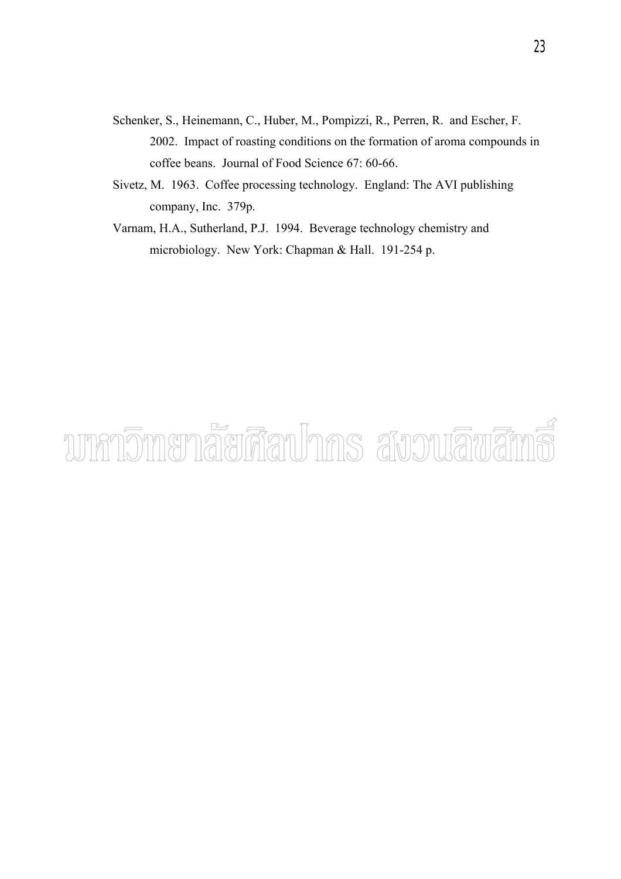- Schenker, S., Heinemann, C., Huber, M., Pompizzi, R., Perren, R. and Escher, F. 2002. Impact of roasting conditions on the formation of aroma compounds in coffee beans. Journal of Food Science 67: 60-66.
- Sivetz, M. 1963. Coffee processing technology. England: The AVI publishing company, Inc. 379p.
- Varnam, H.A., Sutherland, P.J. 1994. Beverage technology chemistry and microbiology. New York: Chapman & Hall. 191-254 p.

# unnomenaerāauhns avouāvāms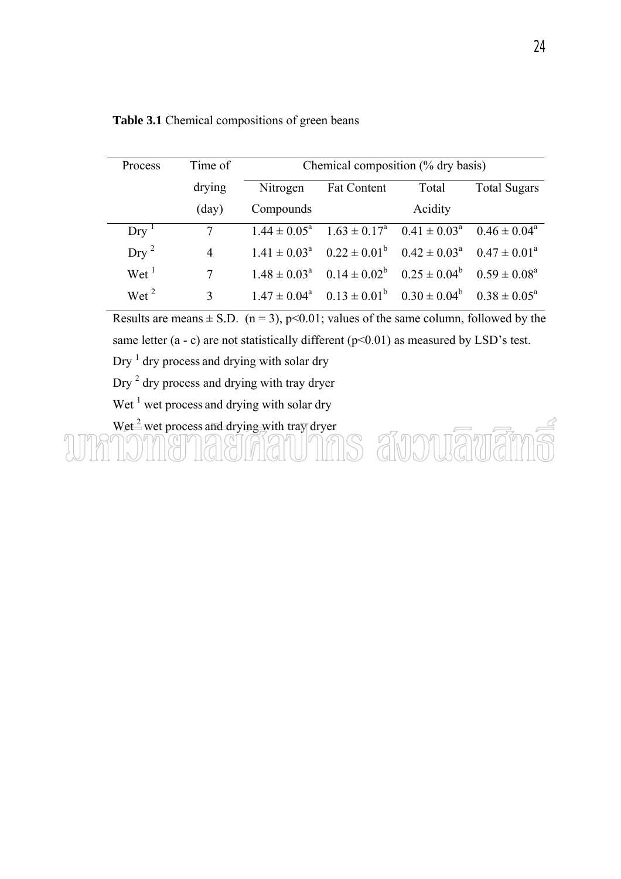| <b>Process</b>             | Time of        | Chemical composition (% dry basis) |                                                                         |         |                     |
|----------------------------|----------------|------------------------------------|-------------------------------------------------------------------------|---------|---------------------|
|                            | drying         | Nitrogen                           | <b>Fat Content</b>                                                      | Total   | <b>Total Sugars</b> |
|                            | $\text{(day)}$ | Compounds                          |                                                                         | Acidity |                     |
| $Dry-1$                    | 7              |                                    | $1.44 \pm 0.05^a$ $1.63 \pm 0.17^a$ $0.41 \pm 0.03^a$ $0.46 \pm 0.04^a$ |         |                     |
| $_{\rm{Dry}}$ <sup>2</sup> | $\overline{4}$ |                                    | $1.41 \pm 0.03^a$ $0.22 \pm 0.01^b$ $0.42 \pm 0.03^a$ $0.47 \pm 0.01^a$ |         |                     |
| Wet <sup>1</sup>           | 7              |                                    | $1.48 \pm 0.03^a$ $0.14 \pm 0.02^b$ $0.25 \pm 0.04^b$ $0.59 \pm 0.08^a$ |         |                     |
| Wet <sup>2</sup>           | $\mathcal{E}$  |                                    | $1.47 \pm 0.04^a$ $0.13 \pm 0.01^b$ $0.30 \pm 0.04^b$ $0.38 \pm 0.05^a$ |         |                     |

**Table 3.1** Chemical compositions of green beans

Results are means  $\pm$  S.D. (n = 3), p<0.01; values of the same column, followed by the same letter  $(a - c)$  are not statistically different  $(p<0.01)$  as measured by LSD's test.

Dry  $<sup>1</sup>$  dry process and drying with solar dry</sup>

Dry<sup>2</sup> dry process and drying with tray dryer

Wet  $<sup>1</sup>$  wet process and drying with solar dry</sup>

Wet  $\stackrel{?}{=}$  wet process and drying with tray dryer Ŕ สังวนลิขสิท  $SS$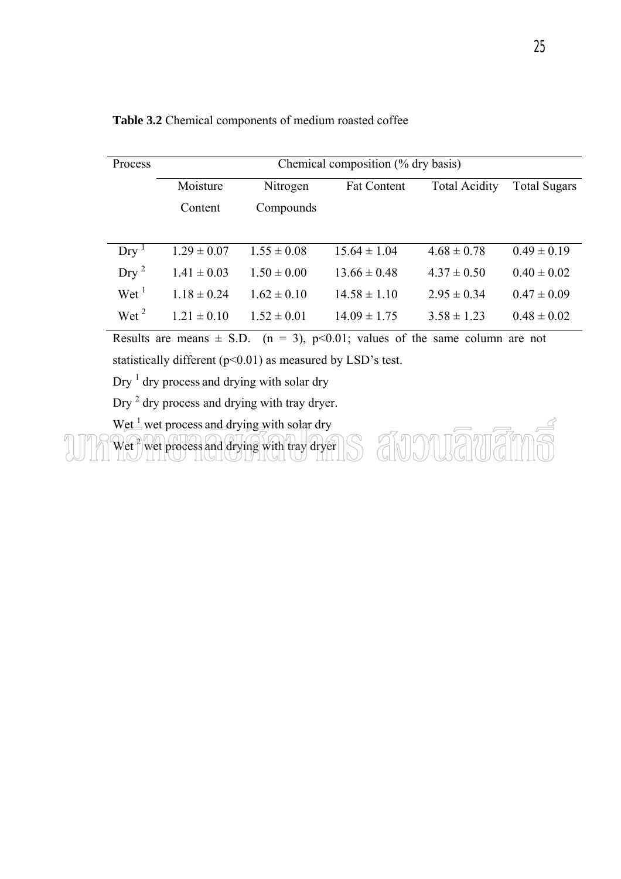| Process                    | Chemical composition (% dry basis) |                 |                    |                      |                     |
|----------------------------|------------------------------------|-----------------|--------------------|----------------------|---------------------|
|                            | Moisture                           | Nitrogen        | <b>Fat Content</b> | <b>Total Acidity</b> | <b>Total Sugars</b> |
|                            | Content                            | Compounds       |                    |                      |                     |
|                            |                                    |                 |                    |                      |                     |
| $Dry-1$                    | $1.29 \pm 0.07$                    | $1.55 \pm 0.08$ | $15.64 \pm 1.04$   | $4.68 \pm 0.78$      | $0.49 \pm 0.19$     |
| $_{\rm{Dry}}$ <sup>2</sup> | $1.41 \pm 0.03$                    | $1.50 \pm 0.00$ | $13.66 \pm 0.48$   | $4.37 \pm 0.50$      | $0.40 \pm 0.02$     |
| Wet <sup>1</sup>           | $1.18 \pm 0.24$                    | $1.62 \pm 0.10$ | $14.58 \pm 1.10$   | $2.95 \pm 0.34$      | $0.47 \pm 0.09$     |
| Wet <sup>2</sup>           | $1.21 \pm 0.10$                    | $1.52 \pm 0.01$ | $14.09 \pm 1.75$   | $3.58 \pm 1.23$      | $0.48 \pm 0.02$     |

**Table 3.2** Chemical components of medium roasted coffee

Results are means  $\pm$  S.D. (n = 3), p<0.01; values of the same column are not

statistically different ( $p$ <0.01) as measured by LSD's test.

Dry  $<sup>1</sup>$  dry process and drying with solar dry</sup>

Dry  $<sup>2</sup>$  dry process and drying with tray dryer.</sup>

Wet  $\frac{1}{2}$  wet process and drying with solar dry

Wet <sup>2</sup> wet process and drying with tray dryer

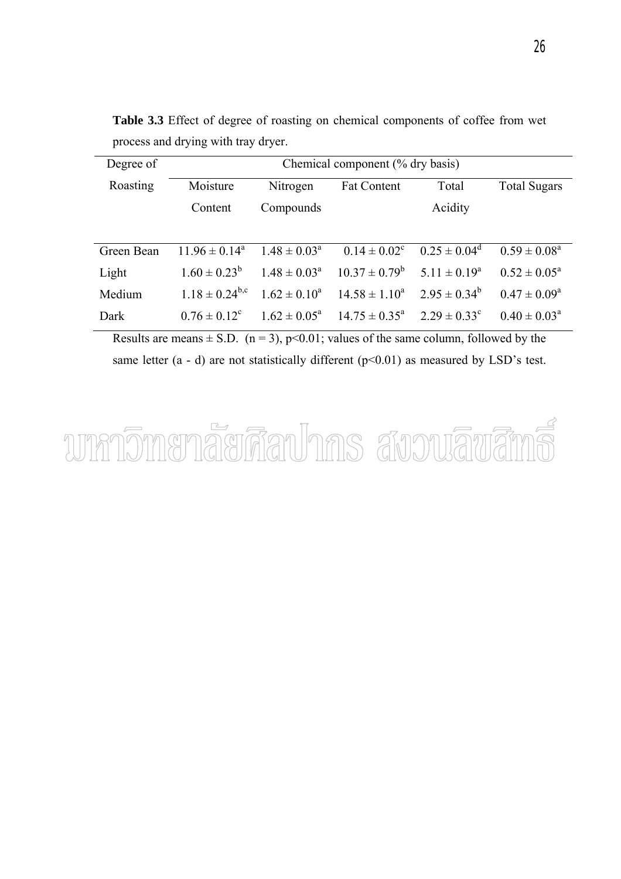| Degree of  | Chemical component (% dry basis) |                         |                             |                         |                            |
|------------|----------------------------------|-------------------------|-----------------------------|-------------------------|----------------------------|
| Roasting   | Moisture                         | Nitrogen                | <b>Fat Content</b>          | Total                   | <b>Total Sugars</b>        |
|            | Content                          | Compounds               |                             | Acidity                 |                            |
|            |                                  |                         |                             |                         |                            |
| Green Bean | $11.96 \pm 0.14^a$               | $1.48 \pm 0.03^{\circ}$ | $0.14 \pm 0.02^c$           | $0.25 \pm 0.04^{\circ}$ | $0.59 \pm 0.08^a$          |
| Light      | $1.60 \pm 0.23^b$                | $1.48 \pm 0.03^{\circ}$ | $10.37 \pm 0.79^b$          | $5.11 \pm 0.19^a$       | $0.52 \pm 0.05^{\circ}$    |
| Medium     | $1.18 \pm 0.24^{b,c}$            | $1.62 \pm 0.10^a$       | $14.58 \pm 1.10^a$          | $2.95 \pm 0.34^b$       | $0.47 \pm 0.09^a$          |
| Dark       | $0.76 \pm 0.12^c$                | $1.62 \pm 0.05^{\circ}$ | $14.75 \pm 0.35^{\text{a}}$ | $2.29 \pm 0.33^c$       | $0.40 \pm 0.03^{\text{a}}$ |

**Table 3.3** Effect of degree of roasting on chemical components of coffee from wet process and drying with tray dryer.

Results are means  $\pm$  S.D. (n = 3), p<0.01; values of the same column, followed by the same letter  $(a - d)$  are not statistically different  $(p<0.01)$  as measured by LSD's test.

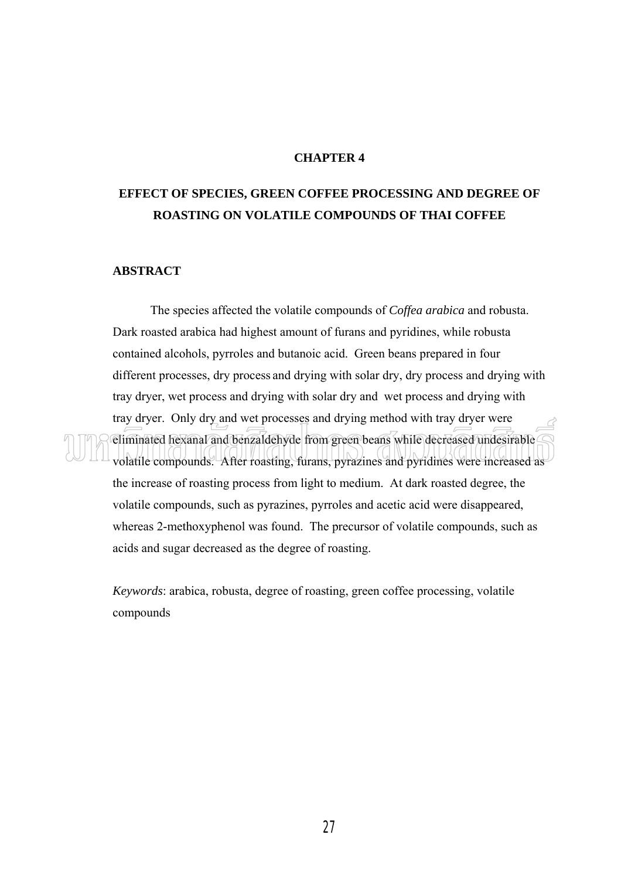# **CHAPTER 4**

# **EFFECT OF SPECIES, GREEN COFFEE PROCESSING AND DEGREE OF ROASTING ON VOLATILE COMPOUNDS OF THAI COFFEE**

# **ABSTRACT**

 The species affected the volatile compounds of *Coffea arabica* and robusta. Dark roasted arabica had highest amount of furans and pyridines, while robusta contained alcohols, pyrroles and butanoic acid. Green beans prepared in four different processes, dry process and drying with solar dry, dry process and drying with tray dryer, wet process and drying with solar dry and wet process and drying with tray dryer. Only dry and wet processes and drying method with tray dryer were eliminated hexanal and benzaldehyde from green beans while decreased undesirable volatile compounds. After roasting, furans, pyrazines and pyridines were increased as the increase of roasting process from light to medium. At dark roasted degree, the volatile compounds, such as pyrazines, pyrroles and acetic acid were disappeared, whereas 2-methoxyphenol was found. The precursor of volatile compounds, such as acids and sugar decreased as the degree of roasting.

*Keywords*: arabica, robusta, degree of roasting, green coffee processing, volatile compounds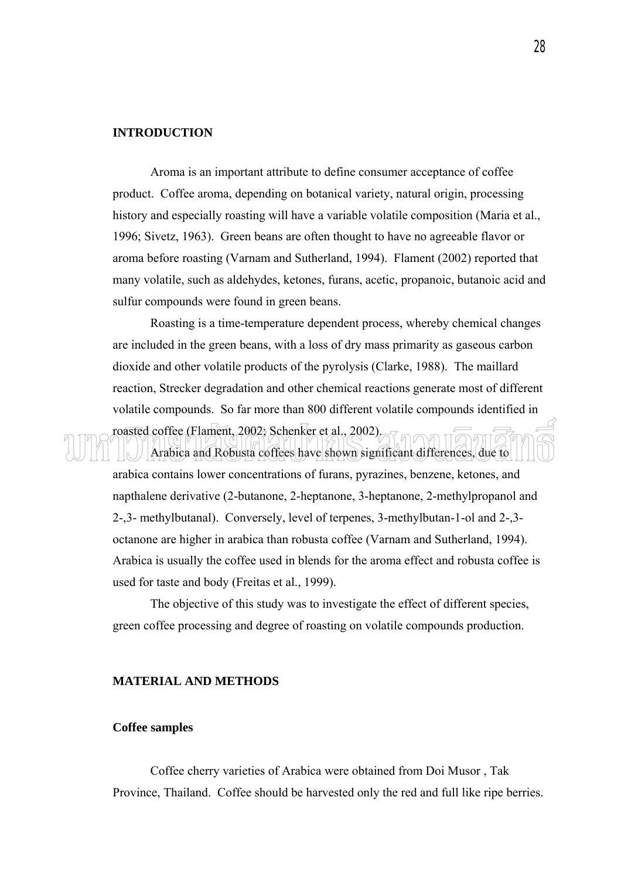# **INTRODUCTION**

 Aroma is an important attribute to define consumer acceptance of coffee product. Coffee aroma, depending on botanical variety, natural origin, processing history and especially roasting will have a variable volatile composition (Maria et al., 1996; Sivetz, 1963). Green beans are often thought to have no agreeable flavor or aroma before roasting (Varnam and Sutherland, 1994). Flament (2002) reported that many volatile, such as aldehydes, ketones, furans, acetic, propanoic, butanoic acid and sulfur compounds were found in green beans.

 Roasting is a time-temperature dependent process, whereby chemical changes are included in the green beans, with a loss of dry mass primarity as gaseous carbon dioxide and other volatile products of the pyrolysis (Clarke, 1988). The maillard reaction, Strecker degradation and other chemical reactions generate most of different volatile compounds. So far more than 800 different volatile compounds identified in roasted coffee (Flament, 2002; Schenker et al., 2002). Arabica and Robusta coffees have shown significant differences, due to

arabica contains lower concentrations of furans, pyrazines, benzene, ketones, and napthalene derivative (2-butanone, 2-heptanone, 3-heptanone, 2-methylpropanol and 2-,3- methylbutanal). Conversely, level of terpenes, 3-methylbutan-1-ol and 2-,3 octanone are higher in arabica than robusta coffee (Varnam and Sutherland, 1994). Arabica is usually the coffee used in blends for the aroma effect and robusta coffee is used for taste and body (Freitas et al., 1999).

The objective of this study was to investigate the effect of different species, green coffee processing and degree of roasting on volatile compounds production.

# **MATERIAL AND METHODS**

## **Coffee samples**

 Coffee cherry varieties of Arabica were obtained from Doi Musor , Tak Province, Thailand. Coffee should be harvested only the red and full like ripe berries.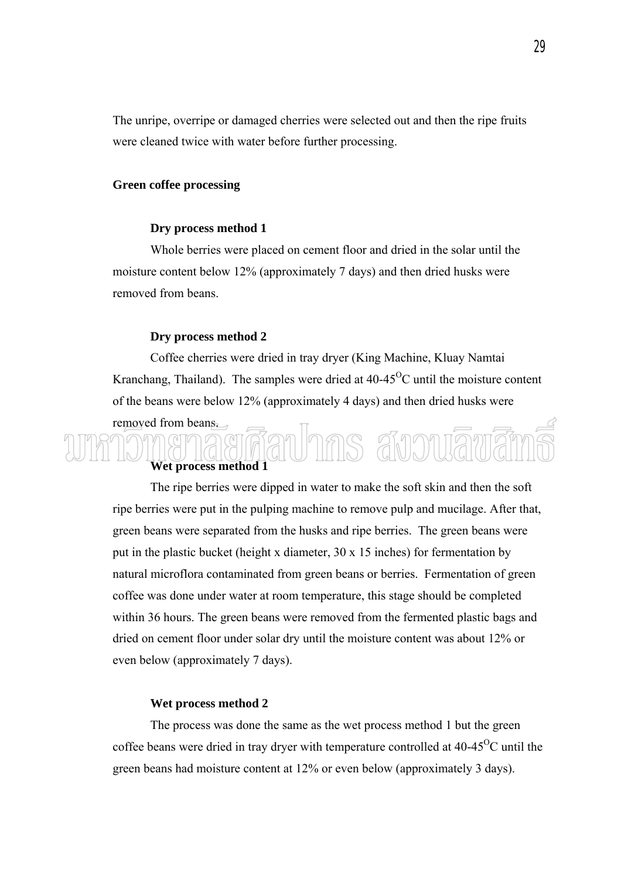The unripe, overripe or damaged cherries were selected out and then the ripe fruits were cleaned twice with water before further processing.

## **Green coffee processing**

# **Dry process method 1**

 Whole berries were placed on cement floor and dried in the solar until the moisture content below 12% (approximately 7 days) and then dried husks were removed from beans.

## **Dry process method 2**

 Coffee cherries were dried in tray dryer (King Machine, Kluay Namtai Kranchang, Thailand). The samples were dried at  $40-45^{\circ}$ C until the moisture content of the beans were below 12% (approximately 4 days) and then dried husks were

# removed from beans. nas anon **Wet process method 1**

 The ripe berries were dipped in water to make the soft skin and then the soft ripe berries were put in the pulping machine to remove pulp and mucilage. After that, green beans were separated from the husks and ripe berries. The green beans were put in the plastic bucket (height x diameter, 30 x 15 inches) for fermentation by natural microflora contaminated from green beans or berries. Fermentation of green coffee was done under water at room temperature, this stage should be completed within 36 hours. The green beans were removed from the fermented plastic bags and dried on cement floor under solar dry until the moisture content was about 12% or even below (approximately 7 days).

#### **Wet process method 2**

 The process was done the same as the wet process method 1 but the green coffee beans were dried in tray dryer with temperature controlled at  $40-45^{\circ}$ C until the green beans had moisture content at 12% or even below (approximately 3 days).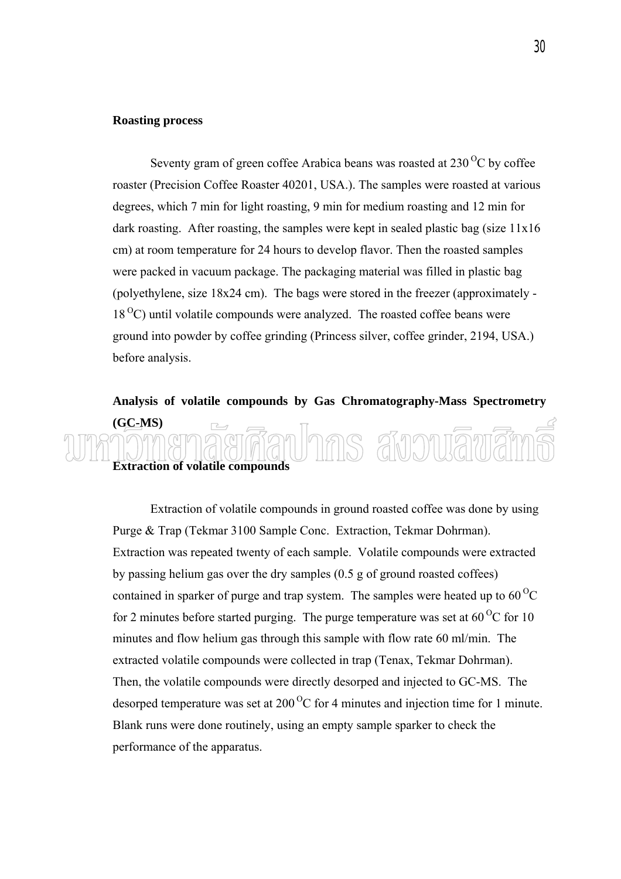# **Roasting process**

Seventy gram of green coffee Arabica beans was roasted at  $230^{\circ}$ C by coffee roaster (Precision Coffee Roaster 40201, USA.). The samples were roasted at various degrees, which 7 min for light roasting, 9 min for medium roasting and 12 min for dark roasting. After roasting, the samples were kept in sealed plastic bag (size 11x16 cm) at room temperature for 24 hours to develop flavor. Then the roasted samples were packed in vacuum package. The packaging material was filled in plastic bag (polyethylene, size 18x24 cm). The bags were stored in the freezer (approximately -  $18<sup>o</sup>C$ ) until volatile compounds were analyzed. The roasted coffee beans were ground into powder by coffee grinding (Princess silver, coffee grinder, 2194, USA.) before analysis.

# **Analysis of volatile compounds by Gas Chromatography-Mass Spectrometry (GC-MS)**   $\overline{\phantom{a}}$ ns annuam **Extraction of volatile compounds**

 Extraction of volatile compounds in ground roasted coffee was done by using Purge & Trap (Tekmar 3100 Sample Conc. Extraction, Tekmar Dohrman). Extraction was repeated twenty of each sample. Volatile compounds were extracted by passing helium gas over the dry samples (0.5 g of ground roasted coffees) contained in sparker of purge and trap system. The samples were heated up to  $60^{\circ}$ C for 2 minutes before started purging. The purge temperature was set at  $60^{\circ}$ C for 10 minutes and flow helium gas through this sample with flow rate 60 ml/min. The extracted volatile compounds were collected in trap (Tenax, Tekmar Dohrman). Then, the volatile compounds were directly desorped and injected to GC-MS. The desorped temperature was set at  $200^{\circ}$ C for 4 minutes and injection time for 1 minute. Blank runs were done routinely, using an empty sample sparker to check the performance of the apparatus.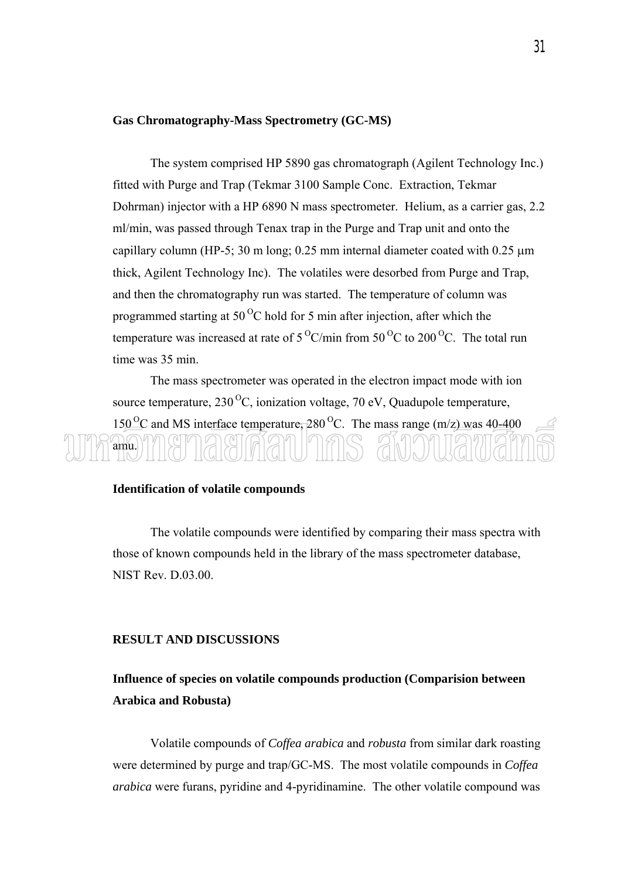#### **Gas Chromatography-Mass Spectrometry (GC-MS)**

 The system comprised HP 5890 gas chromatograph (Agilent Technology Inc.) fitted with Purge and Trap (Tekmar 3100 Sample Conc. Extraction, Tekmar Dohrman) injector with a HP 6890 N mass spectrometer. Helium, as a carrier gas, 2.2 ml/min, was passed through Tenax trap in the Purge and Trap unit and onto the capillary column (HP-5; 30 m long;  $0.25$  mm internal diameter coated with  $0.25 \mu m$ thick, Agilent Technology Inc). The volatiles were desorbed from Purge and Trap, and then the chromatography run was started. The temperature of column was programmed starting at  $50^{\circ}$ C hold for 5 min after injection, after which the temperature was increased at rate of  $5^{\circ}$ C/min from  $50^{\circ}$ C to 200<sup> $\circ$ </sup>C. The total run time was 35 min.

 The mass spectrometer was operated in the electron impact mode with ion source temperature,  $230^{\circ}$ C, ionization voltage, 70 eV, Quadupole temperature,  $150^{\circ}$ C and MS interface temperature, 280<sup>°</sup>C. The mass range (m/z) was 40-400 amu.

# **Identification of volatile compounds**

 The volatile compounds were identified by comparing their mass spectra with those of known compounds held in the library of the mass spectrometer database, NIST Rev. D.03.00.

## **RESULT AND DISCUSSIONS**

# **Influence of species on volatile compounds production (Comparision between Arabica and Robusta)**

Volatile compounds of *Coffea arabica* and *robusta* from similar dark roasting were determined by purge and trap/GC-MS. The most volatile compounds in *Coffea arabica* were furans, pyridine and 4-pyridinamine. The other volatile compound was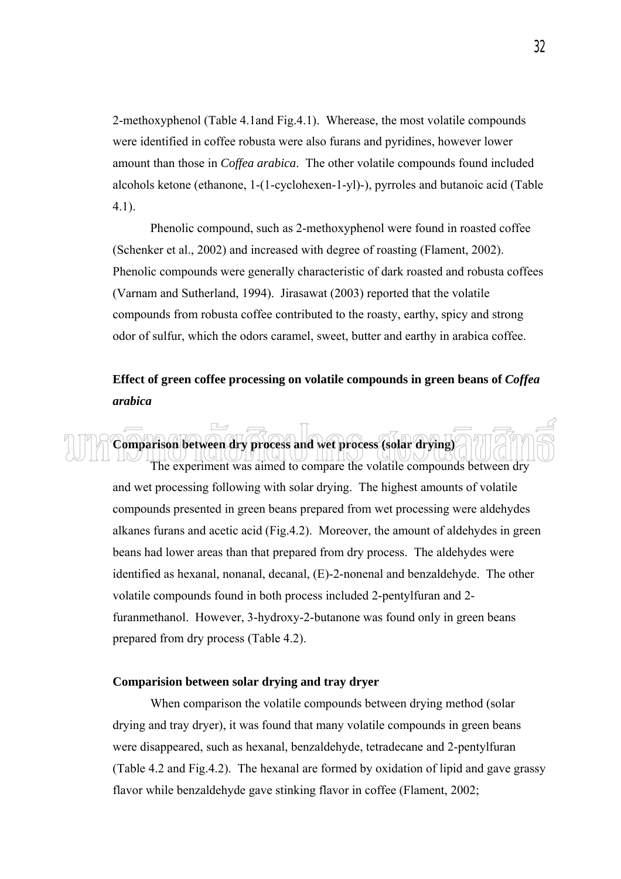2-methoxyphenol (Table 4.1and Fig.4.1). Wherease, the most volatile compounds were identified in coffee robusta were also furans and pyridines, however lower amount than those in *Coffea arabica*. The other volatile compounds found included alcohols ketone (ethanone, 1-(1-cyclohexen-1-yl)-), pyrroles and butanoic acid (Table 4.1).

 Phenolic compound, such as 2-methoxyphenol were found in roasted coffee (Schenker et al., 2002) and increased with degree of roasting (Flament, 2002). Phenolic compounds were generally characteristic of dark roasted and robusta coffees (Varnam and Sutherland, 1994). Jirasawat (2003) reported that the volatile compounds from robusta coffee contributed to the roasty, earthy, spicy and strong odor of sulfur, which the odors caramel, sweet, butter and earthy in arabica coffee.

# **Effect of green coffee processing on volatile compounds in green beans of** *Coffea arabica*



# **Comparision between solar drying and tray dryer**

 When comparison the volatile compounds between drying method (solar drying and tray dryer), it was found that many volatile compounds in green beans were disappeared, such as hexanal, benzaldehyde, tetradecane and 2-pentylfuran (Table 4.2 and Fig.4.2). The hexanal are formed by oxidation of lipid and gave grassy flavor while benzaldehyde gave stinking flavor in coffee (Flament, 2002;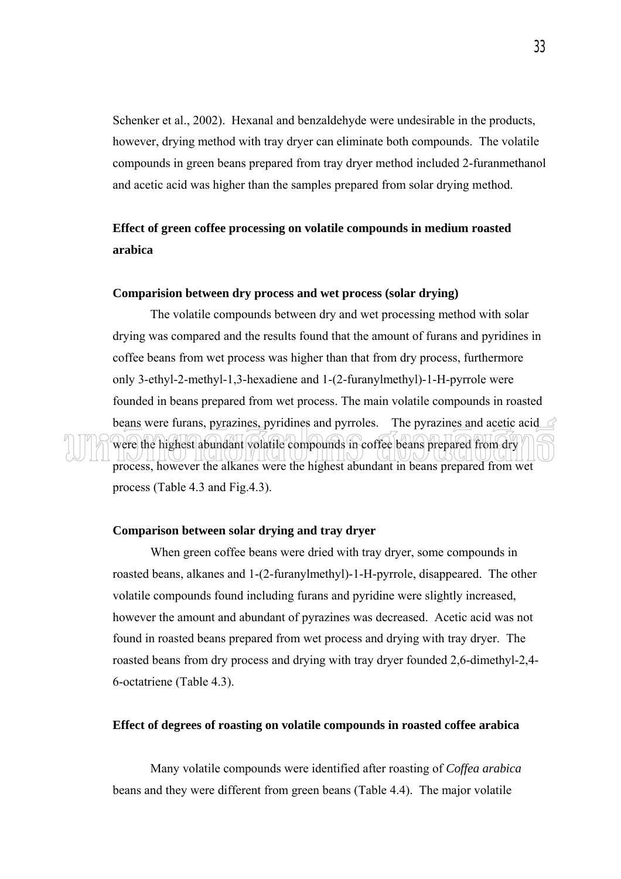Schenker et al., 2002). Hexanal and benzaldehyde were undesirable in the products, however, drying method with tray dryer can eliminate both compounds. The volatile compounds in green beans prepared from tray dryer method included 2-furanmethanol and acetic acid was higher than the samples prepared from solar drying method.

# **Effect of green coffee processing on volatile compounds in medium roasted arabica**

## **Comparision between dry process and wet process (solar drying)**

 The volatile compounds between dry and wet processing method with solar drying was compared and the results found that the amount of furans and pyridines in coffee beans from wet process was higher than that from dry process, furthermore only 3-ethyl-2-methyl-1,3-hexadiene and 1-(2-furanylmethyl)-1-H-pyrrole were founded in beans prepared from wet process. The main volatile compounds in roasted beans were furans, pyrazines, pyridines and pyrroles. The pyrazines and acetic acid were the highest abundant volatile compounds in coffee beans prepared from dry process, however the alkanes were the highest abundant in beans prepared from wet process (Table 4.3 and Fig.4.3).

#### **Comparison between solar drying and tray dryer**

 When green coffee beans were dried with tray dryer, some compounds in roasted beans, alkanes and 1-(2-furanylmethyl)-1-H-pyrrole, disappeared. The other volatile compounds found including furans and pyridine were slightly increased, however the amount and abundant of pyrazines was decreased. Acetic acid was not found in roasted beans prepared from wet process and drying with tray dryer. The roasted beans from dry process and drying with tray dryer founded 2,6-dimethyl-2,4- 6-octatriene (Table 4.3).

## **Effect of degrees of roasting on volatile compounds in roasted coffee arabica**

 Many volatile compounds were identified after roasting of *Coffea arabica* beans and they were different from green beans (Table 4.4). The major volatile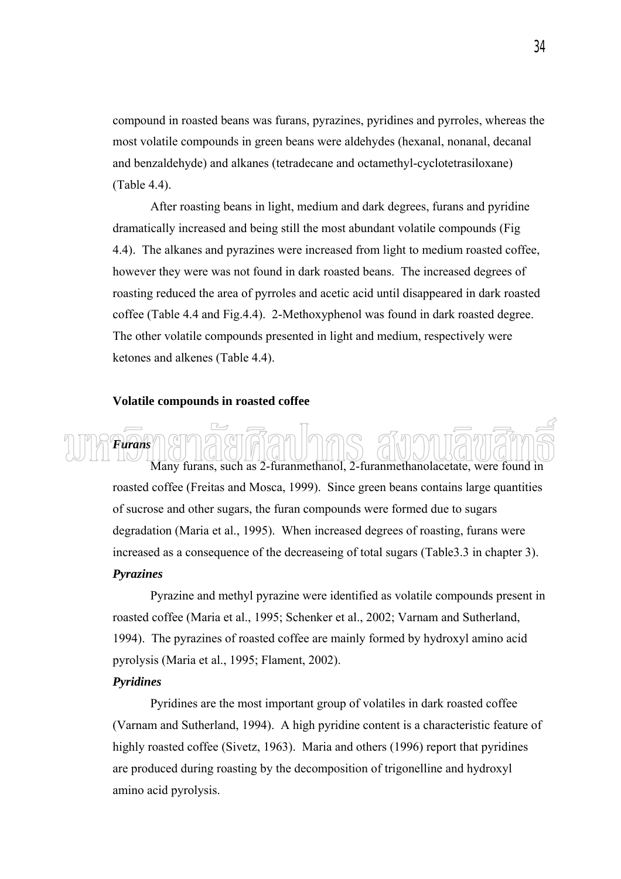compound in roasted beans was furans, pyrazines, pyridines and pyrroles, whereas the most volatile compounds in green beans were aldehydes (hexanal, nonanal, decanal and benzaldehyde) and alkanes (tetradecane and octamethyl-cyclotetrasiloxane) (Table 4.4).

 After roasting beans in light, medium and dark degrees, furans and pyridine dramatically increased and being still the most abundant volatile compounds (Fig 4.4). The alkanes and pyrazines were increased from light to medium roasted coffee, however they were was not found in dark roasted beans. The increased degrees of roasting reduced the area of pyrroles and acetic acid until disappeared in dark roasted coffee (Table 4.4 and Fig.4.4). 2-Methoxyphenol was found in dark roasted degree. The other volatile compounds presented in light and medium, respectively were ketones and alkenes (Table 4.4).

#### **Volatile compounds in roasted coffee**

*Furans*  Many furans, such as 2-furanmethanol, 2-furanmethanolacetate, were found in roasted coffee (Freitas and Mosca, 1999). Since green beans contains large quantities of sucrose and other sugars, the furan compounds were formed due to sugars degradation (Maria et al., 1995). When increased degrees of roasting, furans were increased as a consequence of the decreaseing of total sugars (Table3.3 in chapter 3).

# *Pyrazines*

Pyrazine and methyl pyrazine were identified as volatile compounds present in roasted coffee (Maria et al., 1995; Schenker et al., 2002; Varnam and Sutherland, 1994). The pyrazines of roasted coffee are mainly formed by hydroxyl amino acid pyrolysis (Maria et al., 1995; Flament, 2002).

# *Pyridines*

Pyridines are the most important group of volatiles in dark roasted coffee (Varnam and Sutherland, 1994). A high pyridine content is a characteristic feature of highly roasted coffee (Sivetz, 1963). Maria and others (1996) report that pyridines are produced during roasting by the decomposition of trigonelline and hydroxyl amino acid pyrolysis.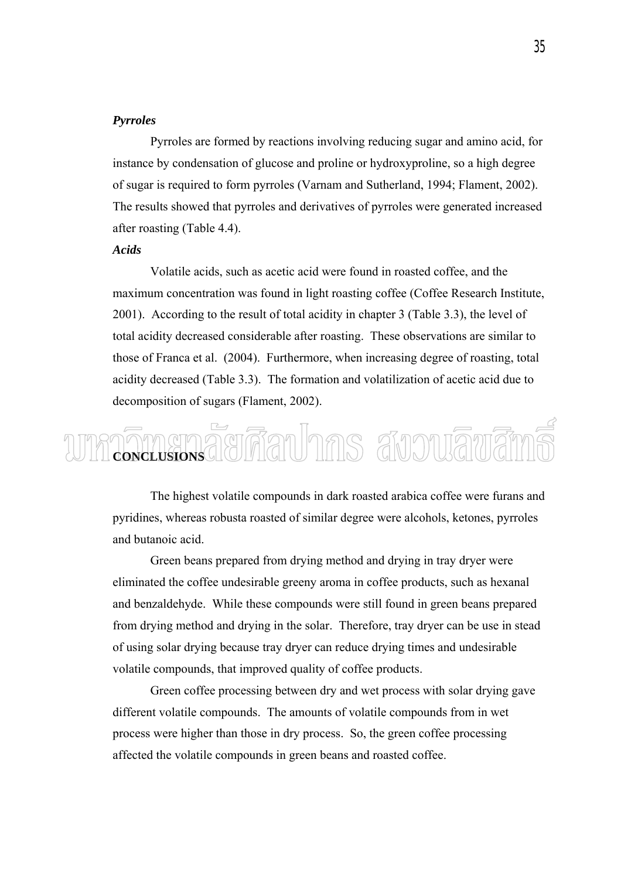# *Pyrroles*

 Pyrroles are formed by reactions involving reducing sugar and amino acid, for instance by condensation of glucose and proline or hydroxyproline, so a high degree of sugar is required to form pyrroles (Varnam and Sutherland, 1994; Flament, 2002). The results showed that pyrroles and derivatives of pyrroles were generated increased after roasting (Table 4.4).

#### *Acids*

Volatile acids, such as acetic acid were found in roasted coffee, and the maximum concentration was found in light roasting coffee (Coffee Research Institute, 2001). According to the result of total acidity in chapter 3 (Table 3.3), the level of total acidity decreased considerable after roasting. These observations are similar to those of Franca et al. (2004). Furthermore, when increasing degree of roasting, total acidity decreased (Table 3.3). The formation and volatilization of acetic acid due to decomposition of sugars (Flament, 2002).

# กี้ยทีลปากร สังวนลิขสิ **CONCLUSIONS**

 The highest volatile compounds in dark roasted arabica coffee were furans and pyridines, whereas robusta roasted of similar degree were alcohols, ketones, pyrroles and butanoic acid.

 Green beans prepared from drying method and drying in tray dryer were eliminated the coffee undesirable greeny aroma in coffee products, such as hexanal and benzaldehyde. While these compounds were still found in green beans prepared from drying method and drying in the solar. Therefore, tray dryer can be use in stead of using solar drying because tray dryer can reduce drying times and undesirable volatile compounds, that improved quality of coffee products.

Green coffee processing between dry and wet process with solar drying gave different volatile compounds. The amounts of volatile compounds from in wet process were higher than those in dry process. So, the green coffee processing affected the volatile compounds in green beans and roasted coffee.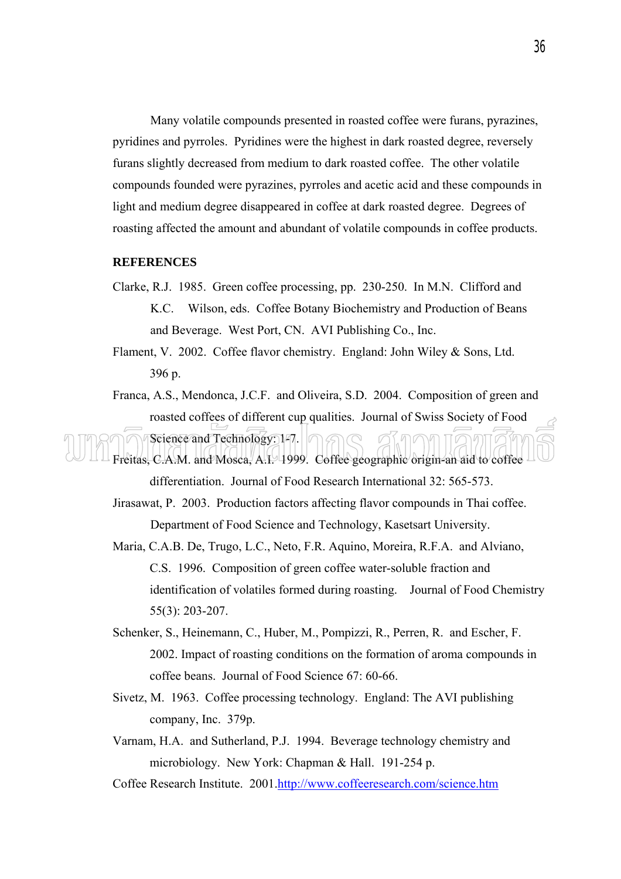Many volatile compounds presented in roasted coffee were furans, pyrazines, pyridines and pyrroles. Pyridines were the highest in dark roasted degree, reversely furans slightly decreased from medium to dark roasted coffee. The other volatile compounds founded were pyrazines, pyrroles and acetic acid and these compounds in light and medium degree disappeared in coffee at dark roasted degree. Degrees of roasting affected the amount and abundant of volatile compounds in coffee products.

# **REFERENCES**

- Clarke, R.J. 1985. Green coffee processing, pp. 230-250. In M.N. Clifford and K.C. Wilson, eds. Coffee Botany Biochemistry and Production of Beans and Beverage. West Port, CN. AVI Publishing Co., Inc.
- Flament, V. 2002. Coffee flavor chemistry. England: John Wiley & Sons, Ltd. 396 p.
- Franca, A.S., Mendonca, J.C.F. and Oliveira, S.D. 2004. Composition of green and roasted coffees of different cup qualities. Journal of Swiss Society of Food Science and Technology: 147.

Freitas, C.A.M. and Mosca, A.I. 1999. Coffee geographic origin-an aid to coffee differentiation. Journal of Food Research International 32: 565-573.

- Jirasawat, P. 2003. Production factors affecting flavor compounds in Thai coffee. Department of Food Science and Technology, Kasetsart University.
- Maria, C.A.B. De, Trugo, L.C., Neto, F.R. Aquino, Moreira, R.F.A. and Alviano, C.S. 1996. Composition of green coffee water-soluble fraction and identification of volatiles formed during roasting. Journal of Food Chemistry 55(3): 203-207.
- Schenker, S., Heinemann, C., Huber, M., Pompizzi, R., Perren, R. and Escher, F. 2002. Impact of roasting conditions on the formation of aroma compounds in coffee beans. Journal of Food Science 67: 60-66.
- Sivetz, M. 1963. Coffee processing technology. England: The AVI publishing company, Inc. 379p.
- Varnam, H.A. and Sutherland, P.J. 1994. Beverage technology chemistry and microbiology. New York: Chapman & Hall. 191-254 p.
- Coffee Research Institute. 2001.http://www.coffeeresearch.com/science.htm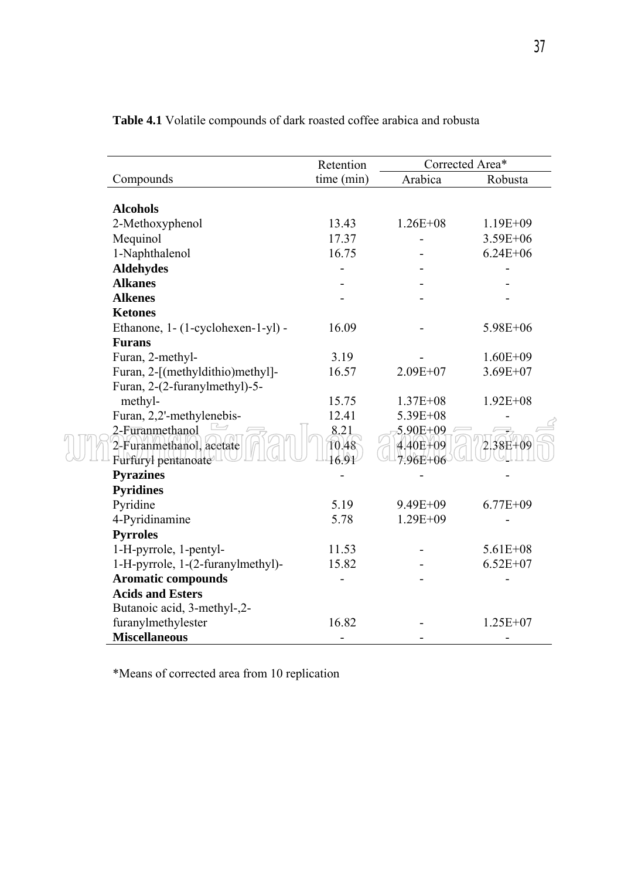|                                                                    | Retention              | Corrected Area*                      |              |  |
|--------------------------------------------------------------------|------------------------|--------------------------------------|--------------|--|
| Compounds                                                          | time (min)             | Arabica                              | Robusta      |  |
| <b>Alcohols</b>                                                    |                        |                                      |              |  |
| 2-Methoxyphenol                                                    | 13.43                  | $1.26E + 08$                         | $1.19E + 09$ |  |
| Mequinol                                                           | 17.37                  |                                      | $3.59E + 06$ |  |
| 1-Naphthalenol                                                     | 16.75                  |                                      | $6.24E + 06$ |  |
| <b>Aldehydes</b>                                                   |                        |                                      |              |  |
| <b>Alkanes</b>                                                     |                        |                                      |              |  |
| <b>Alkenes</b>                                                     |                        |                                      |              |  |
| <b>Ketones</b>                                                     |                        |                                      |              |  |
| Ethanone, 1- (1-cyclohexen-1-yl) -                                 | 16.09                  |                                      | 5.98E+06     |  |
| <b>Furans</b>                                                      |                        |                                      |              |  |
| Furan, 2-methyl-                                                   | 3.19                   |                                      | $1.60E + 09$ |  |
| Furan, 2-[(methyldithio)methyl]-                                   | 16.57                  | 2.09E+07                             | $3.69E + 07$ |  |
| Furan, 2-(2-furanylmethyl)-5-                                      |                        |                                      |              |  |
| methyl-                                                            | 15.75                  | $1.37E + 08$                         | $1.92E + 08$ |  |
| Furan, 2,2'-methylenebis-                                          | 12.41                  | 5.39E+08                             |              |  |
| 2-Furanmethanol<br>2-Furanmethanol, acetate<br>Furfuryl pentanoate | 8.21<br>10.48<br>16.91 | 5.90E+09<br>$4.40E + 09$<br>7.96E+06 | $2.38E + 09$ |  |
| <b>Pyrazines</b>                                                   |                        |                                      |              |  |
| <b>Pyridines</b>                                                   |                        |                                      |              |  |
| Pyridine                                                           | 5.19                   | 9.49E+09                             | $6.77E + 09$ |  |
| 4-Pyridinamine                                                     | 5.78                   | $1.29E + 09$                         |              |  |
| <b>Pyrroles</b>                                                    |                        |                                      |              |  |
| 1-H-pyrrole, 1-pentyl-                                             | 11.53                  |                                      | $5.61E + 08$ |  |
| 1-H-pyrrole, 1-(2-furanylmethyl)-                                  | 15.82                  |                                      | $6.52E + 07$ |  |
| <b>Aromatic compounds</b>                                          |                        |                                      |              |  |
| <b>Acids and Esters</b>                                            |                        |                                      |              |  |
| Butanoic acid, 3-methyl-,2-                                        |                        |                                      |              |  |
| furanylmethylester                                                 | 16.82                  |                                      | $1.25E+07$   |  |
| <b>Miscellaneous</b>                                               |                        |                                      |              |  |

**Table 4.1** Volatile compounds of dark roasted coffee arabica and robusta

\*Means of corrected area from 10 replication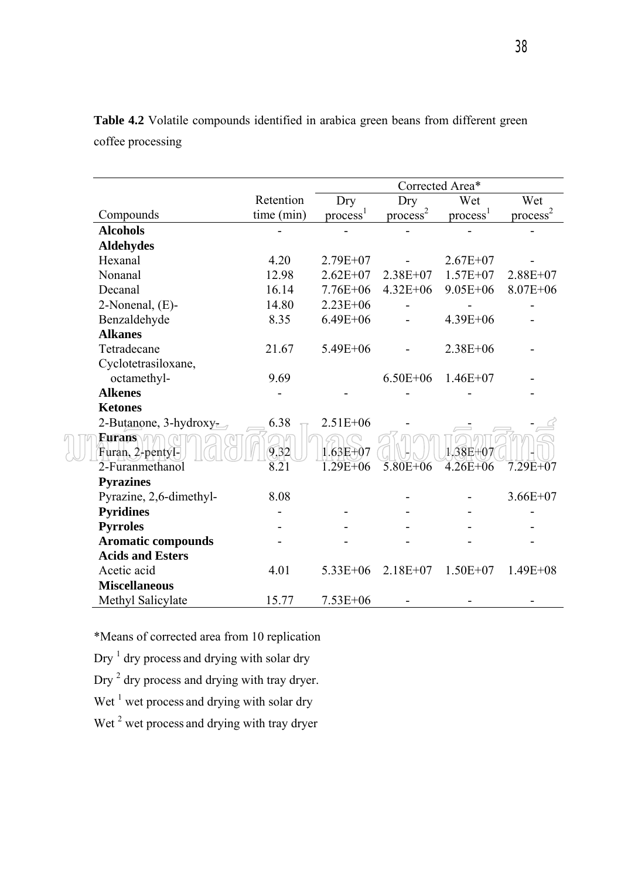|                                   |                   | Corrected Area*      |                      |                    |                      |
|-----------------------------------|-------------------|----------------------|----------------------|--------------------|----------------------|
|                                   | Retention         | Dry                  | Dry                  | Wet                | Wet                  |
| Compounds                         | time (min)        | process <sup>1</sup> | process <sup>2</sup> | $\text{process}^1$ | process <sup>2</sup> |
| <b>Alcohols</b>                   |                   |                      |                      |                    |                      |
| <b>Aldehydes</b>                  |                   |                      |                      |                    |                      |
| Hexanal                           | 4.20              | $2.79E + 07$         |                      | $2.67E + 07$       |                      |
| Nonanal                           | 12.98             | $2.62E + 07$         | $2.38E + 07$         | $1.57E + 07$       | $2.88E + 07$         |
| Decanal                           | 16.14             | $7.76E + 06$         | $4.32E + 06$         | $9.05E + 06$       | $8.07E + 06$         |
| 2-Nonenal, (E)-                   | 14.80             | $2.23E + 06$         |                      |                    |                      |
| Benzaldehyde                      | 8.35              | $6.49E + 06$         |                      | 4.39E+06           |                      |
| <b>Alkanes</b>                    |                   |                      |                      |                    |                      |
| Tetradecane                       | 21.67             | $5.49E + 06$         |                      | $2.38E + 06$       |                      |
| Cyclotetrasiloxane,               |                   |                      |                      |                    |                      |
| octamethyl-                       | 9.69              |                      | $6.50E + 06$         | $1.46E + 07$       |                      |
| <b>Alkenes</b>                    |                   |                      |                      |                    |                      |
| <b>Ketones</b>                    |                   |                      |                      |                    |                      |
| 2-Butanone, $3$ -hydroxy-         | 6.38              | $2.51E + 06$         |                      |                    |                      |
| <b>Furans</b><br>Furan, 2-pentyl- | 9.32              | 1.63E+07             |                      | 1.38E+07           |                      |
| 2-Furanmethanol                   | $\overline{8.21}$ | $1.29E + 06$         | $5.80E + 06$         | $4.26E + 06$       | $7.29E + 07$         |
| <b>Pyrazines</b>                  |                   |                      |                      |                    |                      |
| Pyrazine, 2,6-dimethyl-           | 8.08              |                      |                      |                    | $3.66E + 07$         |
| <b>Pyridines</b>                  |                   |                      |                      |                    |                      |
| <b>Pyrroles</b>                   |                   |                      |                      |                    |                      |
| <b>Aromatic compounds</b>         |                   |                      |                      |                    |                      |
| <b>Acids and Esters</b>           |                   |                      |                      |                    |                      |
| Acetic acid                       | 4.01              | $5.33E + 06$         | $2.18E + 07$         | $1.50E + 07$       | $1.49E + 08$         |
| <b>Miscellaneous</b>              |                   |                      |                      |                    |                      |
| Methyl Salicylate                 | 15.77             | $7.53E + 06$         |                      |                    |                      |

**Table 4.2** Volatile compounds identified in arabica green beans from different green coffee processing

\*Means of corrected area from 10 replication

Dry  $<sup>1</sup>$  dry process and drying with solar dry</sup>

Dry  $<sup>2</sup>$  dry process and drying with tray dryer.</sup>

Wet  $<sup>1</sup>$  wet process and drying with solar dry</sup>

Wet  $2$  wet process and drying with tray dryer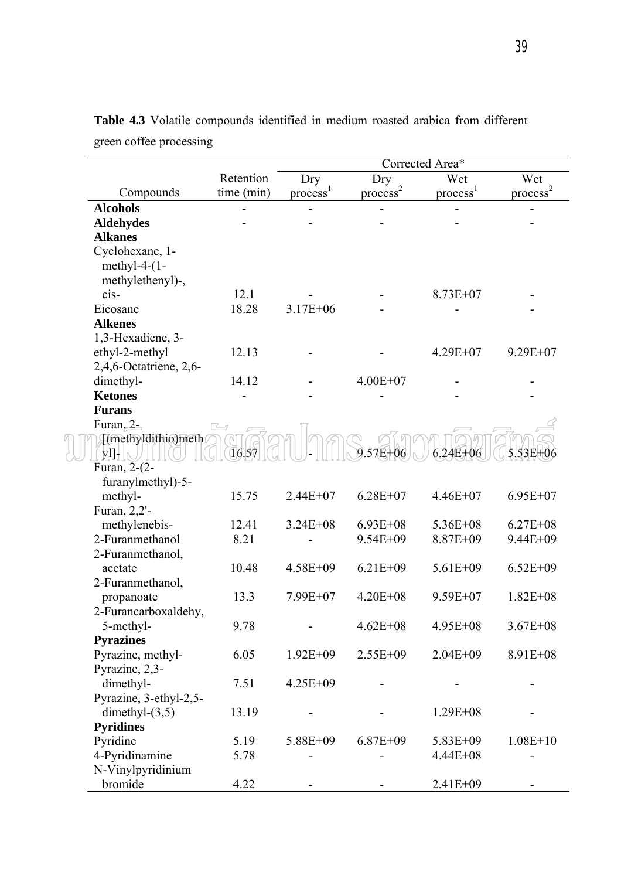|                                                        |            | Corrected Area*    |                      |                      |                      |  |  |
|--------------------------------------------------------|------------|--------------------|----------------------|----------------------|----------------------|--|--|
| Retention                                              |            | Dry                | Dry                  |                      | Wet                  |  |  |
| Compounds                                              | time (min) | $\text{process}^1$ | process <sup>2</sup> | process <sup>1</sup> | process <sup>2</sup> |  |  |
| <b>Alcohols</b>                                        |            |                    |                      |                      |                      |  |  |
| <b>Aldehydes</b>                                       |            |                    |                      |                      |                      |  |  |
| <b>Alkanes</b>                                         |            |                    |                      |                      |                      |  |  |
| Cyclohexane, 1-<br>methyl-4- $(1-$<br>methylethenyl)-, |            |                    |                      |                      |                      |  |  |
| cis-                                                   | 12.1       |                    |                      | $8.73E + 07$         |                      |  |  |
| Eicosane                                               | 18.28      | $3.17E + 06$       |                      |                      |                      |  |  |
| <b>Alkenes</b>                                         |            |                    |                      |                      |                      |  |  |
| 1,3-Hexadiene, 3-                                      |            |                    |                      |                      |                      |  |  |
| ethyl-2-methyl                                         | 12.13      |                    |                      | $4.29E + 07$         | $9.29E + 07$         |  |  |
| 2,4,6-Octatriene, 2,6-                                 |            |                    |                      |                      |                      |  |  |
| dimethyl-                                              | 14.12      |                    | $4.00E + 07$         |                      |                      |  |  |
| <b>Ketones</b>                                         |            |                    |                      |                      |                      |  |  |
| <b>Furans</b>                                          |            |                    |                      |                      |                      |  |  |
| Furan, 2-                                              | ⊢          |                    |                      |                      |                      |  |  |
| [(methyldithio)meth<br>$y$ l]- $\mathbb{R}$            | 16.57      |                    | 57E+<br>-06          | $6.24E+06$           | 5.53E+               |  |  |
| Furan, 2-(2-                                           |            |                    |                      |                      |                      |  |  |
| furanylmethyl)-5-                                      |            |                    |                      |                      |                      |  |  |
| methyl-                                                | 15.75      | $2.44E + 07$       | $6.28E + 07$         | $4.46E + 07$         | $6.95E+07$           |  |  |
| Furan, 2,2'-                                           |            |                    |                      |                      |                      |  |  |
| methylenebis-                                          | 12.41      | $3.24E + 08$       | $6.93E + 08$         | $5.36E + 08$         | $6.27E + 08$         |  |  |
| 2-Furanmethanol                                        | 8.21       |                    | $9.54E + 09$         | 8.87E+09             | 9.44E+09             |  |  |
| 2-Furanmethanol,                                       |            |                    |                      |                      |                      |  |  |
| acetate                                                | 10.48      | 4.58E+09           | $6.21E + 09$         | $5.61E + 09$         | $6.52E + 09$         |  |  |
| 2-Furanmethanol,                                       | 13.3       |                    | $4.20E + 08$         | $9.59E + 07$         |                      |  |  |
| propanoate                                             |            | 7.99E+07           |                      |                      | $1.82E + 08$         |  |  |
| 2-Furancarboxaldehy,<br>5-methyl-                      | 9.78       |                    | $4.62E + 08$         | $4.95E + 08$         | $3.67E + 08$         |  |  |
| <b>Pyrazines</b>                                       |            |                    |                      |                      |                      |  |  |
| Pyrazine, methyl-                                      | 6.05       | $1.92E + 09$       | 2.55E+09             | $2.04E + 09$         | 8.91E+08             |  |  |
| Pyrazine, 2,3-                                         |            |                    |                      |                      |                      |  |  |
| dimethyl-                                              | 7.51       | 4.25E+09           |                      |                      |                      |  |  |
| Pyrazine, 3-ethyl-2,5-                                 |            |                    |                      |                      |                      |  |  |
| dimethyl- $(3,5)$                                      | 13.19      |                    |                      | $1.29E + 08$         |                      |  |  |
| <b>Pyridines</b>                                       |            |                    |                      |                      |                      |  |  |
| Pyridine                                               | 5.19       | 5.88E+09           | $6.87E + 09$         | $5.83E + 09$         | $1.08E + 10$         |  |  |
| 4-Pyridinamine                                         | 5.78       |                    |                      | $4.44E + 08$         |                      |  |  |
| N-Vinylpyridinium                                      |            |                    |                      |                      |                      |  |  |
| bromide                                                | 4.22       |                    |                      | 2.41E+09             |                      |  |  |

**Table 4.3** Volatile compounds identified in medium roasted arabica from different green coffee processing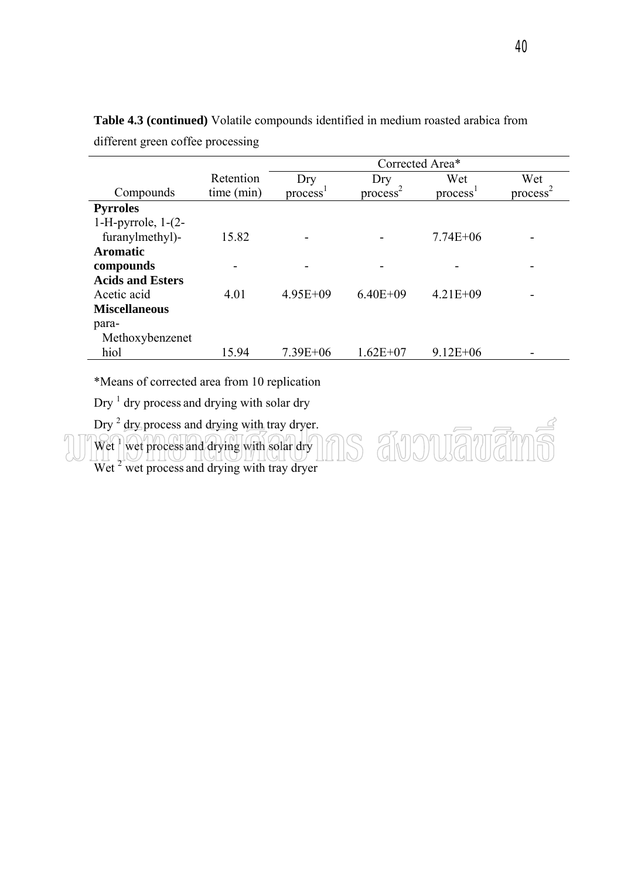|                           |            | Corrected Area* |                      |                      |                      |  |  |
|---------------------------|------------|-----------------|----------------------|----------------------|----------------------|--|--|
|                           | Retention  | Dry             | Dry                  | Wet                  | Wet                  |  |  |
| Compounds                 | time (min) | process         | process <sup>2</sup> | process <sup>1</sup> | process <sup>-</sup> |  |  |
| <b>Pyrroles</b>           |            |                 |                      |                      |                      |  |  |
| $1-H$ -pyrrole, $1-(2-H)$ |            |                 |                      |                      |                      |  |  |
| furanylmethyl)-           | 15.82      |                 |                      | $7.74E + 06$         |                      |  |  |
| <b>Aromatic</b>           |            |                 |                      |                      |                      |  |  |
| compounds                 |            |                 |                      |                      |                      |  |  |
| <b>Acids and Esters</b>   |            |                 |                      |                      |                      |  |  |
| Acetic acid               | 4.01       | $4.95E + 09$    | $6.40E + 09$         | $4.21E + 09$         |                      |  |  |
| <b>Miscellaneous</b>      |            |                 |                      |                      |                      |  |  |
| para-                     |            |                 |                      |                      |                      |  |  |
| Methoxybenzenet           |            |                 |                      |                      |                      |  |  |
| hiol                      | 15.94      | $7.39E + 06$    | $1.62E + 07$         | $9.12E + 06$         |                      |  |  |

ns

**Table 4.3 (continued)** Volatile compounds identified in medium roasted arabica from different green coffee processing

\*Means of corrected area from 10 replication

 $\text{Dry}^{-1}$  dry process and drying with solar dry

Dry  $^2$  dry process and drying with tray dryer.

Wet<sup>1</sup> wet process and drying with solar dry

Wet <sup>2</sup> wet process and drying with tray dryer

avouāvān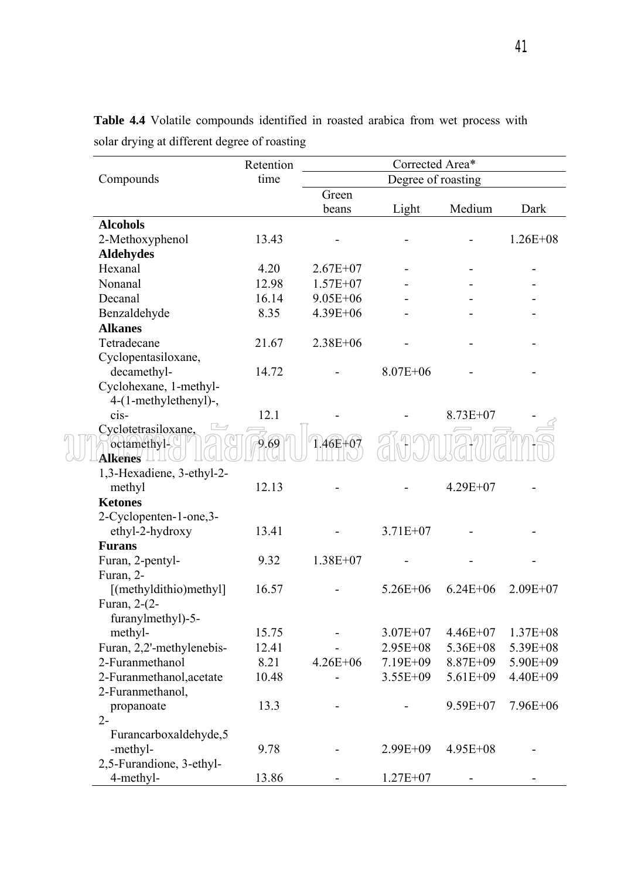|                           | Retention | Corrected Area*    |              |              |              |
|---------------------------|-----------|--------------------|--------------|--------------|--------------|
| Compounds                 | time      | Degree of roasting |              |              |              |
|                           |           | Green              |              |              |              |
|                           |           | beans              | Light        | Medium       | Dark         |
| <b>Alcohols</b>           |           |                    |              |              |              |
| 2-Methoxyphenol           | 13.43     |                    |              |              | $1.26E + 08$ |
| <b>Aldehydes</b>          |           |                    |              |              |              |
| Hexanal                   | 4.20      | $2.67E + 07$       |              |              |              |
| Nonanal                   | 12.98     | $1.57E+07$         |              |              |              |
| Decanal                   | 16.14     | $9.05E + 06$       |              |              |              |
| Benzaldehyde              | 8.35      | 4.39E+06           |              |              |              |
| <b>Alkanes</b>            |           |                    |              |              |              |
| Tetradecane               | 21.67     | $2.38E + 06$       |              |              |              |
| Cyclopentasiloxane,       |           |                    |              |              |              |
| decamethyl-               | 14.72     |                    | $8.07E + 06$ |              |              |
| Cyclohexane, 1-methyl-    |           |                    |              |              |              |
| 4-(1-methylethenyl)-,     |           |                    |              |              |              |
| cis                       | 12.1      |                    |              | 8.73E+07     |              |
| Cyclotetrasiloxane,       |           |                    |              |              |              |
| octamethyl-               | 9.69      | 1.46E+07           |              |              |              |
| <b>Alkenes</b>            |           |                    |              |              |              |
| 1,3-Hexadiene, 3-ethyl-2- |           |                    |              |              |              |
| methyl                    | 12.13     |                    |              | $4.29E + 07$ |              |
| <b>Ketones</b>            |           |                    |              |              |              |
| 2-Cyclopenten-1-one, 3-   |           |                    |              |              |              |
| ethyl-2-hydroxy           | 13.41     |                    | $3.71E + 07$ |              |              |
| <b>Furans</b>             |           |                    |              |              |              |
| Furan, 2-pentyl-          | 9.32      | $1.38E + 07$       |              |              |              |
| Furan, 2-                 |           |                    |              |              |              |
| [(methyldithio)methyl]    | 16.57     |                    | $5.26E + 06$ | $6.24E + 06$ | $2.09E + 07$ |
| Furan, 2-(2-              |           |                    |              |              |              |
| furanylmethyl)-5-         |           |                    |              |              |              |
| methyl-                   | 15.75     |                    | $3.07E + 07$ | $4.46E+07$   | $1.37E + 08$ |
| Furan, 2,2'-methylenebis- | 12.41     |                    | 2.95E+08     | 5.36E+08     | 5.39E+08     |
| 2-Furanmethanol           | 8.21      | $4.26E + 06$       | 7.19E+09     | 8.87E+09     | 5.90E+09     |
| 2-Furanmethanol, acetate  | 10.48     |                    | $3.55E + 09$ | $5.61E + 09$ | 4.40E+09     |
| 2-Furanmethanol,          |           |                    |              |              |              |
| propanoate                | 13.3      |                    |              | $9.59E + 07$ | $7.96E + 06$ |
| $2 -$                     |           |                    |              |              |              |
| Furancarboxaldehyde, 5    |           |                    |              |              |              |
| -methyl-                  | 9.78      |                    | $2.99E + 09$ | $4.95E + 08$ |              |
| 2,5-Furandione, 3-ethyl-  |           |                    |              |              |              |
| 4-methyl-                 | 13.86     |                    | $1.27E+07$   |              |              |

**Table 4.4** Volatile compounds identified in roasted arabica from wet process with solar drying at different degree of roasting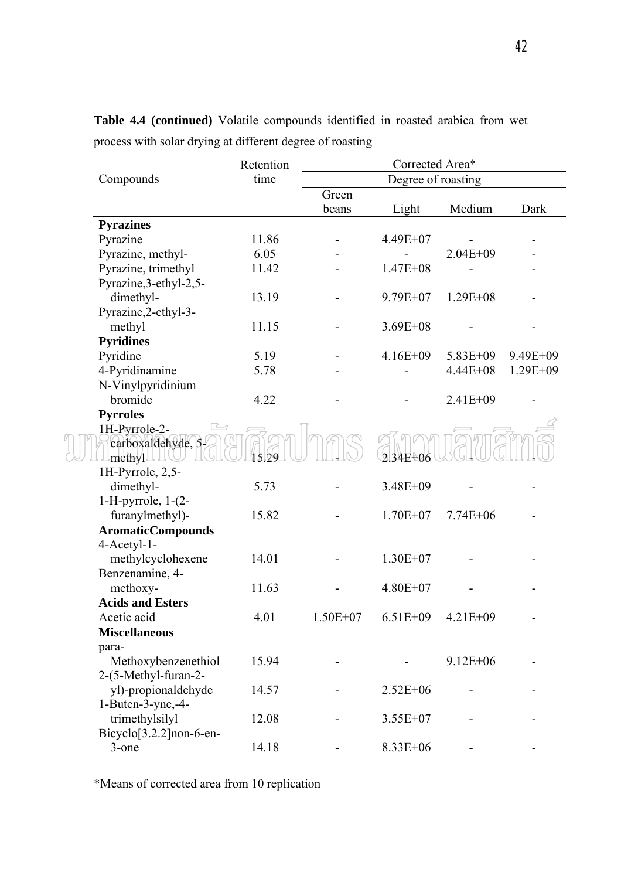|                                      | Retention | Corrected Area*    |              |              |              |
|--------------------------------------|-----------|--------------------|--------------|--------------|--------------|
| Compounds                            | time      | Degree of roasting |              |              |              |
|                                      |           | Green              |              |              |              |
|                                      |           | beans              | Light        | Medium       | Dark         |
| <b>Pyrazines</b>                     |           |                    |              |              |              |
| Pyrazine                             | 11.86     |                    | 4.49E+07     |              |              |
| Pyrazine, methyl-                    | 6.05      |                    |              | $2.04E + 09$ |              |
| Pyrazine, trimethyl                  | 11.42     |                    | $1.47E + 08$ |              |              |
| Pyrazine, 3-ethyl-2, 5-              |           |                    |              |              |              |
| dimethyl-                            | 13.19     |                    | $9.79E + 07$ | $1.29E + 08$ |              |
| Pyrazine, 2-ethyl-3-                 |           |                    |              |              |              |
| methyl                               | 11.15     |                    | $3.69E + 08$ |              |              |
| <b>Pyridines</b>                     |           |                    |              |              |              |
| Pyridine                             | 5.19      |                    | $4.16E + 09$ | 5.83E+09     | 9.49E+09     |
| 4-Pyridinamine                       | 5.78      |                    |              | $4.44E + 08$ | $1.29E + 09$ |
| N-Vinylpyridinium                    |           |                    |              |              |              |
| bromide                              | 4.22      |                    |              | 2.41E+09     |              |
| <b>Pyrroles</b>                      |           |                    |              |              |              |
| 1H-Pyrrole-2-                        |           |                    |              |              |              |
| carboxaldehyde, 5-                   |           |                    |              |              |              |
| methyl.                              | 5129      |                    | 234E+06      |              |              |
| 1H-Pyrrole, 2,5-                     |           |                    |              |              |              |
| dimethyl-                            | 5.73      |                    | 3.48E+09     |              |              |
| $1-H$ -pyrrole, $1-(2-H)$            |           |                    |              |              |              |
| furanylmethyl)-                      | 15.82     |                    | $1.70E + 07$ | $7.74E + 06$ |              |
| <b>AromaticCompounds</b>             |           |                    |              |              |              |
| 4-Acetyl-1-                          |           |                    |              |              |              |
| methylcyclohexene                    | 14.01     |                    | $1.30E + 07$ |              |              |
| Benzenamine, 4-                      |           |                    |              |              |              |
| methoxy-                             | 11.63     |                    | $4.80E + 07$ |              |              |
| <b>Acids and Esters</b>              |           |                    |              |              |              |
| Acetic acid                          | 4.01      | $1.50E + 07$       | $6.51E + 09$ | $4.21E + 09$ |              |
| <b>Miscellaneous</b>                 |           |                    |              |              |              |
| para-                                |           |                    |              |              |              |
| Methoxybenzenethiol                  | 15.94     |                    |              | $9.12E + 06$ |              |
| 2-(5-Methyl-furan-2-                 |           |                    |              |              |              |
| yl)-propionaldehyde                  | 14.57     |                    | $2.52E + 06$ |              |              |
| 1-Buten-3-yne,-4-                    |           |                    |              |              |              |
| trimethylsilyl                       | 12.08     |                    | $3.55E+07$   |              |              |
| Bicyclo <sup>[3.2.2]</sup> non-6-en- |           |                    |              |              |              |
| $3$ -one                             | 14.18     |                    | 8.33E+06     |              |              |

**Table 4.4 (continued)** Volatile compounds identified in roasted arabica from wet process with solar drying at different degree of roasting

\*Means of corrected area from 10 replication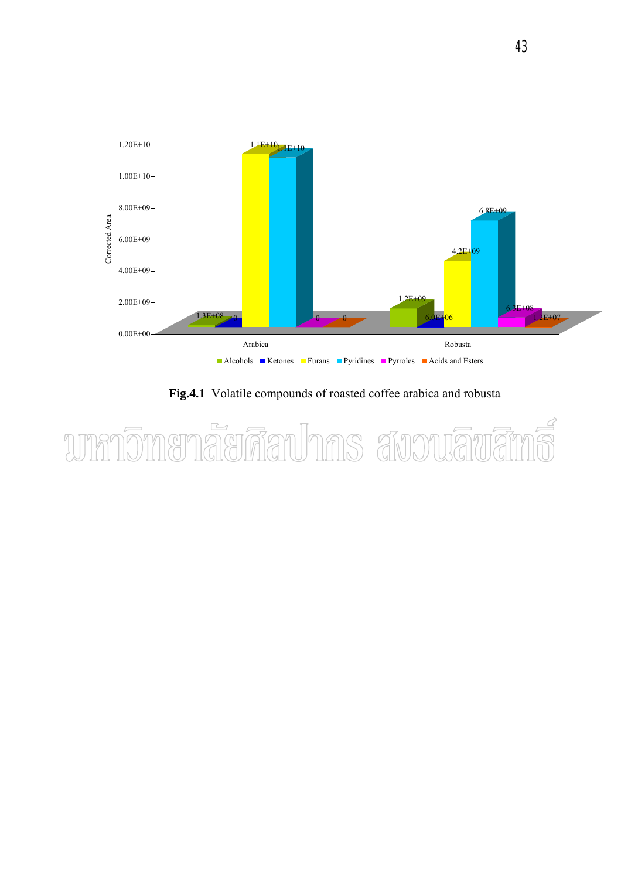

 **Fig.4.1** Volatile compounds of roasted coffee arabica and robusta

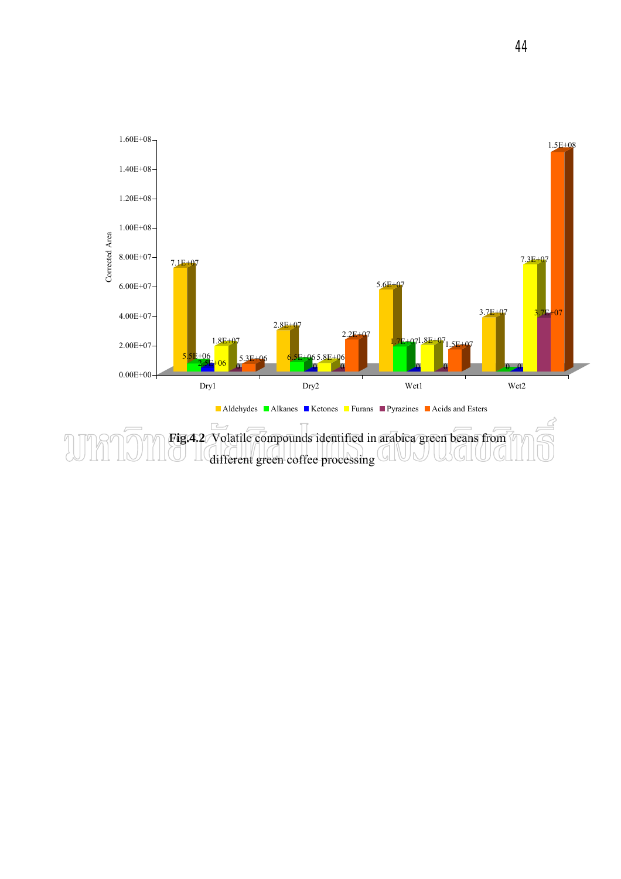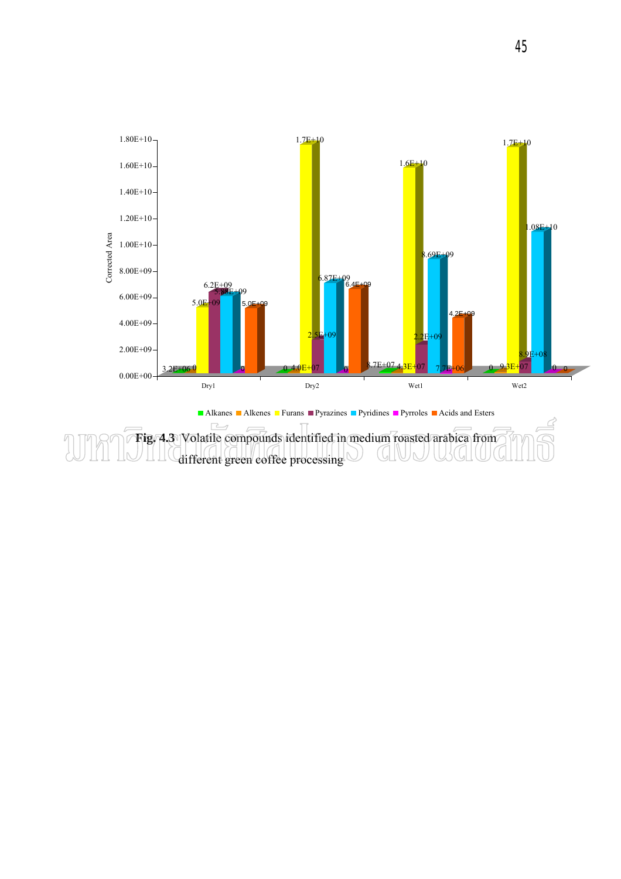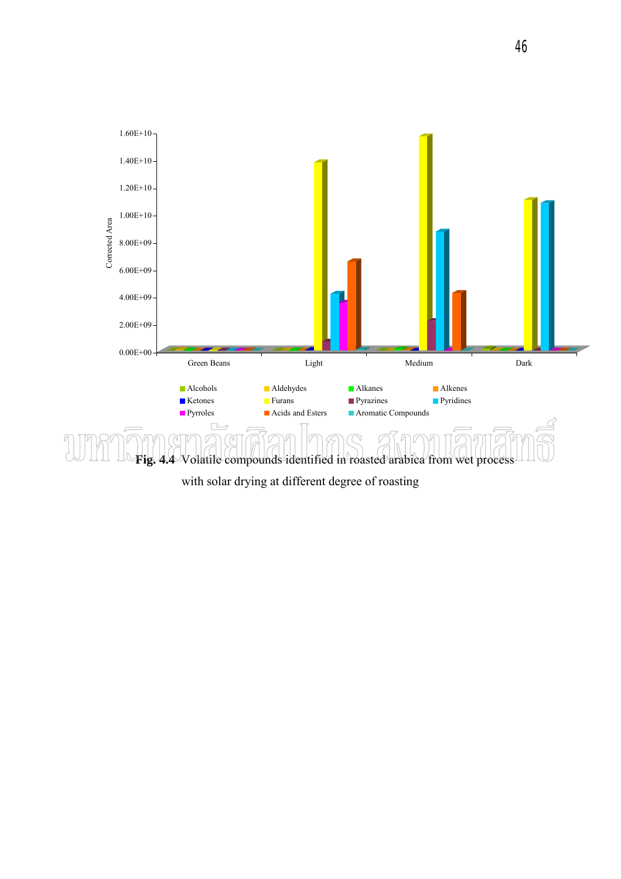

with solar drying at different degree of roasting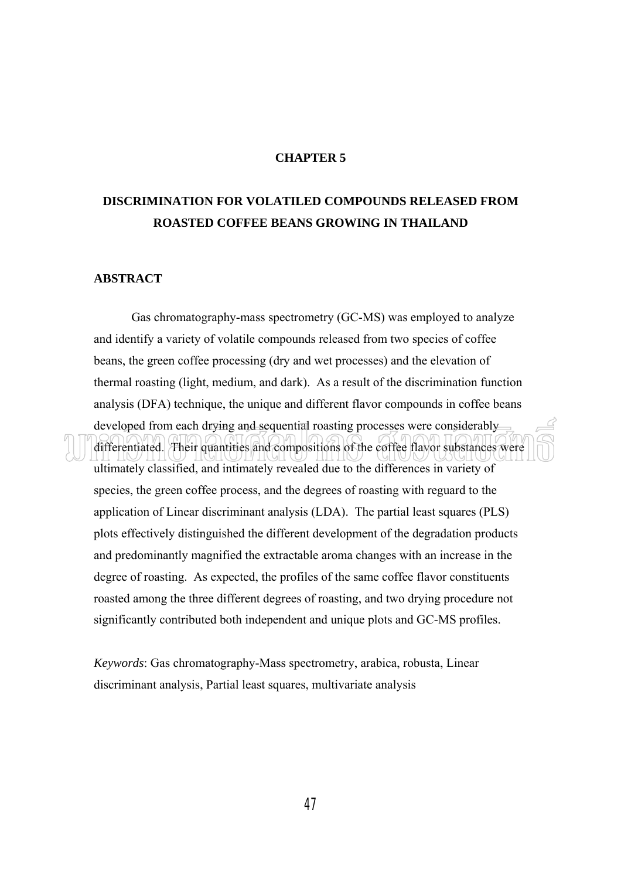# **CHAPTER 5**

# **DISCRIMINATION FOR VOLATILED COMPOUNDS RELEASED FROM ROASTED COFFEE BEANS GROWING IN THAILAND**

## **ABSTRACT**

Gas chromatography-mass spectrometry (GC-MS) was employed to analyze and identify a variety of volatile compounds released from two species of coffee beans, the green coffee processing (dry and wet processes) and the elevation of thermal roasting (light, medium, and dark). As a result of the discrimination function analysis (DFA) technique, the unique and different flavor compounds in coffee beans developed from each drying and sequential roasting processes were considerably differentiated. Their quantities and compositions of the coffee flavor substances were ultimately classified, and intimately revealed due to the differences in variety of species, the green coffee process, and the degrees of roasting with reguard to the application of Linear discriminant analysis (LDA). The partial least squares (PLS) plots effectively distinguished the different development of the degradation products and predominantly magnified the extractable aroma changes with an increase in the degree of roasting. As expected, the profiles of the same coffee flavor constituents roasted among the three different degrees of roasting, and two drying procedure not significantly contributed both independent and unique plots and GC-MS profiles.

*Keywords*: Gas chromatography-Mass spectrometry, arabica, robusta, Linear discriminant analysis, Partial least squares, multivariate analysis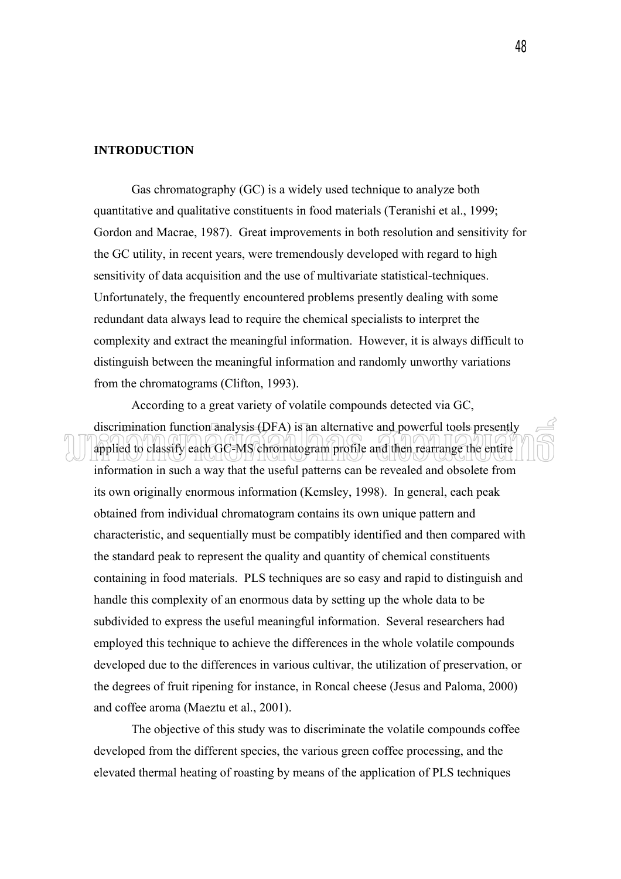## **INTRODUCTION**

 Gas chromatography (GC) is a widely used technique to analyze both quantitative and qualitative constituents in food materials (Teranishi et al., 1999; Gordon and Macrae, 1987). Great improvements in both resolution and sensitivity for the GC utility, in recent years, were tremendously developed with regard to high sensitivity of data acquisition and the use of multivariate statistical-techniques. Unfortunately, the frequently encountered problems presently dealing with some redundant data always lead to require the chemical specialists to interpret the complexity and extract the meaningful information. However, it is always difficult to distinguish between the meaningful information and randomly unworthy variations from the chromatograms (Clifton, 1993).

 According to a great variety of volatile compounds detected via GC, discrimination function analysis (DFA) is an alternative and powerful tools presently applied to classify each GC-MS chromatogram profile and then rearrange the entire information in such a way that the useful patterns can be revealed and obsolete from its own originally enormous information (Kemsley, 1998). In general, each peak obtained from individual chromatogram contains its own unique pattern and characteristic, and sequentially must be compatibly identified and then compared with the standard peak to represent the quality and quantity of chemical constituents containing in food materials. PLS techniques are so easy and rapid to distinguish and handle this complexity of an enormous data by setting up the whole data to be subdivided to express the useful meaningful information. Several researchers had employed this technique to achieve the differences in the whole volatile compounds developed due to the differences in various cultivar, the utilization of preservation, or the degrees of fruit ripening for instance, in Roncal cheese (Jesus and Paloma, 2000) and coffee aroma (Maeztu et al., 2001).

 The objective of this study was to discriminate the volatile compounds coffee developed from the different species, the various green coffee processing, and the elevated thermal heating of roasting by means of the application of PLS techniques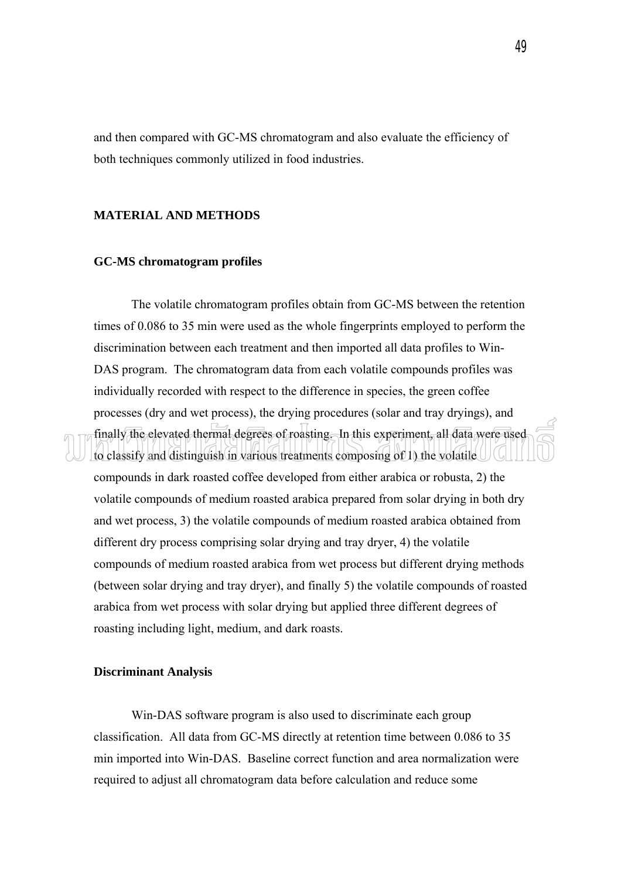and then compared with GC-MS chromatogram and also evaluate the efficiency of both techniques commonly utilized in food industries.

# **MATERIAL AND METHODS**

## **GC-MS chromatogram profiles**

 The volatile chromatogram profiles obtain from GC-MS between the retention times of 0.086 to 35 min were used as the whole fingerprints employed to perform the discrimination between each treatment and then imported all data profiles to Win-DAS program. The chromatogram data from each volatile compounds profiles was individually recorded with respect to the difference in species, the green coffee processes (dry and wet process), the drying procedures (solar and tray dryings), and finally the elevated thermal degrees of roasting. In this experiment, all data were used to classify and distinguish in various treatments composing of 1) the volatile compounds in dark roasted coffee developed from either arabica or robusta, 2) the volatile compounds of medium roasted arabica prepared from solar drying in both dry and wet process, 3) the volatile compounds of medium roasted arabica obtained from different dry process comprising solar drying and tray dryer, 4) the volatile compounds of medium roasted arabica from wet process but different drying methods (between solar drying and tray dryer), and finally 5) the volatile compounds of roasted arabica from wet process with solar drying but applied three different degrees of roasting including light, medium, and dark roasts.

# **Discriminant Analysis**

 Win-DAS software program is also used to discriminate each group classification. All data from GC-MS directly at retention time between 0.086 to 35 min imported into Win-DAS. Baseline correct function and area normalization were required to adjust all chromatogram data before calculation and reduce some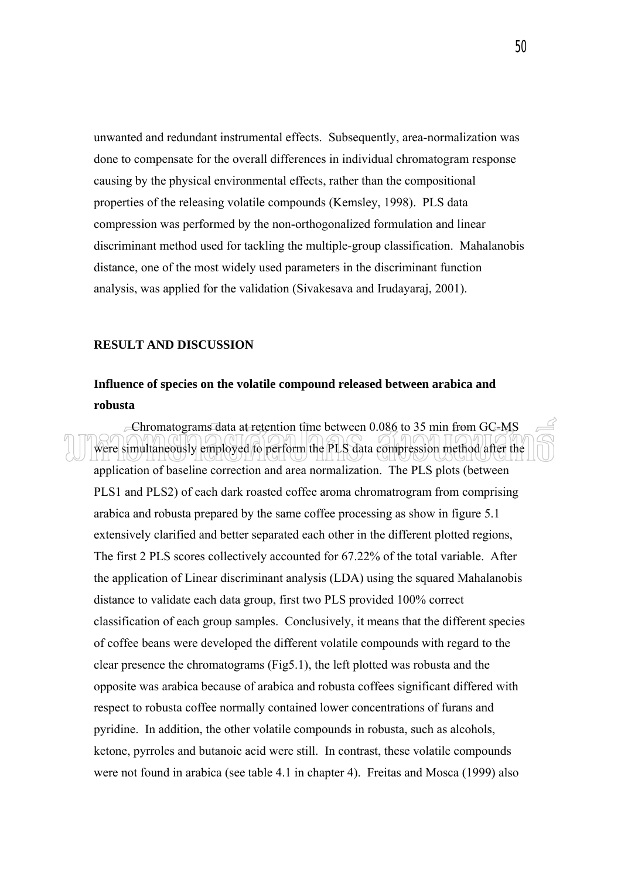unwanted and redundant instrumental effects. Subsequently, area-normalization was done to compensate for the overall differences in individual chromatogram response causing by the physical environmental effects, rather than the compositional properties of the releasing volatile compounds (Kemsley, 1998). PLS data compression was performed by the non-orthogonalized formulation and linear discriminant method used for tackling the multiple-group classification. Mahalanobis distance, one of the most widely used parameters in the discriminant function analysis, was applied for the validation (Sivakesava and Irudayaraj, 2001).

## **RESULT AND DISCUSSION**

# **Influence of species on the volatile compound released between arabica and robusta**

 $\epsilon$ Chromatograms data at retention time between 0.086 to 35 min from GC-MS were simultaneously employed to perform the PLS data compression method after the application of baseline correction and area normalization. The PLS plots (between PLS1 and PLS2) of each dark roasted coffee aroma chromatrogram from comprising arabica and robusta prepared by the same coffee processing as show in figure 5.1 extensively clarified and better separated each other in the different plotted regions, The first 2 PLS scores collectively accounted for 67.22% of the total variable. After the application of Linear discriminant analysis (LDA) using the squared Mahalanobis distance to validate each data group, first two PLS provided 100% correct classification of each group samples. Conclusively, it means that the different species of coffee beans were developed the different volatile compounds with regard to the clear presence the chromatograms (Fig5.1), the left plotted was robusta and the opposite was arabica because of arabica and robusta coffees significant differed with respect to robusta coffee normally contained lower concentrations of furans and pyridine. In addition, the other volatile compounds in robusta, such as alcohols, ketone, pyrroles and butanoic acid were still. In contrast, these volatile compounds were not found in arabica (see table 4.1 in chapter 4). Freitas and Mosca (1999) also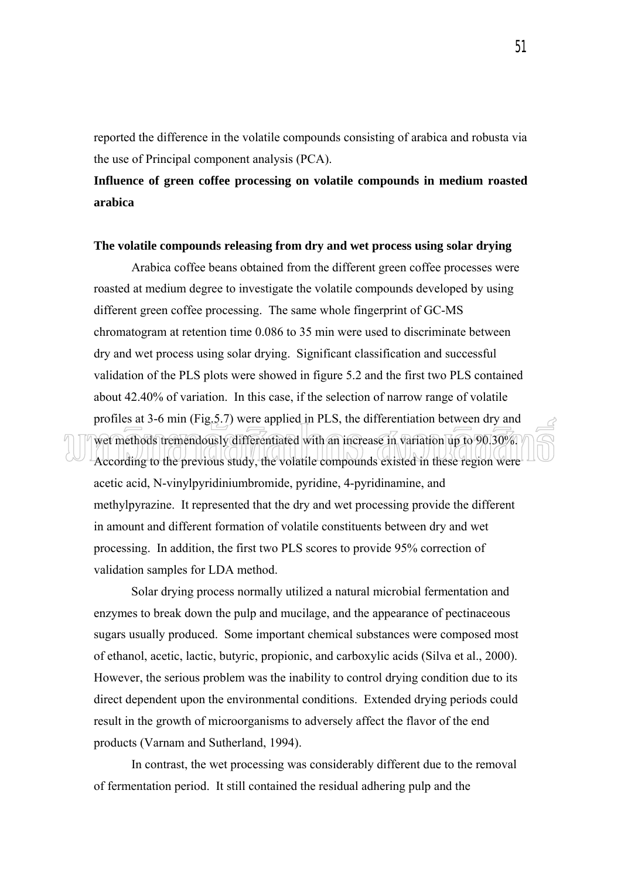reported the difference in the volatile compounds consisting of arabica and robusta via the use of Principal component analysis (PCA).

# **Influence of green coffee processing on volatile compounds in medium roasted arabica**

## **The volatile compounds releasing from dry and wet process using solar drying**

 Arabica coffee beans obtained from the different green coffee processes were roasted at medium degree to investigate the volatile compounds developed by using different green coffee processing. The same whole fingerprint of GC-MS chromatogram at retention time 0.086 to 35 min were used to discriminate between dry and wet process using solar drying. Significant classification and successful validation of the PLS plots were showed in figure 5.2 and the first two PLS contained about 42.40% of variation. In this case, if the selection of narrow range of volatile profiles at 3-6 min (Fig.5.7) were applied in PLS, the differentiation between dry and wet methods tremendously differentiated with an increase in variation up to 90.30%. According to the previous study, the volatile compounds existed in these region were acetic acid, N-vinylpyridiniumbromide, pyridine, 4-pyridinamine, and methylpyrazine. It represented that the dry and wet processing provide the different in amount and different formation of volatile constituents between dry and wet processing. In addition, the first two PLS scores to provide 95% correction of validation samples for LDA method.

 Solar drying process normally utilized a natural microbial fermentation and enzymes to break down the pulp and mucilage, and the appearance of pectinaceous sugars usually produced. Some important chemical substances were composed most of ethanol, acetic, lactic, butyric, propionic, and carboxylic acids (Silva et al., 2000). However, the serious problem was the inability to control drying condition due to its direct dependent upon the environmental conditions. Extended drying periods could result in the growth of microorganisms to adversely affect the flavor of the end products (Varnam and Sutherland, 1994).

 In contrast, the wet processing was considerably different due to the removal of fermentation period. It still contained the residual adhering pulp and the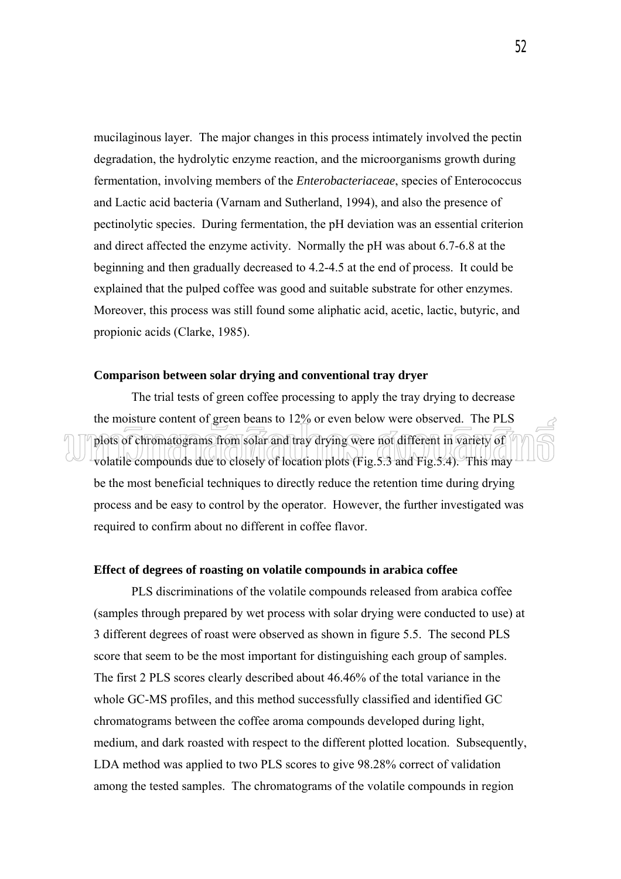mucilaginous layer. The major changes in this process intimately involved the pectin degradation, the hydrolytic enzyme reaction, and the microorganisms growth during fermentation, involving members of the *Enterobacteriaceae*, species of Enterococcus and Lactic acid bacteria (Varnam and Sutherland, 1994), and also the presence of pectinolytic species. During fermentation, the pH deviation was an essential criterion and direct affected the enzyme activity. Normally the pH was about 6.7-6.8 at the beginning and then gradually decreased to 4.2-4.5 at the end of process. It could be explained that the pulped coffee was good and suitable substrate for other enzymes. Moreover, this process was still found some aliphatic acid, acetic, lactic, butyric, and propionic acids (Clarke, 1985).

#### **Comparison between solar drying and conventional tray dryer**

 The trial tests of green coffee processing to apply the tray drying to decrease the moisture content of green beans to 12% or even below were observed. The PLS plots of chromatograms from solar and tray drying were not different in variety of volatile compounds due to closely of location plots (Fig.5.3 and Fig.5.4). This may be the most beneficial techniques to directly reduce the retention time during drying process and be easy to control by the operator. However, the further investigated was required to confirm about no different in coffee flavor.

#### **Effect of degrees of roasting on volatile compounds in arabica coffee**

 PLS discriminations of the volatile compounds released from arabica coffee (samples through prepared by wet process with solar drying were conducted to use) at 3 different degrees of roast were observed as shown in figure 5.5. The second PLS score that seem to be the most important for distinguishing each group of samples. The first 2 PLS scores clearly described about 46.46% of the total variance in the whole GC-MS profiles, and this method successfully classified and identified GC chromatograms between the coffee aroma compounds developed during light, medium, and dark roasted with respect to the different plotted location. Subsequently, LDA method was applied to two PLS scores to give 98.28% correct of validation among the tested samples. The chromatograms of the volatile compounds in region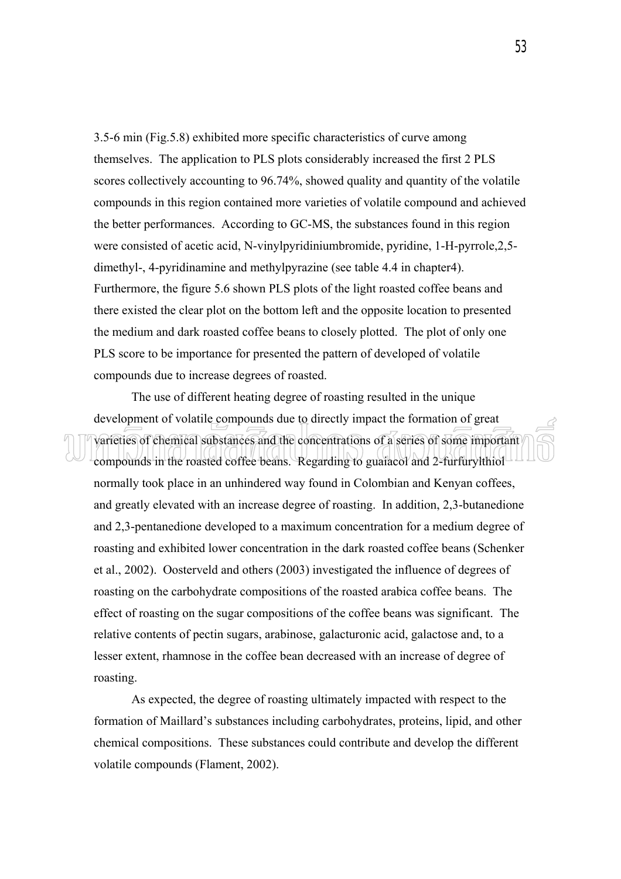3.5-6 min (Fig.5.8) exhibited more specific characteristics of curve among themselves. The application to PLS plots considerably increased the first 2 PLS scores collectively accounting to 96.74%, showed quality and quantity of the volatile compounds in this region contained more varieties of volatile compound and achieved the better performances. According to GC-MS, the substances found in this region were consisted of acetic acid, N-vinylpyridiniumbromide, pyridine, 1-H-pyrrole,2,5 dimethyl-, 4-pyridinamine and methylpyrazine (see table 4.4 in chapter4). Furthermore, the figure 5.6 shown PLS plots of the light roasted coffee beans and there existed the clear plot on the bottom left and the opposite location to presented the medium and dark roasted coffee beans to closely plotted. The plot of only one PLS score to be importance for presented the pattern of developed of volatile compounds due to increase degrees of roasted.

The use of different heating degree of roasting resulted in the unique development of volatile compounds due to directly impact the formation of great varieties of chemical substances and the concentrations of a series of some important compounds in the roasted coffee beans. Regarding to guaiacol and 2-furfurylthiol normally took place in an unhindered way found in Colombian and Kenyan coffees, and greatly elevated with an increase degree of roasting. In addition, 2,3-butanedione and 2,3-pentanedione developed to a maximum concentration for a medium degree of roasting and exhibited lower concentration in the dark roasted coffee beans (Schenker et al., 2002). Oosterveld and others (2003) investigated the influence of degrees of roasting on the carbohydrate compositions of the roasted arabica coffee beans. The effect of roasting on the sugar compositions of the coffee beans was significant. The relative contents of pectin sugars, arabinose, galacturonic acid, galactose and, to a lesser extent, rhamnose in the coffee bean decreased with an increase of degree of roasting.

 As expected, the degree of roasting ultimately impacted with respect to the formation of Maillard's substances including carbohydrates, proteins, lipid, and other chemical compositions. These substances could contribute and develop the different volatile compounds (Flament, 2002).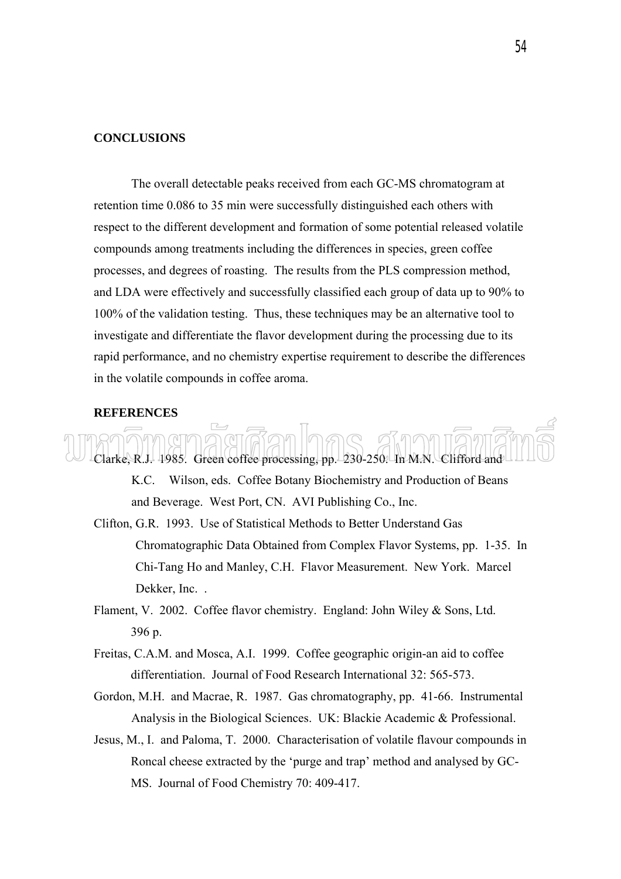# **CONCLUSIONS**

 The overall detectable peaks received from each GC-MS chromatogram at retention time 0.086 to 35 min were successfully distinguished each others with respect to the different development and formation of some potential released volatile compounds among treatments including the differences in species, green coffee processes, and degrees of roasting. The results from the PLS compression method, and LDA were effectively and successfully classified each group of data up to 90% to 100% of the validation testing. Thus, these techniques may be an alternative tool to investigate and differentiate the flavor development during the processing due to its rapid performance, and no chemistry expertise requirement to describe the differences in the volatile compounds in coffee aroma.

#### **REFERENCES**

Clarke, R.J. 1985. Green coffee processing, pp. 230-250. In M.N. Clifford and K.C. Wilson, eds. Coffee Botany Biochemistry and Production of Beans

and Beverage. West Port, CN. AVI Publishing Co., Inc.

- Clifton, G.R. 1993. Use of Statistical Methods to Better Understand Gas Chromatographic Data Obtained from Complex Flavor Systems, pp. 1-35. In Chi-Tang Ho and Manley, C.H. Flavor Measurement. New York. Marcel Dekker, Inc. .
- Flament, V. 2002. Coffee flavor chemistry. England: John Wiley & Sons, Ltd. 396 p.
- Freitas, C.A.M. and Mosca, A.I. 1999. Coffee geographic origin-an aid to coffee differentiation. Journal of Food Research International 32: 565-573.
- Gordon, M.H. and Macrae, R. 1987. Gas chromatography, pp. 41-66. Instrumental Analysis in the Biological Sciences. UK: Blackie Academic & Professional.
- Jesus, M., I. and Paloma, T. 2000. Characterisation of volatile flavour compounds in Roncal cheese extracted by the 'purge and trap' method and analysed by GC-MS. Journal of Food Chemistry 70: 409-417.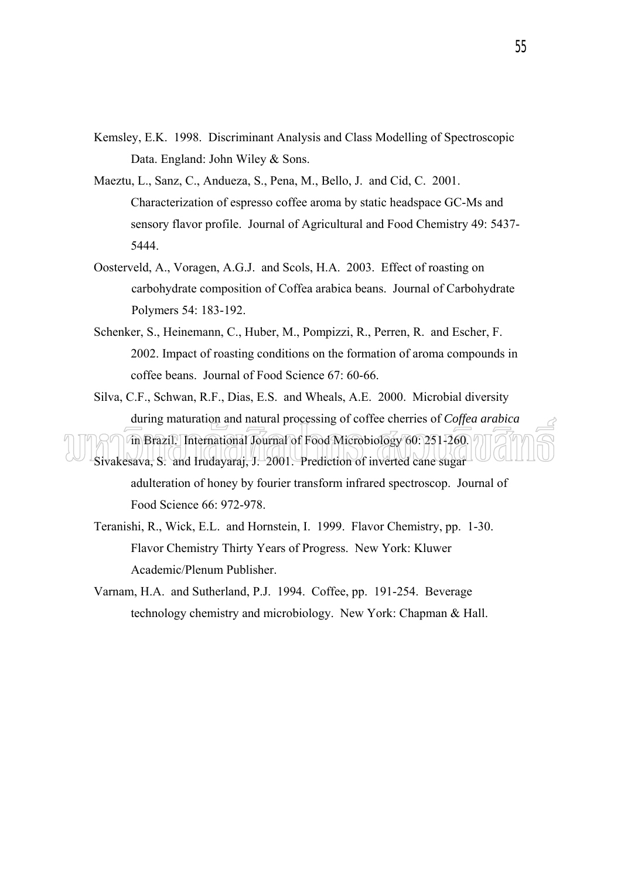- Kemsley, E.K. 1998. Discriminant Analysis and Class Modelling of Spectroscopic Data. England: John Wiley & Sons.
- Maeztu, L., Sanz, C., Andueza, S., Pena, M., Bello, J. and Cid, C. 2001. Characterization of espresso coffee aroma by static headspace GC-Ms and sensory flavor profile. Journal of Agricultural and Food Chemistry 49: 5437- 5444.
- Oosterveld, A., Voragen, A.G.J. and Scols, H.A. 2003. Effect of roasting on carbohydrate composition of Coffea arabica beans. Journal of Carbohydrate Polymers 54: 183-192.
- Schenker, S., Heinemann, C., Huber, M., Pompizzi, R., Perren, R. and Escher, F. 2002. Impact of roasting conditions on the formation of aroma compounds in coffee beans. Journal of Food Science 67: 60-66.
- Silva, C.F., Schwan, R.F., Dias, E.S. and Wheals, A.E. 2000. Microbial diversity during maturation and natural processing of coffee cherries of *Coffea arabica*

in Brazil. International Journal of Food Microbiology 60: 251-260. Sivakesava, S. and Irudayaraj, J. 2001. Prediction of inverted cane sugar adulteration of honey by fourier transform infrared spectroscop. Journal of Food Science 66: 972-978.

Teranishi, R., Wick, E.L. and Hornstein, I. 1999. Flavor Chemistry, pp. 1-30. Flavor Chemistry Thirty Years of Progress. New York: Kluwer Academic/Plenum Publisher.

Varnam, H.A. and Sutherland, P.J. 1994. Coffee, pp. 191-254. Beverage technology chemistry and microbiology. New York: Chapman & Hall.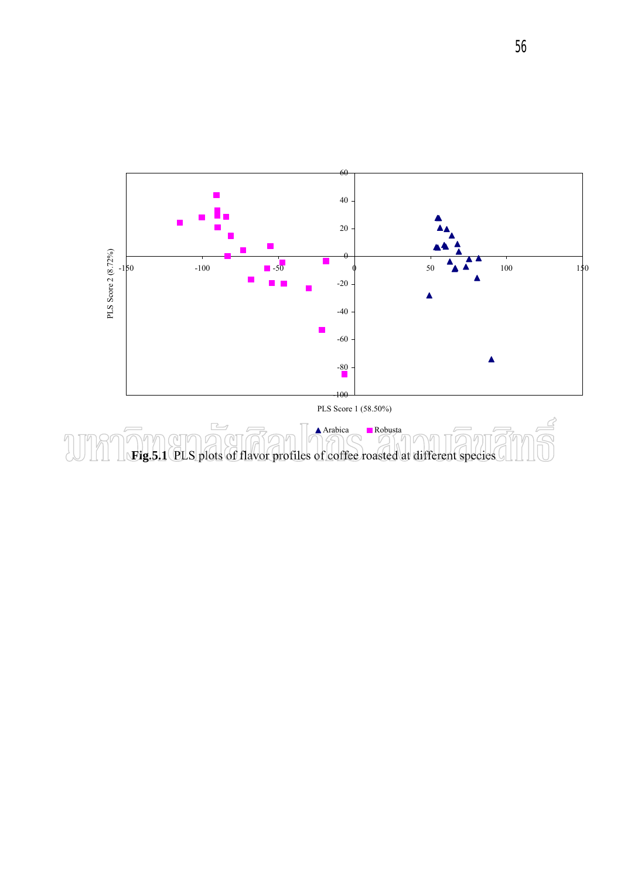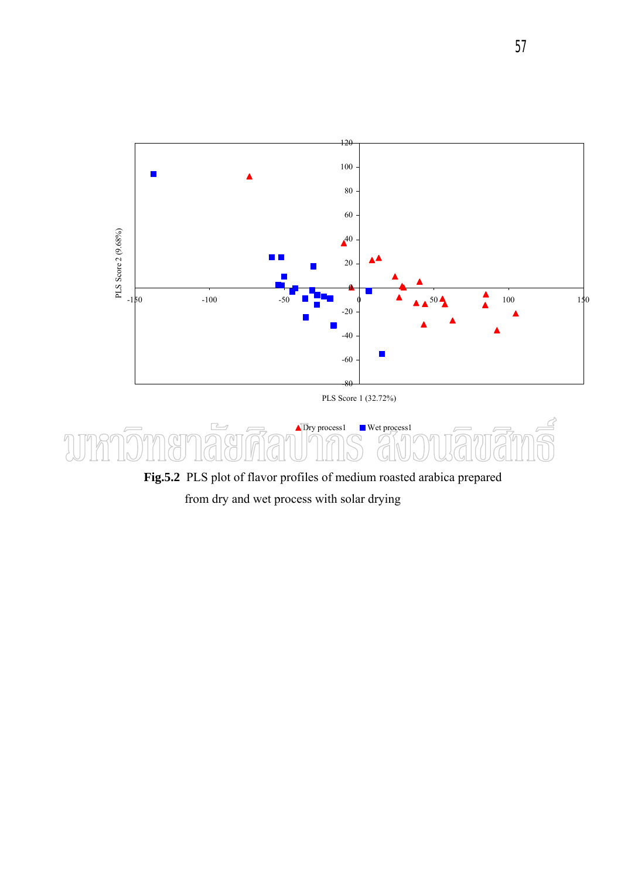



 **Fig.5.2** PLS plot of flavor profiles of medium roasted arabica prepared

from dry and wet process with solar drying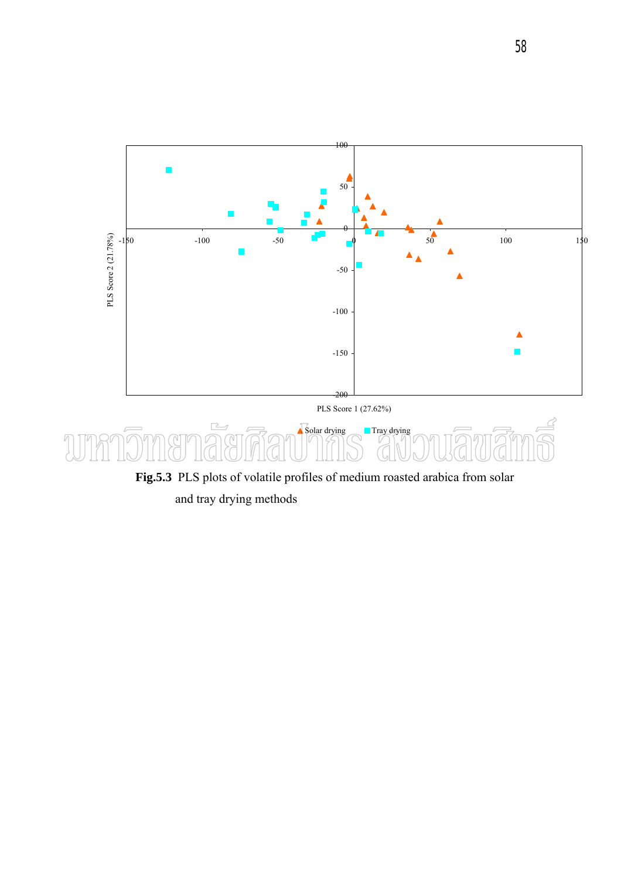

and tray drying methods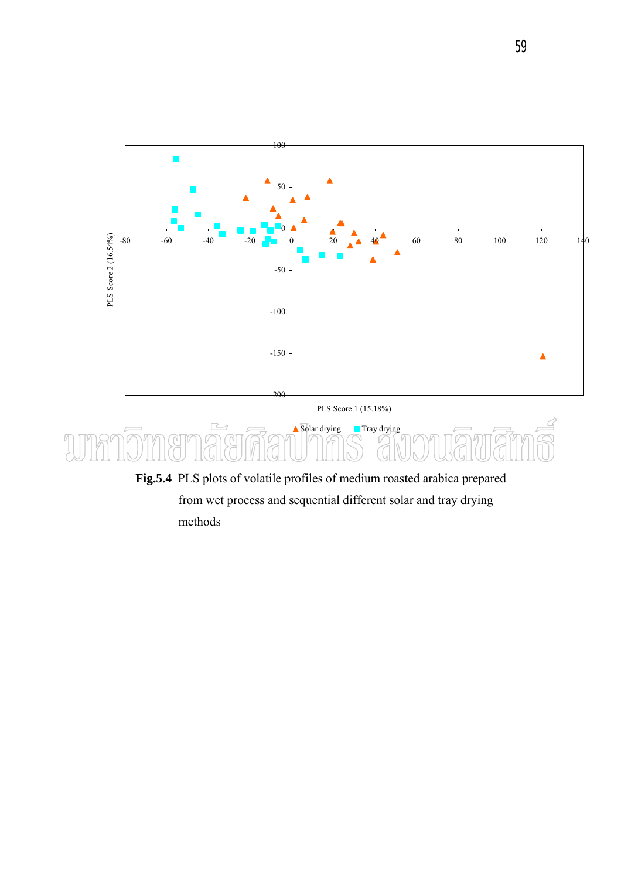

PLS Score 1 (15.18%)



 **Fig.5.4** PLS plots of volatile profiles of medium roasted arabica prepared from wet process and sequential different solar and tray drying methods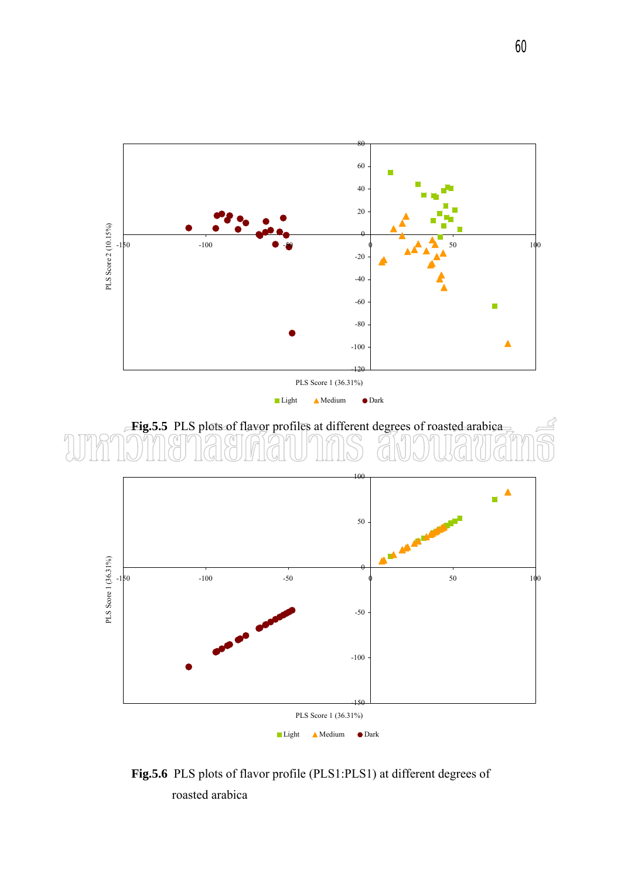

 **Fig.5.6** PLS plots of flavor profile (PLS1:PLS1) at different degrees of roasted arabica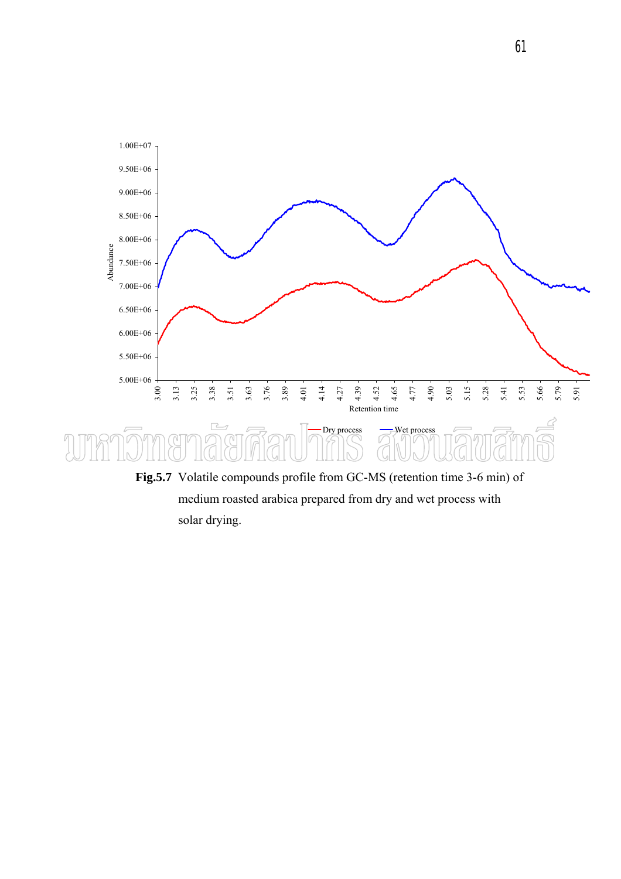

 medium roasted arabica prepared from dry and wet process with solar drying.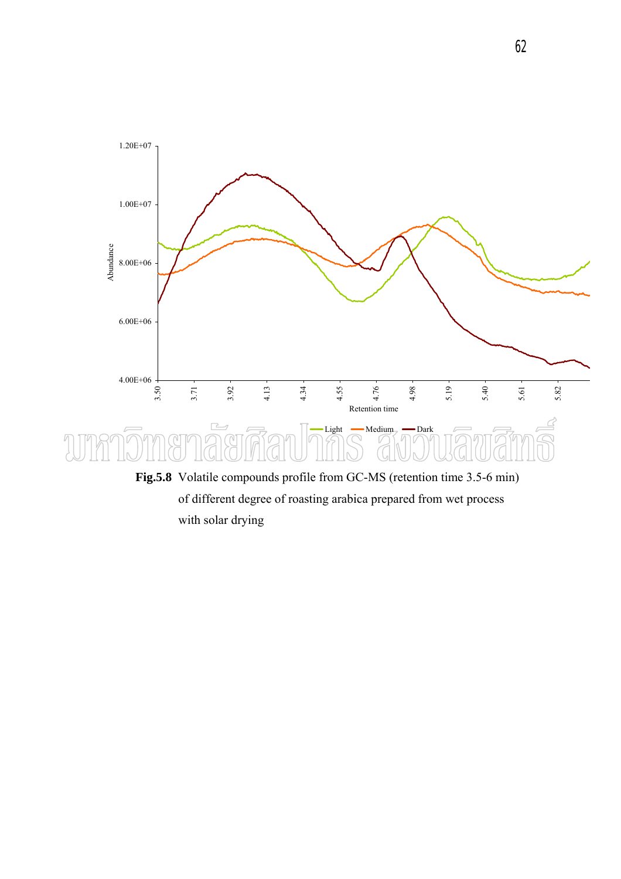

 of different degree of roasting arabica prepared from wet process with solar drying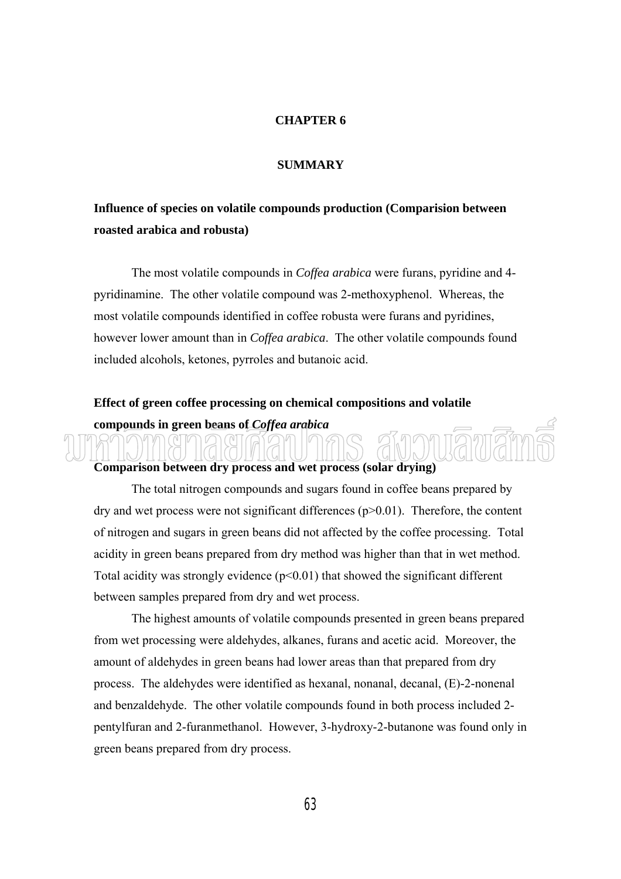#### **CHAPTER 6**

#### **SUMMARY**

# **Influence of species on volatile compounds production (Comparision between roasted arabica and robusta)**

The most volatile compounds in *Coffea arabica* were furans, pyridine and 4 pyridinamine. The other volatile compound was 2-methoxyphenol. Whereas, the most volatile compounds identified in coffee robusta were furans and pyridines, however lower amount than in *Coffea arabica*. The other volatile compounds found included alcohols, ketones, pyrroles and butanoic acid.

## **Effect of green coffee processing on chemical compositions and volatile compounds in green beans of** *Coffea arabica*

#### **Comparison between dry process and wet process (solar drying)**

 The total nitrogen compounds and sugars found in coffee beans prepared by dry and wet process were not significant differences (p>0.01). Therefore, the content of nitrogen and sugars in green beans did not affected by the coffee processing. Total acidity in green beans prepared from dry method was higher than that in wet method. Total acidity was strongly evidence  $(p<0.01)$  that showed the significant different between samples prepared from dry and wet process.

The highest amounts of volatile compounds presented in green beans prepared from wet processing were aldehydes, alkanes, furans and acetic acid. Moreover, the amount of aldehydes in green beans had lower areas than that prepared from dry process. The aldehydes were identified as hexanal, nonanal, decanal, (E)-2-nonenal and benzaldehyde. The other volatile compounds found in both process included 2 pentylfuran and 2-furanmethanol. However, 3-hydroxy-2-butanone was found only in green beans prepared from dry process.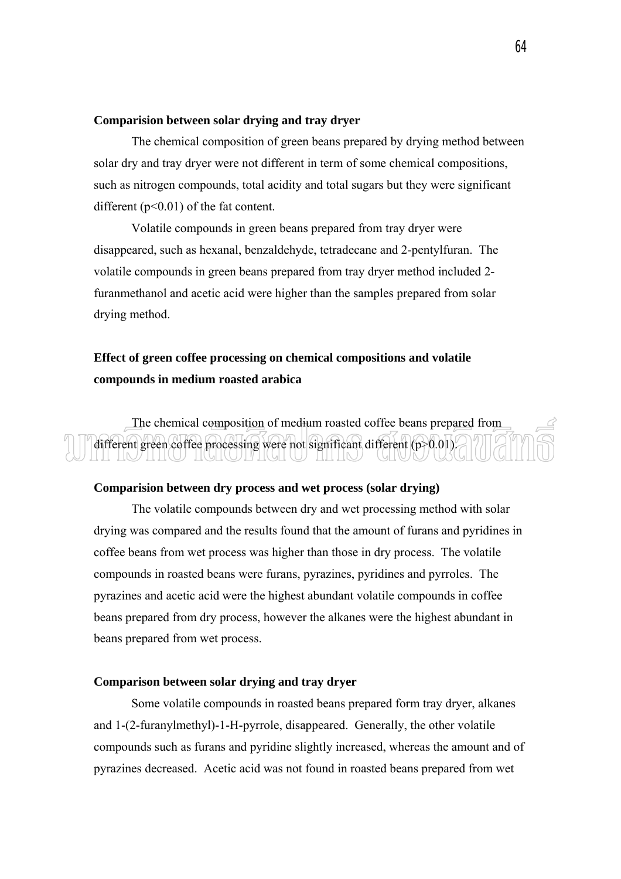#### **Comparision between solar drying and tray dryer**

 The chemical composition of green beans prepared by drying method between solar dry and tray dryer were not different in term of some chemical compositions, such as nitrogen compounds, total acidity and total sugars but they were significant different  $(p<0.01)$  of the fat content.

 Volatile compounds in green beans prepared from tray dryer were disappeared, such as hexanal, benzaldehyde, tetradecane and 2-pentylfuran. The volatile compounds in green beans prepared from tray dryer method included 2 furanmethanol and acetic acid were higher than the samples prepared from solar drying method.

## **Effect of green coffee processing on chemical compositions and volatile compounds in medium roasted arabica**

 The chemical composition of medium roasted coffee beans prepared from different green coffee processing were not significant different (p>0.01).

### **Comparision between dry process and wet process (solar drying)**

 The volatile compounds between dry and wet processing method with solar drying was compared and the results found that the amount of furans and pyridines in coffee beans from wet process was higher than those in dry process. The volatile compounds in roasted beans were furans, pyrazines, pyridines and pyrroles. The pyrazines and acetic acid were the highest abundant volatile compounds in coffee beans prepared from dry process, however the alkanes were the highest abundant in beans prepared from wet process.

### **Comparison between solar drying and tray dryer**

Some volatile compounds in roasted beans prepared form tray dryer, alkanes and 1-(2-furanylmethyl)-1-H-pyrrole, disappeared. Generally, the other volatile compounds such as furans and pyridine slightly increased, whereas the amount and of pyrazines decreased. Acetic acid was not found in roasted beans prepared from wet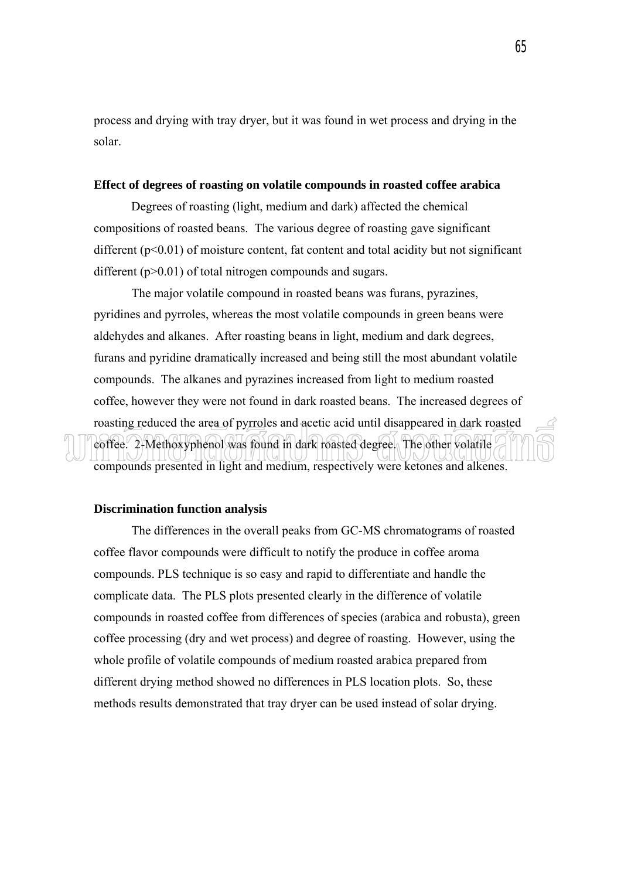process and drying with tray dryer, but it was found in wet process and drying in the solar.

#### **Effect of degrees of roasting on volatile compounds in roasted coffee arabica**

 Degrees of roasting (light, medium and dark) affected the chemical compositions of roasted beans. The various degree of roasting gave significant different  $(p<0.01)$  of moisture content, fat content and total acidity but not significant different (p>0.01) of total nitrogen compounds and sugars.

 The major volatile compound in roasted beans was furans, pyrazines, pyridines and pyrroles, whereas the most volatile compounds in green beans were aldehydes and alkanes. After roasting beans in light, medium and dark degrees, furans and pyridine dramatically increased and being still the most abundant volatile compounds. The alkanes and pyrazines increased from light to medium roasted coffee, however they were not found in dark roasted beans. The increased degrees of roasting reduced the area of pyrroles and acetic acid until disappeared in dark roasted coffee. 2-Methoxyphenol was found in dark roasted degree. The other volatile compounds presented in light and medium, respectively were ketones and alkenes.

#### **Discrimination function analysis**

 The differences in the overall peaks from GC-MS chromatograms of roasted coffee flavor compounds were difficult to notify the produce in coffee aroma compounds. PLS technique is so easy and rapid to differentiate and handle the complicate data. The PLS plots presented clearly in the difference of volatile compounds in roasted coffee from differences of species (arabica and robusta), green coffee processing (dry and wet process) and degree of roasting. However, using the whole profile of volatile compounds of medium roasted arabica prepared from different drying method showed no differences in PLS location plots. So, these methods results demonstrated that tray dryer can be used instead of solar drying.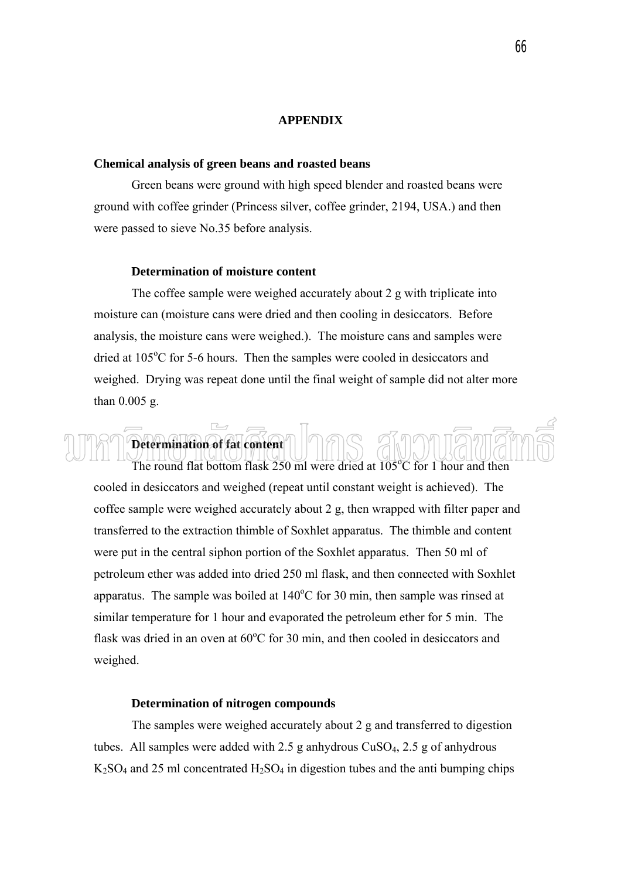#### **APPENDIX**

#### **Chemical analysis of green beans and roasted beans**

Green beans were ground with high speed blender and roasted beans were ground with coffee grinder (Princess silver, coffee grinder, 2194, USA.) and then were passed to sieve No.35 before analysis.

#### **Determination of moisture content**

 **Determination of fat content** 

The coffee sample were weighed accurately about 2 g with triplicate into moisture can (moisture cans were dried and then cooling in desiccators. Before analysis, the moisture cans were weighed.). The moisture cans and samples were dried at 105°C for 5-6 hours. Then the samples were cooled in desiccators and weighed. Drying was repeat done until the final weight of sample did not alter more than 0.005 g.

The round flat bottom flask 250 ml were dried at 105°C for 1 hour and then cooled in desiccators and weighed (repeat until constant weight is achieved). The coffee sample were weighed accurately about 2 g, then wrapped with filter paper and transferred to the extraction thimble of Soxhlet apparatus. The thimble and content were put in the central siphon portion of the Soxhlet apparatus. Then 50 ml of petroleum ether was added into dried 250 ml flask, and then connected with Soxhlet apparatus. The sample was boiled at  $140^{\circ}$ C for 30 min, then sample was rinsed at similar temperature for 1 hour and evaporated the petroleum ether for 5 min. The flask was dried in an oven at  $60^{\circ}$ C for 30 min, and then cooled in desiccators and weighed.

#### **Determination of nitrogen compounds**

 The samples were weighed accurately about 2 g and transferred to digestion tubes. All samples were added with 2.5 g anhydrous  $CuSO<sub>4</sub>$ , 2.5 g of anhydrous  $K_2SO_4$  and 25 ml concentrated  $H_2SO_4$  in digestion tubes and the anti bumping chips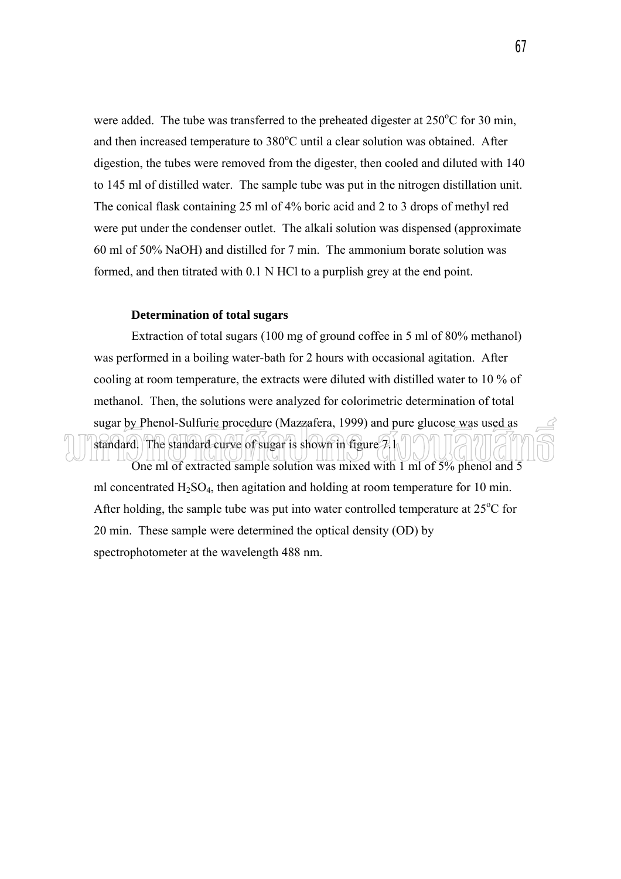were added. The tube was transferred to the preheated digester at  $250^{\circ}$ C for 30 min, and then increased temperature to  $380^{\circ}$ C until a clear solution was obtained. After digestion, the tubes were removed from the digester, then cooled and diluted with 140 to 145 ml of distilled water. The sample tube was put in the nitrogen distillation unit. The conical flask containing 25 ml of 4% boric acid and 2 to 3 drops of methyl red were put under the condenser outlet. The alkali solution was dispensed (approximate 60 ml of 50% NaOH) and distilled for 7 min. The ammonium borate solution was formed, and then titrated with 0.1 N HCl to a purplish grey at the end point.

### **Determination of total sugars**

standard. The standard curve of sugar is shown in figure  $7.1$ 

Extraction of total sugars (100 mg of ground coffee in 5 ml of 80% methanol) was performed in a boiling water-bath for 2 hours with occasional agitation. After cooling at room temperature, the extracts were diluted with distilled water to 10 % of methanol. Then, the solutions were analyzed for colorimetric determination of total sugar by Phenol-Sulfuric procedure (Mazzafera, 1999) and pure glucose was used as

One ml of extracted sample solution was mixed with 1 ml of 5% phenol and 5 ml concentrated  $H_2SO_4$ , then agitation and holding at room temperature for 10 min. After holding, the sample tube was put into water controlled temperature at  $25^{\circ}$ C for 20 min. These sample were determined the optical density (OD) by spectrophotometer at the wavelength 488 nm.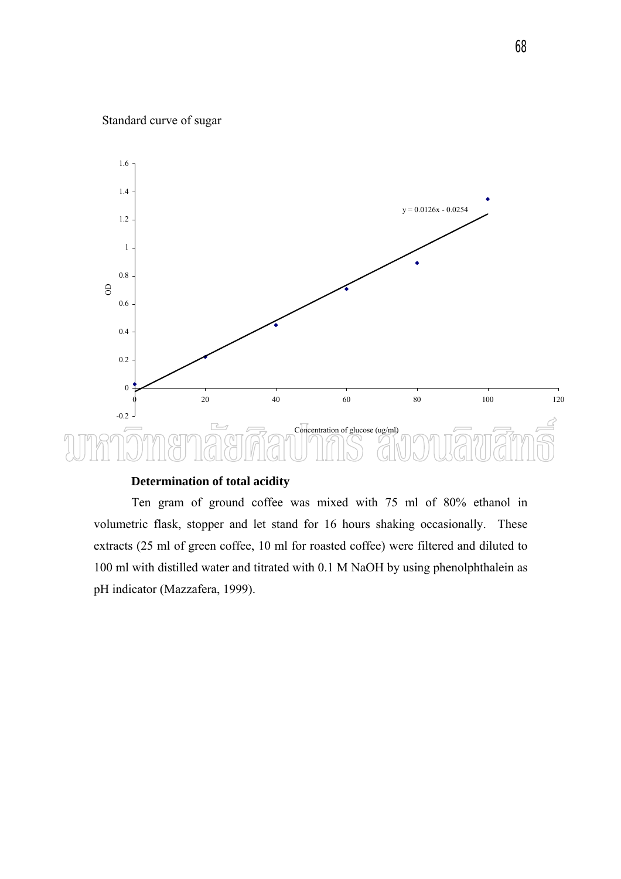### Standard curve of sugar



### **Determination of total acidity**

 Ten gram of ground coffee was mixed with 75 ml of 80% ethanol in volumetric flask, stopper and let stand for 16 hours shaking occasionally. These extracts (25 ml of green coffee, 10 ml for roasted coffee) were filtered and diluted to 100 ml with distilled water and titrated with 0.1 M NaOH by using phenolphthalein as pH indicator (Mazzafera, 1999).